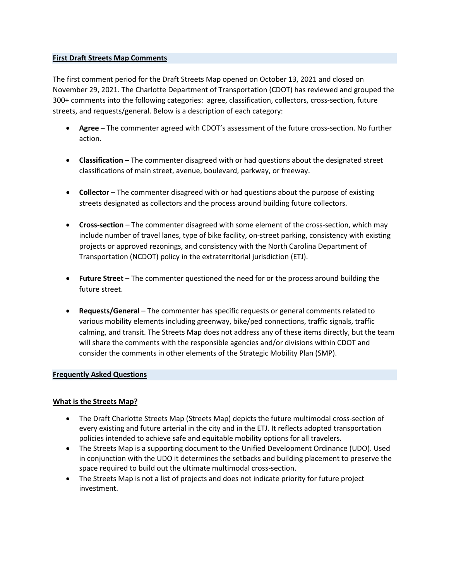# **First Draft Streets Map Comments**

The first comment period for the Draft Streets Map opened on October 13, 2021 and closed on November 29, 2021. The Charlotte Department of Transportation (CDOT) has reviewed and grouped the 300+ comments into the following categories: agree, classification, collectors, cross-section, future streets, and requests/general. Below is a description of each category:

- **Agree** The commenter agreed with CDOT's assessment of the future cross-section. No further action.
- **Classification** The commenter disagreed with or had questions about the designated street classifications of main street, avenue, boulevard, parkway, or freeway.
- **Collector** The commenter disagreed with or had questions about the purpose of existing streets designated as collectors and the process around building future collectors.
- **Cross-section** The commenter disagreed with some element of the cross-section, which may include number of travel lanes, type of bike facility, on-street parking, consistency with existing projects or approved rezonings, and consistency with the North Carolina Department of Transportation (NCDOT) policy in the extraterritorial jurisdiction (ETJ).
- **Future Street** The commenter questioned the need for or the process around building the future street.
- **Requests/General** The commenter has specific requests or general comments related to various mobility elements including greenway, bike/ped connections, traffic signals, traffic calming, and transit. The Streets Map does not address any of these items directly, but the team will share the comments with the responsible agencies and/or divisions within CDOT and consider the comments in other elements of the Strategic Mobility Plan (SMP).

# **Frequently Asked Questions**

# **What is the Streets Map?**

- The Draft Charlotte Streets Map (Streets Map) depicts the future multimodal cross-section of every existing and future arterial in the city and in the ETJ. It reflects adopted transportation policies intended to achieve safe and equitable mobility options for all travelers.
- The Streets Map is a supporting document to the Unified Development Ordinance (UDO). Used in conjunction with the UDO it determines the setbacks and building placement to preserve the space required to build out the ultimate multimodal cross-section.
- The Streets Map is not a list of projects and does not indicate priority for future project investment.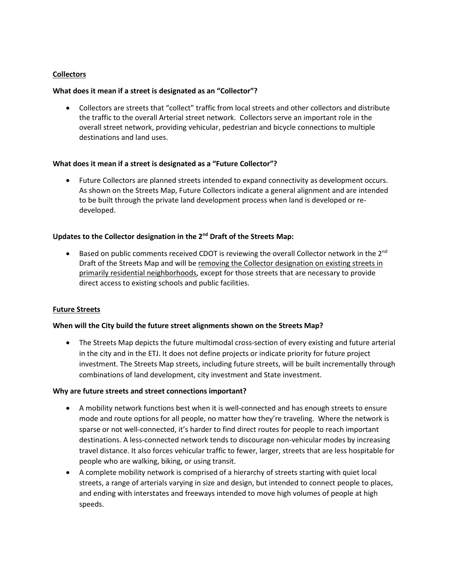# **Collectors**

# **What does it mean if a street is designated as an "Collector"?**

• Collectors are streets that "collect" traffic from local streets and other collectors and distribute the traffic to the overall Arterial street network. Collectors serve an important role in the overall street network, providing vehicular, pedestrian and bicycle connections to multiple destinations and land uses.

### **What does it mean if a street is designated as a "Future Collector"?**

• Future Collectors are planned streets intended to expand connectivity as development occurs. As shown on the Streets Map, Future Collectors indicate a general alignment and are intended to be built through the private land development process when land is developed or redeveloped.

### **Updates to the Collector designation in the 2nd Draft of the Streets Map:**

Based on public comments received CDOT is reviewing the overall Collector network in the 2<sup>nd</sup> Draft of the Streets Map and will be removing the Collector designation on existing streets in primarily residential neighborhoods, except for those streets that are necessary to provide direct access to existing schools and public facilities.

# **Future Streets**

### **When will the City build the future street alignments shown on the Streets Map?**

• The Streets Map depicts the future multimodal cross-section of every existing and future arterial in the city and in the ETJ. It does not define projects or indicate priority for future project investment. The Streets Map streets, including future streets, will be built incrementally through combinations of land development, city investment and State investment.

### **Why are future streets and street connections important?**

- A mobility network functions best when it is well-connected and has enough streets to ensure mode and route options for all people, no matter how they're traveling. Where the network is sparse or not well-connected, it's harder to find direct routes for people to reach important destinations. A less-connected network tends to discourage non-vehicular modes by increasing travel distance. It also forces vehicular traffic to fewer, larger, streets that are less hospitable for people who are walking, biking, or using transit.
- A complete mobility network is comprised of a hierarchy of streets starting with quiet local streets, a range of arterials varying in size and design, but intended to connect people to places, and ending with interstates and freeways intended to move high volumes of people at high speeds.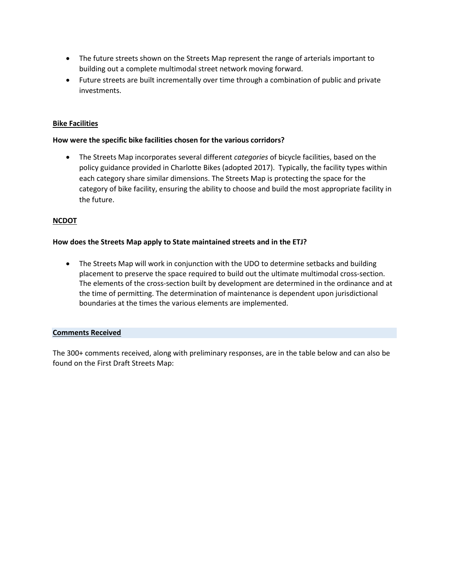- The future streets shown on the Streets Map represent the range of arterials important to building out a complete multimodal street network moving forward.
- Future streets are built incrementally over time through a combination of public and private investments.

# **Bike Facilities**

# **How were the specific bike facilities chosen for the various corridors?**

• The Streets Map incorporates several different *categories* of bicycle facilities, based on the policy guidance provided in Charlotte Bikes (adopted 2017). Typically, the facility types within each category share similar dimensions. The Streets Map is protecting the space for the category of bike facility, ensuring the ability to choose and build the most appropriate facility in the future.

# **NCDOT**

### **How does the Streets Map apply to State maintained streets and in the ETJ?**

• The Streets Map will work in conjunction with the UDO to determine setbacks and building placement to preserve the space required to build out the ultimate multimodal cross-section. The elements of the cross-section built by development are determined in the ordinance and at the time of permitting. The determination of maintenance is dependent upon jurisdictional boundaries at the times the various elements are implemented.

### **Comments Received**

The 300+ comments received, along with preliminary responses, are in the table below and can also be found on the First Draft Streets Map: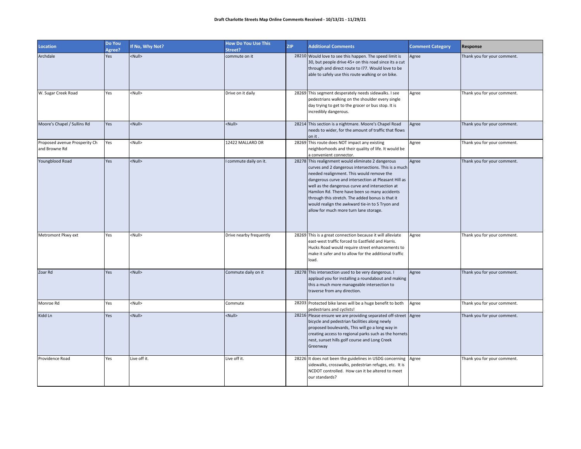| Location                                       | Do You<br>Agree? | If No, Why Not? | <b>How Do You Use This</b><br>Street? | <b>ZIP</b> | <b>Additional Comments</b>                                                                                                                                                                                                                                                                                                                                                                                                                                           | <b>Comment Category</b> | Response                    |
|------------------------------------------------|------------------|-----------------|---------------------------------------|------------|----------------------------------------------------------------------------------------------------------------------------------------------------------------------------------------------------------------------------------------------------------------------------------------------------------------------------------------------------------------------------------------------------------------------------------------------------------------------|-------------------------|-----------------------------|
| Archdale                                       | Yes              | <null></null>   | commute on it                         |            | 28210 Would love to see this happen. The speed limit is<br>30, but people drive 45+ on this road since its a cut<br>through and direct route to I77. Would love to be<br>able to safely use this route walking or on bike.                                                                                                                                                                                                                                           | Agree                   | Thank you for your comment. |
| W. Sugar Creek Road                            | Yes              | <null></null>   | Drive on it daily                     |            | 28269 This segment desperately needs sidewalks. I see<br>pedestrians walking on the shoulder every single<br>day trying to get to the grocer or bus stop. It is<br>incredibly dangerous.                                                                                                                                                                                                                                                                             | Agree                   | Thank you for your comment. |
| Moore's Chapel / Sullins Rd                    | Yes              | <null></null>   | <null></null>                         |            | 28214 This section is a nightmare. Moore's Chapel Road<br>needs to wider, for the amount of traffic that flows<br>on it.                                                                                                                                                                                                                                                                                                                                             | Agree                   | Thank you for your comment. |
| Proposed avenue Prosperity Ch<br>and Browne Rd | Yes              | <null></null>   | 12422 MALLARD DR                      |            | 28269 This route does NOT impact any existing<br>neighborhoods and their quality of life. It would be<br>a convenient connector.                                                                                                                                                                                                                                                                                                                                     | Agree                   | Thank you for your comment. |
| Youngblood Road                                | Yes              | <null></null>   | commute daily on it.                  |            | 28278 This realignment would eliminate 2 dangerous<br>curves and 2 dangerous intersections. This is a much<br>needed realignment. This would remove the<br>dangerous curve and intersection at Pleasant Hill as<br>well as the dangerous curve and intersection at<br>Hamilon Rd. There have been so many accidents<br>through this stretch. The added bonus is that it<br>would realign the awkward tie-in to S Tryon and<br>allow for much more turn lane storage. | Agree                   | Thank you for your comment. |
| Metromont Pkwy ext                             | Yes              | <null></null>   | Drive nearby frequently               |            | 28269 This is a great connection because it will alleviate<br>east-west traffic forced to Eastfield and Harris.<br>Hucks Road would require street enhancements to<br>make it safer and to allow for the additional traffic<br>load.                                                                                                                                                                                                                                 | Agree                   | Thank you for your comment. |
| Zoar Rd                                        | Yes              | <null></null>   | Commute daily on it                   |            | 28278 This intersection used to be very dangerous. I<br>applaud you for installing a roundabout and making<br>this a much more manageable intersection to<br>traverse from any direction.                                                                                                                                                                                                                                                                            | Agree                   | Thank you for your comment. |
| Monroe Rd                                      | Yes              | <null></null>   | Commute                               |            | 28203 Protected bike lanes will be a huge benefit to both<br>pedestrians and cyclists!                                                                                                                                                                                                                                                                                                                                                                               | Agree                   | Thank you for your comment. |
| Kidd Ln                                        | Yes              | <null></null>   | <null></null>                         |            | 28216 Please ensure we are providing separated off-street Agree<br>bicycle and pedestrian facilities along newly<br>proposed boulevards, This will go a long way in<br>creating access to regional parks such as the hornets<br>nest, sunset hills golf course and Long Creek<br>Greenway                                                                                                                                                                            |                         | Thank you for your comment. |
| Providence Road                                | Yes              | Live off it.    | Live off it.                          |            | 28226 It does not been the guidelines in USDG concerning Agree<br>sidewalks, crosswalks, pedestrian refuges, etc. It is<br>NCDOT controlled. How can it be altered to meet<br>our standards?                                                                                                                                                                                                                                                                         |                         | Thank you for your comment. |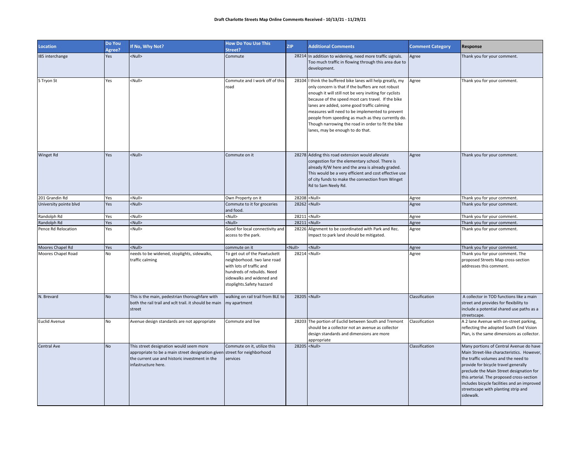| <b>Location</b>        | Do You<br>Agree? | If No, Why Not?                                                                                                                                                                               | <b>How Do You Use This</b><br>Street?                                                                                                                                           | <b>ZIP</b>    | <b>Additional Comments</b>                                                                                                                                                                                                                                                                                                                                                                                                                                                         | <b>Comment Category</b> | Response                                                                                                                                                                                                                                                                                                                                                         |
|------------------------|------------------|-----------------------------------------------------------------------------------------------------------------------------------------------------------------------------------------------|---------------------------------------------------------------------------------------------------------------------------------------------------------------------------------|---------------|------------------------------------------------------------------------------------------------------------------------------------------------------------------------------------------------------------------------------------------------------------------------------------------------------------------------------------------------------------------------------------------------------------------------------------------------------------------------------------|-------------------------|------------------------------------------------------------------------------------------------------------------------------------------------------------------------------------------------------------------------------------------------------------------------------------------------------------------------------------------------------------------|
| 185 interchange        | Yes              | $\langle \text{Null} \rangle$                                                                                                                                                                 | Commute                                                                                                                                                                         |               | 28214 In addition to widening, need more traffic signals.<br>Too much traffic in flowing through this area due to<br>development.                                                                                                                                                                                                                                                                                                                                                  | Agree                   | Thank you for your comment.                                                                                                                                                                                                                                                                                                                                      |
| S Tryon St             | Yes              | <null></null>                                                                                                                                                                                 | Commute and I work off of this<br>road                                                                                                                                          |               | 28104 I think the buffered bike lanes will help greatly, my<br>only concern is that if the buffers are not robust<br>enough it will still not be very inviting for cyclists<br>because of the speed most cars travel. If the bike<br>lanes are added, some good traffic calming<br>measures will need to be implemented to prevent<br>people from speeding as much as they currently do.<br>Though narrowing the road in order to fit the bike<br>lanes, may be enough to do that. | Agree                   | Thank you for your comment.                                                                                                                                                                                                                                                                                                                                      |
| <b>Winget Rd</b>       | Yes              | <null></null>                                                                                                                                                                                 | Commute on it                                                                                                                                                                   |               | 28278 Adding this road extension would alleviate<br>congestion for the elementary school. There is<br>already R/W here and the area is already graded.<br>This would be a very efficient and cost effective use<br>of city funds to make the connection from Winget<br>Rd to Sam Neely Rd.                                                                                                                                                                                         | Agree                   | Thank you for your comment.                                                                                                                                                                                                                                                                                                                                      |
| 201 Grandin Rd         | Yes              | <null></null>                                                                                                                                                                                 | Own Property on it                                                                                                                                                              |               | 28208 <null></null>                                                                                                                                                                                                                                                                                                                                                                                                                                                                | Agree                   | Thank you for your comment.                                                                                                                                                                                                                                                                                                                                      |
| University pointe blvd | Yes              | <null></null>                                                                                                                                                                                 | Commute to it for groceries<br>and food.                                                                                                                                        |               | 28262 <null></null>                                                                                                                                                                                                                                                                                                                                                                                                                                                                | Agree                   | Thank you for your comment.                                                                                                                                                                                                                                                                                                                                      |
| Randolph Rd            | Yes              | <null></null>                                                                                                                                                                                 | <null></null>                                                                                                                                                                   |               | 28211 <null></null>                                                                                                                                                                                                                                                                                                                                                                                                                                                                | Agree                   | Thank you for your comment.                                                                                                                                                                                                                                                                                                                                      |
| Randolph Rd            | Yes              | <null></null>                                                                                                                                                                                 | <null></null>                                                                                                                                                                   |               | 28211 <null></null>                                                                                                                                                                                                                                                                                                                                                                                                                                                                | Agree                   | Thank you for your comment.                                                                                                                                                                                                                                                                                                                                      |
| Pence Rd Relocation    | Yes              | <null></null>                                                                                                                                                                                 | Good for local connectivity and<br>access to the park.                                                                                                                          |               | 28226 Alignment to be coordinated with Park and Rec.<br>Impact to park land should be mitigated.                                                                                                                                                                                                                                                                                                                                                                                   | Agree                   | Thank you for your comment.                                                                                                                                                                                                                                                                                                                                      |
| Moores Chapel Rd       | Yes              | <null></null>                                                                                                                                                                                 | commute on it                                                                                                                                                                   | <null></null> | <null></null>                                                                                                                                                                                                                                                                                                                                                                                                                                                                      | Agree                   | Thank you for your comment.                                                                                                                                                                                                                                                                                                                                      |
| Moores Chapel Road     | No               | needs to be widened, stoplights, sidewalks,<br>traffic calming                                                                                                                                | To get out of the Pawtuckett<br>neighborhood. two lane road<br>with lots of traffic and<br>hundreds of rebuilds. Need<br>sidewalks and widened and<br>stoplights.Safety hazzard |               | 28214 <null></null>                                                                                                                                                                                                                                                                                                                                                                                                                                                                | Agree                   | Thank you for your comment. The<br>proposed Streets Map cross-section<br>addresses this comment.                                                                                                                                                                                                                                                                 |
| N. Brevard             | <b>No</b>        | This is the main, pedestrian thoroughfare with<br>both the rail trail and xclt trail. it should be main<br>street                                                                             | walking on rail trail from BLE to<br>my apartment                                                                                                                               |               | 28205 <null></null>                                                                                                                                                                                                                                                                                                                                                                                                                                                                | Classification          | A collector in TOD functions like a main<br>street and provides for flexibility to<br>include a potential shared use paths as a<br>streetscape.                                                                                                                                                                                                                  |
| <b>Euclid Avenue</b>   | No               | Avenue design standards are not appropriate                                                                                                                                                   | Commute and live                                                                                                                                                                |               | 28203 The portion of Euclid between South and Tremont<br>should be a collector not an avenue as collector<br>design standards and dimensions are more<br>appropriate                                                                                                                                                                                                                                                                                                               | Classification          | A 2 lane Avenue with on-street parking,<br>reflecting the adopted South End Vision<br>Plan, is the same dimensions as collector.                                                                                                                                                                                                                                 |
| <b>Central Ave</b>     | <b>No</b>        | This street designation would seem more<br>appropriate to be a main street designation given street for neighborhood<br>the current use and historic investment in the<br>infastructure here. | Commute on it, utilize this<br>services                                                                                                                                         |               | 28205 <null></null>                                                                                                                                                                                                                                                                                                                                                                                                                                                                | Classification          | Many portions of Central Avenue do have<br>Main Street-like characteristics. However,<br>the traffic volumes and the need to<br>provide for bicycle travel generally<br>preclude the Main Street designation for<br>this arterial. The proposed cross-section<br>includes bicycle facilities and an improved<br>streetscape with planting strip and<br>sidewalk. |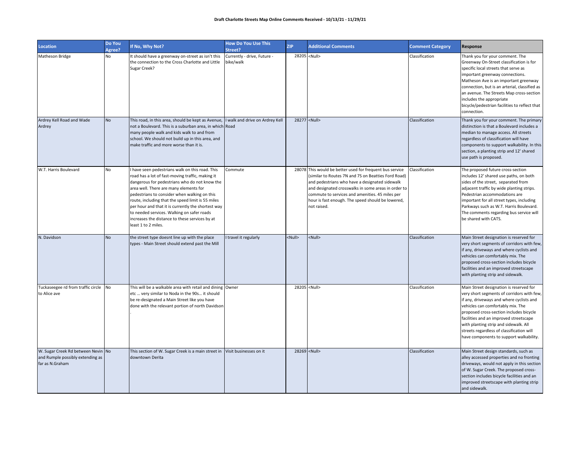| <b>Location</b>                                                                           | Do You<br>Agree? | If No, Why Not?                                                                                                                                                                                                                                                                                                                                                                                                                                                                  | <b>How Do You Use This</b><br>Street?    | <b>ZIP</b>    | <b>Additional Comments</b>                                                                                                                                                                                                                                                                                                                      | <b>Comment Category</b> | Response                                                                                                                                                                                                                                                                                                                                                                                     |
|-------------------------------------------------------------------------------------------|------------------|----------------------------------------------------------------------------------------------------------------------------------------------------------------------------------------------------------------------------------------------------------------------------------------------------------------------------------------------------------------------------------------------------------------------------------------------------------------------------------|------------------------------------------|---------------|-------------------------------------------------------------------------------------------------------------------------------------------------------------------------------------------------------------------------------------------------------------------------------------------------------------------------------------------------|-------------------------|----------------------------------------------------------------------------------------------------------------------------------------------------------------------------------------------------------------------------------------------------------------------------------------------------------------------------------------------------------------------------------------------|
| <b>Matheson Bridge</b>                                                                    | No               | It should have a greenway on-street as isn't this<br>the connection to the Cross Charlotte and Little<br>Sugar Creek?                                                                                                                                                                                                                                                                                                                                                            | Currently - drive, Future -<br>bike/walk |               | 28205 <null></null>                                                                                                                                                                                                                                                                                                                             | Classification          | Thank you for your comment. The<br>Greenway On-Street classification is for<br>specific local streets that serve as<br>important greenway connections.<br>Matheson Ave is an important greenway<br>connection, but is an arterial, classified as<br>an avenue. The Streets Map cross-section<br>includes the appropriate<br>bicycle/pedestrian facilities to reflect that<br>connection.     |
| Ardrey Kell Road and Wade<br>Ardrey                                                       | <b>No</b>        | This road, in this area, should be kept as Avenue, I walk and drive on Ardrey Kell<br>not a Boulevard. This is a suburban area, in which Road<br>many people walk and kids walk to and from<br>school. We should not build up in this area, and<br>make traffic and more worse than it is.                                                                                                                                                                                       |                                          |               | 28277 <null></null>                                                                                                                                                                                                                                                                                                                             | Classification          | Thank you for your comment. The primary<br>distinction is that a Boulevard includes a<br>median to manage access. All streets<br>regardless of classification will have<br>components to support walkability. In this<br>section, a planting strip and 12' shared<br>use path is proposed.                                                                                                   |
| W.T. Harris Boulevard                                                                     | No               | I have seen pedestrians walk on this road. This<br>road has a lot of fast-moving traffic, making it<br>dangerous for pedestrians who do not know the<br>area well. There are many elements for<br>pedestrians to consider when walking on this<br>route, including that the speed limit is 55 miles<br>per hour and that it is currently the shortest way<br>to needed services. Walking on safer roads<br>increases the distance to these services by at<br>least 1 to 2 miles. | Commute                                  |               | 28078 This would be better used for frequent bus service<br>(similar to Routes 7N and 7S on Beatties Ford Road)<br>and pedestrians who have a designated sidewalk<br>and designated crosswalks in some areas in order to<br>commute to services and amenities. 45 miles per<br>hour is fast enough. The speed should be lowered,<br>not raised. | Classification          | The proposed future cross-section<br>includes 12' shared use paths, on both<br>sides of the street, separated from<br>adjacent traffic by wide planting strips.<br>Pedestrian accommodations are<br>important for all street types, including<br>Parkways such as W.T. Harris Boulevard.<br>The comments regarding bus service will<br>be shared with CATS.                                  |
| N. Davidson                                                                               | No               | the street type doesnt line up with the place<br>types - Main Street should extend past the Mill                                                                                                                                                                                                                                                                                                                                                                                 | I travel it regularly                    | <null></null> | <null></null>                                                                                                                                                                                                                                                                                                                                   | Classification          | Main Street designation is reserved for<br>very short segments of corridors with few,<br>if any, driveways and where cyclists and<br>vehicles can comfortably mix. The<br>proposed cross-section includes bicycle<br>facilities and an improved streetscape<br>with planting strip and sidewalk.                                                                                             |
| Tuckaseegee rd from traffic circle<br>to Alice ave                                        | No               | This will be a walkable area with retail and dining Owner<br>etc  very similar to Noda in the 90s it should<br>be re-designated a Main Street like you have<br>done with the relevant portion of north Davidson                                                                                                                                                                                                                                                                  |                                          |               | 28205 <null></null>                                                                                                                                                                                                                                                                                                                             | Classification          | Main Street designation is reserved for<br>very short segments of corridors with few,<br>if any, driveways and where cyclists and<br>vehicles can comfortably mix. The<br>proposed cross-section includes bicycle<br>facilities and an improved streetscape<br>with planting strip and sidewalk. All<br>streets regardless of classification will<br>have components to support walkability. |
| W. Sugar Creek Rd between Nevin No<br>and Rumple possibly extending as<br>far as N.Graham |                  | This section of W. Sugar Creek is a main street in Visit businesses on it<br>downtown Derita                                                                                                                                                                                                                                                                                                                                                                                     |                                          |               | 28269 <null></null>                                                                                                                                                                                                                                                                                                                             | Classification          | Main Street design standards, such as<br>alley accessed properties and no fronting<br>driveways, would not apply in this section<br>of W. Sugar Creek. The proposed cross-<br>section includes bicycle facilities and an<br>improved streetscape with planting strip<br>and sidewalk.                                                                                                        |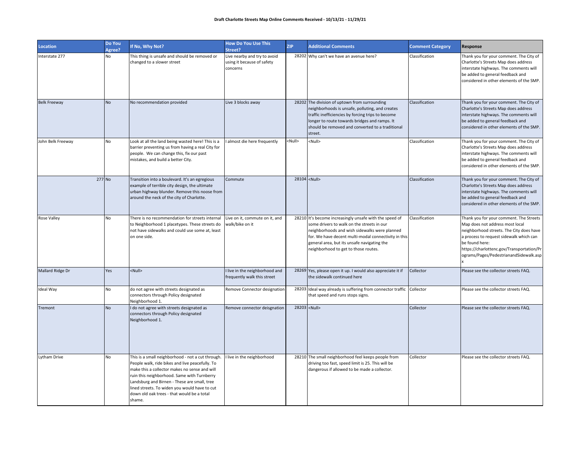| Location            | Do You<br>Agree? | If No, Why Not?                                                                                                                                                                                                                                                                                                                                              | <b>How Do You Use This</b><br>Street?                                  | <b>ZIP</b>    | <b>Additional Comments</b>                                                                                                                                                                                                                                                                            | <b>Comment Category</b> | Response                                                                                                                                                                                                                                                                   |
|---------------------|------------------|--------------------------------------------------------------------------------------------------------------------------------------------------------------------------------------------------------------------------------------------------------------------------------------------------------------------------------------------------------------|------------------------------------------------------------------------|---------------|-------------------------------------------------------------------------------------------------------------------------------------------------------------------------------------------------------------------------------------------------------------------------------------------------------|-------------------------|----------------------------------------------------------------------------------------------------------------------------------------------------------------------------------------------------------------------------------------------------------------------------|
| nterstate 277       | <b>No</b>        | This thing is unsafe and should be removed or<br>changed to a slower street                                                                                                                                                                                                                                                                                  | Live nearby and try to avoid<br>using it because of safety<br>concerns |               | 28202 Why can't we have an avenue here?                                                                                                                                                                                                                                                               | Classification          | Thank you for your comment. The City of<br>Charlotte's Streets Map does address<br>interstate highways. The comments will<br>be added to general feedback and<br>considered in other elements of the SMP.                                                                  |
| <b>Belk Freeway</b> | <b>No</b>        | No recommendation provided                                                                                                                                                                                                                                                                                                                                   | Live 3 blocks away                                                     |               | 28202 The division of uptown from surrounding<br>neighborhoods is unsafe, polluting, and creates<br>traffic inefficiencies by forcing trips to become<br>longer to route towards bridges and ramps. It<br>should be removed and converted to a traditional<br>street.                                 | Classification          | Thank you for your comment. The City of<br>Charlotte's Streets Map does address<br>interstate highways. The comments will<br>be added to general feedback and<br>considered in other elements of the SMP.                                                                  |
| John Belk Freeway   | No               | Look at all the land being wasted here! This is a<br>barrier preventing us from having a real City for<br>people. We can change this, fix our past<br>mistakes, and build a better City.                                                                                                                                                                     | almost die here frequently                                             | <null></null> | <null></null>                                                                                                                                                                                                                                                                                         | Classification          | Thank you for your comment. The City of<br>Charlotte's Streets Map does address<br>interstate highways. The comments will<br>be added to general feedback and<br>considered in other elements of the SMP.                                                                  |
|                     | 277 No           | Transition into a boulevard. It's an egregious<br>example of terrible city design, the ultimate<br>urban highway blunder. Remove this noose from<br>around the neck of the city of Charlotte.                                                                                                                                                                | Commute                                                                |               | 28104 <null></null>                                                                                                                                                                                                                                                                                   | Classification          | Thank you for your comment. The City of<br>Charlotte's Streets Map does address<br>interstate highways. The comments will<br>be added to general feedback and<br>considered in other elements of the SMP.                                                                  |
| Rose Valley         | No               | There is no recommendation for streets internal<br>to Neighborhood 1 placetypes. These streets do<br>not have sidewalks and could use some at, least<br>on one side.                                                                                                                                                                                         | Live on it, commute on it, and<br>walk/bike on it                      |               | 28210 It's become increasingly unsafe with the speed of<br>some drivers to walk on the streets in our<br>neighborhoods and wish sidewalks were planned<br>for. We have decent multi-modal connectivity in this<br>general area, but its unsafe navigating the<br>neighborhood to get to those routes. | Classification          | Thank you for your comment. The Streets<br>Map does not address most local<br>neighborhood streets. The City does have<br>a process to request sidewalk which can<br>be found here:<br>https://charlottenc.gov/Transportation/Pr<br>ograms/Pages/PedestrianandSidewalk.asp |
| Mallard Ridge Dr    | Yes              | <null></null>                                                                                                                                                                                                                                                                                                                                                | live in the neighborhood and<br>frequently walk this street            |               | 28269 Yes, please open it up. I would also appreciate it if<br>the sidewalk continued here                                                                                                                                                                                                            | Collector               | Please see the collector streets FAQ.                                                                                                                                                                                                                                      |
| Ideal Way           | No               | do not agree with streets designated as<br>connectors through Policy designated<br>Neighborhood 1.                                                                                                                                                                                                                                                           | Remove Connector designation                                           |               | 28203 Ideal way already is suffering from connector traffic Collector<br>that speed and runs stops signs.                                                                                                                                                                                             |                         | Please see the collector streets FAQ.                                                                                                                                                                                                                                      |
| Tremont             | <b>No</b>        | I do not agree with streets designated as<br>connectors through Policy designated<br>Neighborhood 1.                                                                                                                                                                                                                                                         | Remove connector deisgnation                                           |               | 28203 <null></null>                                                                                                                                                                                                                                                                                   | Collector               | Please see the collector streets FAQ.                                                                                                                                                                                                                                      |
| Lytham Drive        | No               | This is a small neighborhood - not a cut through<br>People walk, ride bikes and live peacefully. To<br>make this a collector makes no sense and will<br>ruin this neighborhood. Same with Turnberry<br>Landsburg and Birnen - These are small, tree<br>lined streets. To widen you would have to cut<br>down old oak trees - that would be a total<br>shame. | live in the neighborhood                                               |               | 28210 The small neighborhood feel keeps people from<br>driving too fast, speed limit is 25. This will be<br>dangerous if allowed to be made a collector.                                                                                                                                              | Collector               | Please see the collector streets FAQ.                                                                                                                                                                                                                                      |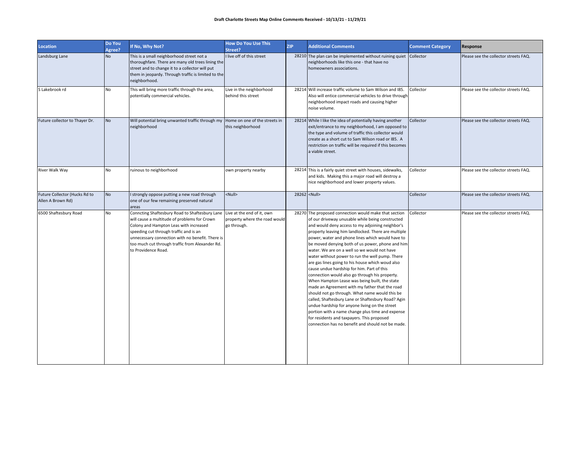| Location                                           | Do You<br>Agree? | If No, Why Not?                                                                                                                                                                                                                                                                                                                             | <b>How Do You Use This</b><br>Street?          | <b>ZIP</b> | <b>Additional Comments</b>                                                                                                                                                                                                                                                                                                                                                                                                                                                                                                                                                                                                                                                                                                                                                                                                                                                                                                                                                                              | <b>Comment Category</b> | <b>Response</b>                       |
|----------------------------------------------------|------------------|---------------------------------------------------------------------------------------------------------------------------------------------------------------------------------------------------------------------------------------------------------------------------------------------------------------------------------------------|------------------------------------------------|------------|---------------------------------------------------------------------------------------------------------------------------------------------------------------------------------------------------------------------------------------------------------------------------------------------------------------------------------------------------------------------------------------------------------------------------------------------------------------------------------------------------------------------------------------------------------------------------------------------------------------------------------------------------------------------------------------------------------------------------------------------------------------------------------------------------------------------------------------------------------------------------------------------------------------------------------------------------------------------------------------------------------|-------------------------|---------------------------------------|
| Landsburg Lane                                     | <b>No</b>        | This is a small neighborhood street not a<br>thoroughfare. There are many old trees lining the<br>street and to change it to a collector will put<br>them in jeopardy. Through traffic is limited to the<br>neighborhood.                                                                                                                   | I live off of this street                      |            | 28210 The plan can be implemented without ruining quiet Collector<br>neighborhoods like this one - that have no<br>homeowners associations.                                                                                                                                                                                                                                                                                                                                                                                                                                                                                                                                                                                                                                                                                                                                                                                                                                                             |                         | Please see the collector streets FAQ. |
| S Lakebrook rd                                     | No               | This will bring more traffic through the area,<br>potentially commercial vehicles.                                                                                                                                                                                                                                                          | Live in the neighborhood<br>behind this street |            | 28214 Will increase traffic volume to Sam Wilson and I85.<br>Also will entice commercial vehicles to drive through<br>neighborhood impact roads and causing higher<br>noise volume.                                                                                                                                                                                                                                                                                                                                                                                                                                                                                                                                                                                                                                                                                                                                                                                                                     | Collector               | Please see the collector streets FAQ. |
| Future collector to Thayer Dr.                     | <b>No</b>        | Will potential bring unwanted traffic through my  Home on one of the streets in<br>neighborhood                                                                                                                                                                                                                                             | this neighborhood                              |            | 28214 While I like the idea of potentially having another<br>exit/entrance to my neighborhood, I am opposed to<br>the type and volume of traffic this collector would<br>create as a short cut to Sam Wilson road or I85. A<br>restriction on traffic will be required if this becomes<br>a viable street.                                                                                                                                                                                                                                                                                                                                                                                                                                                                                                                                                                                                                                                                                              | Collector               | Please see the collector streets FAQ. |
| River Walk Way                                     | No               | ruinous to neighborhood                                                                                                                                                                                                                                                                                                                     | own property nearby                            |            | 28214 This is a fairly quiet street with houses, sidewalks,<br>and kids. Making this a major road will destroy a<br>nice neighborhood and lower property values.                                                                                                                                                                                                                                                                                                                                                                                                                                                                                                                                                                                                                                                                                                                                                                                                                                        | Collector               | Please see the collector streets FAQ. |
| Future Collector (Hucks Rd to<br>Allen A Brown Rd) | <b>No</b>        | I strongly oppose putting a new road through<br>one of our few remaining preserved natural<br>areas                                                                                                                                                                                                                                         | <null></null>                                  |            | 28262 <null></null>                                                                                                                                                                                                                                                                                                                                                                                                                                                                                                                                                                                                                                                                                                                                                                                                                                                                                                                                                                                     | Collector               | Please see the collector streets FAQ. |
| 6500 Shaftesbury Road                              | No               | Conncting Shaftesbury Road to Shaftesbury Lane Live at the end of it, own<br>will cause a multitude of problems for Crown<br>Colony and Hampton Leas with increased<br>speeding cut through traffic and is an<br>unnecessary connection with no benefit. There is<br>too much cut through traffic from Alexander Rd.<br>to Providence Road. | property where the road would<br>go through.   |            | 28270 The proposed connection would make that section<br>of our driveway unusable while being constructed<br>and would deny access to my adjoining neighbor's<br>property leaving him landlocked. There are multiple<br>power, water and phone lines which would have to<br>be moved denying both of us power, phone and him<br>water. We are on a well so we would not have<br>water without power to run the well pump. There<br>are gas lines going to his house which woud also<br>cause undue hardship for him. Part of this<br>connection would also go through his property.<br>When Hampton Lease was being built, the state<br>made an Agreement with my father that the road<br>should not go through. What name would this be<br>called, Shaftesbury Lane or Shaftesbury Road? Agin<br>undue hardship for anyone living on the street<br>portion with a name change plus time and expense<br>for residents and taxpayers. This proposed<br>connection has no benefit and should not be made. | Collector               | Please see the collector streets FAQ. |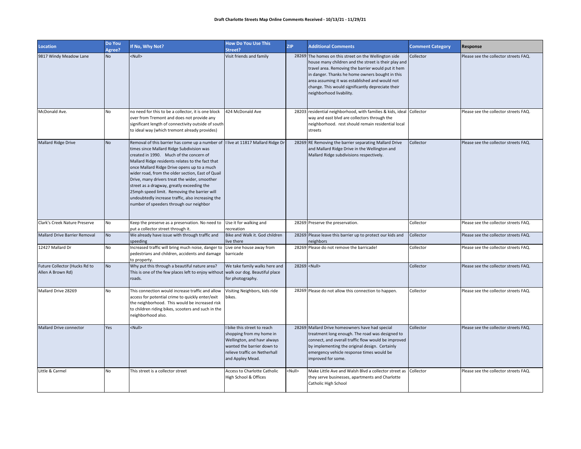| <b>Location</b>                                    | Do You<br>Agree? | If No, Why Not?                                                                                                                                                                                                                                                                                                                                                                                                                                                                                                                                                                 | <b>How Do You Use This</b><br>Street?                                                                                                                                     | <b>ZIP</b>    | <b>Additional Comments</b>                                                                                                                                                                                                                                                                                                                                | <b>Comment Category</b> | Response                              |
|----------------------------------------------------|------------------|---------------------------------------------------------------------------------------------------------------------------------------------------------------------------------------------------------------------------------------------------------------------------------------------------------------------------------------------------------------------------------------------------------------------------------------------------------------------------------------------------------------------------------------------------------------------------------|---------------------------------------------------------------------------------------------------------------------------------------------------------------------------|---------------|-----------------------------------------------------------------------------------------------------------------------------------------------------------------------------------------------------------------------------------------------------------------------------------------------------------------------------------------------------------|-------------------------|---------------------------------------|
| 9817 Windy Meadow Lane                             | <b>No</b>        | <null></null>                                                                                                                                                                                                                                                                                                                                                                                                                                                                                                                                                                   | Visit friends and family                                                                                                                                                  |               | 28269 The homes on this street on the Wellington side<br>house many children and the street is their play and<br>travel area. Removing the barrier would put it hem<br>in danger. Thanks he home owners bought in this<br>area assuming it was established and would not<br>change. This would significantly depreciate their<br>neighborhood livability. | Collector               | Please see the collector streets FAQ. |
| McDonald Ave.                                      | <b>No</b>        | no need for this to be a collector, it is one block<br>over from Tremont and does not provide any<br>significant length of connectivity outside of south<br>to ideal way (which tremont already provides)                                                                                                                                                                                                                                                                                                                                                                       | 424 McDonald Ave                                                                                                                                                          |               | 28203 residential neighborhood, with families & kids, ideal Collector<br>way and east blvd are collectors through the<br>neighborhood. rest should remain residential local<br>streets                                                                                                                                                                    |                         | Please see the collector streets FAQ. |
| <b>Mallard Ridge Drive</b>                         | <b>No</b>        | Removal of this barrier has come up a number of I live at 11817 Mallard Ridge Dr<br>times since Mallard Ridge Subdivision was<br>created in 1990. Much of the concern of<br>Mallard Ridge residents relates to the fact that<br>once Mallard Ridge Drive opens up to a much<br>wider road, from the older section, East of Quail<br>Drive, many drivers treat the wider, smoother<br>street as a dragway, greatly exceeding the<br>25mph speed limit. Removing the barrier will<br>undoubtedly increase traffic, also increasing the<br>number of speeders through our neighbor |                                                                                                                                                                           |               | 28269 RE Removing the barrier separating Mallard Drive<br>and Mallard Ridge Drive in the Wellington and<br>Mallard Ridge subdivisions respectively.                                                                                                                                                                                                       | Collector               | Please see the collector streets FAQ. |
| Clark's Creek Nature Preserve                      | No               | Keep the preserve as a preservation. No need to Use it for walking and<br>put a collector street through it.                                                                                                                                                                                                                                                                                                                                                                                                                                                                    | recreation                                                                                                                                                                |               | 28269 Preserve the preservation.                                                                                                                                                                                                                                                                                                                          | Collector               | Please see the collector streets FAQ. |
| <b>Mallard Drive Barrier Removal</b>               | <b>No</b>        | We already have issue with through traffic and<br>speeding                                                                                                                                                                                                                                                                                                                                                                                                                                                                                                                      | Bike and Walk it. God children<br>live there                                                                                                                              |               | 28269 Please leave this barrier up to protect our kids and<br>neighbors                                                                                                                                                                                                                                                                                   | Collector               | Please see the collector streets FAQ. |
| 12427 Mallard Dr                                   | N <sub>o</sub>   | Increased traffic will bring much noise, danger to<br>pedestrians and children, accidents and damage<br>to property.                                                                                                                                                                                                                                                                                                                                                                                                                                                            | Live one house away from<br>barricade                                                                                                                                     |               | 28269 Please do not remove the barricade!                                                                                                                                                                                                                                                                                                                 | Collector               | Please see the collector streets FAQ. |
| Future Collector (Hucks Rd to<br>Allen A Brown Rd) | <b>No</b>        | Why put this through a beautiful nature area?<br>This is one of the few places left to enjoy without walk our dog. Beautiful place<br>roads.                                                                                                                                                                                                                                                                                                                                                                                                                                    | We take family walks here and<br>for photography.                                                                                                                         |               | 28269 <null></null>                                                                                                                                                                                                                                                                                                                                       | Collector               | Please see the collector streets FAQ. |
| Mallard Drive 28269                                | <b>No</b>        | This connection would increase traffic and allow<br>access for potential crime to quickly enter/exit<br>the neighborhood. This would be increased risk<br>to children riding bikes, scooters and such in the<br>neighborhood also.                                                                                                                                                                                                                                                                                                                                              | Visiting Neighbors, kids ride<br>bikes.                                                                                                                                   |               | 28269 Please do not allow this connection to happen.                                                                                                                                                                                                                                                                                                      | Collector               | Please see the collector streets FAQ. |
| Mallard Drive connector                            | Yes              | <null></null>                                                                                                                                                                                                                                                                                                                                                                                                                                                                                                                                                                   | I bike this street to reach<br>shopping from my home in<br>Wellington, and havr always<br>wanted the barrier down to<br>relieve traffic on Netherhall<br>and Appley Mead. |               | 28269 Mallard Drive homeowners have had special<br>treatment long enough. The road was designed to<br>connect, and overall traffic flow would be improved<br>by implementing the original design. Certainly<br>emergency vehicle response times would be<br>improved for some.                                                                            | Collector               | Please see the collector streets FAQ. |
| Little & Carmel                                    | <b>No</b>        | This street is a collector street                                                                                                                                                                                                                                                                                                                                                                                                                                                                                                                                               | <b>Access to Charlotte Catholic</b><br>High School & Offices                                                                                                              | <null></null> | Make Little Ave and Walsh Blvd a collector street as<br>they serve businesses, apartments and Charlotte<br>Catholic High School                                                                                                                                                                                                                           | Collector               | Please see the collector streets FAQ. |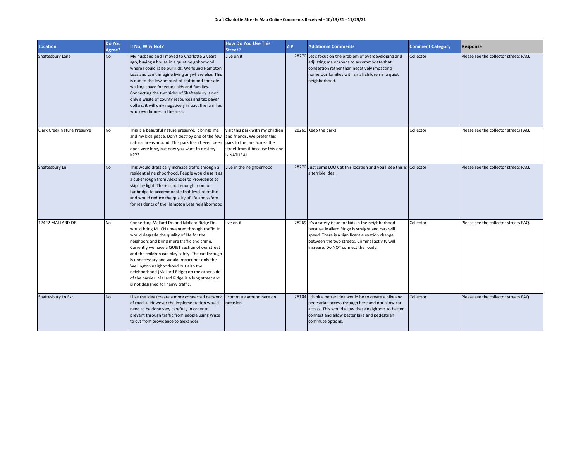| <b>Location</b>             | Do You<br>Agree? | If No, Why Not?                                                                                                                                                                                                                                                                                                                                                                                                                                                                                                                         | <b>How Do You Use This</b><br>Street?                                                                                                          | <b>ZIP</b> | <b>Additional Comments</b>                                                                                                                                                                                                                            | <b>Comment Category</b> | Response                              |
|-----------------------------|------------------|-----------------------------------------------------------------------------------------------------------------------------------------------------------------------------------------------------------------------------------------------------------------------------------------------------------------------------------------------------------------------------------------------------------------------------------------------------------------------------------------------------------------------------------------|------------------------------------------------------------------------------------------------------------------------------------------------|------------|-------------------------------------------------------------------------------------------------------------------------------------------------------------------------------------------------------------------------------------------------------|-------------------------|---------------------------------------|
| Shaftesbury Lane            | <b>No</b>        | My husband and I moved to Charlotte 2 years<br>ago, buying a house in a quiet neighborhood<br>where I could raise our kids. We found Hampton<br>Leas and can't imagine living anywhere else. This<br>is due to the low amount of traffic and the safe<br>walking space for young kids and families.<br>Connecting the two sides of Shaftesbury is not<br>only a waste of county resources and tax payer<br>dollars, it will only negatively impact the families<br>who own homes in the area.                                           | Live on it                                                                                                                                     |            | 28270 Let's focus on the problem of overdeveloping and<br>adjusting major roads to accommodate that<br>congestion rather than negatively impacting<br>numerous families with small children in a quiet<br>neighborhood.                               | Collector               | Please see the collector streets FAQ. |
| Clark Creek Nature Preserve | <b>No</b>        | This is a beautiful nature preserve. It brings me<br>and my kids peace. Don't destroy one of the few<br>natural areas around. This park hasn't even been<br>open very long, but now you want to destroy<br>it???                                                                                                                                                                                                                                                                                                                        | visit this park with my children<br>and friends. We prefer this<br>park to the one across the<br>street from it because this one<br>is NATURAL |            | 28269 Keep the park!                                                                                                                                                                                                                                  | Collector               | Please see the collector streets FAQ. |
| Shaftesbury Ln              | <b>No</b>        | This would drastically increase traffic through a<br>residential neighborhood. People would use it as<br>a cut-through from Alexander to Providence to<br>skip the light. There is not enough room on<br>Lynbridge to accommodate that level of traffic<br>and would reduce the quality of life and safety<br>for residents of the Hampton Leas neighborhood                                                                                                                                                                            | Live in the neighborhood                                                                                                                       |            | 28270 Just come LOOK at this location and you'll see this is Collector<br>a terrible idea.                                                                                                                                                            |                         | Please see the collector streets FAQ. |
| 12422 MALLARD DR            | <b>No</b>        | Connecting Mallard Dr. and Mallard Ridge Dr.<br>would bring MUCH unwanted through traffic. It<br>would degrade the quality of life for the<br>neighbors and bring more traffic and crime.<br>Currently we have a QUIET section of our street<br>and the children can play safely. The cut through<br>is unnecessary and would impact not only the<br>Wellington neighborhood but also the<br>neighborhood (Mallard Ridge) on the other side<br>of the barrier. Mallard Ridge is a long street and<br>is not designed for heavy traffic. | live on it                                                                                                                                     |            | 28269 It's a safety issue for kids in the neighborhood<br>because Mallard Ridge is straight and cars will<br>speed. There is a significant elevation change<br>between the two streets. Criminal activity will<br>increase. Do NOT connect the roads! | Collector               | Please see the collector streets FAQ. |
| Shaftesbury Ln Ext          | <b>No</b>        | like the idea (create a more connected network<br>of roads). However the implementation would<br>need to be done very carefully in order to<br>prevent through traffic from people using Waze<br>to cut from providence to alexander.                                                                                                                                                                                                                                                                                                   | commute around here on<br>occasion.                                                                                                            |            | 28104 I think a better idea would be to create a bike and<br>pedestrian access through here and not allow car<br>access. This would allow these neighbors to better<br>connect and allow better bike and pedestrian<br>commute options.               | Collector               | Please see the collector streets FAQ. |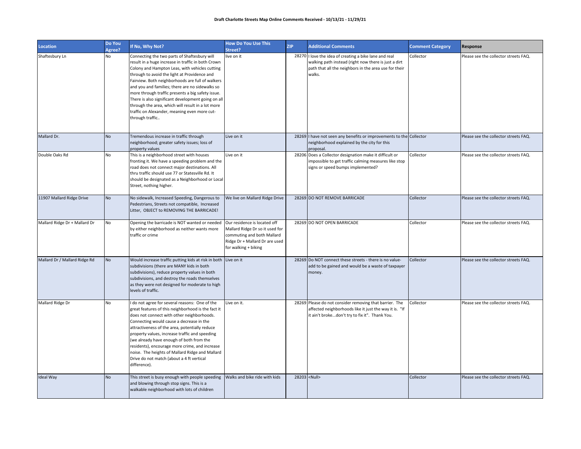| <b>Location</b>               | Do You<br>Agree? | If No, Why Not?                                                                                                                                                                                                                                                                                                                                                                                                                                                                                                                                | <b>How Do You Use This</b><br>Street?                                                                                                                   | <b>ZIP</b> | <b>Additional Comments</b>                                                                                                                                                        | <b>Comment Category</b> | Response                              |
|-------------------------------|------------------|------------------------------------------------------------------------------------------------------------------------------------------------------------------------------------------------------------------------------------------------------------------------------------------------------------------------------------------------------------------------------------------------------------------------------------------------------------------------------------------------------------------------------------------------|---------------------------------------------------------------------------------------------------------------------------------------------------------|------------|-----------------------------------------------------------------------------------------------------------------------------------------------------------------------------------|-------------------------|---------------------------------------|
| Shaftesbury Ln                | No               | Connecting the two parts of Shaftesbury will<br>result in a huge increase in traffic in both Crown<br>Colony and Hampton Leas, with vehicles cutting<br>through to avoid the light at Providence and<br>Fairview. Both neighborhoods are full of walkers<br>and you and families; there are no sidewalks so<br>more through traffic presents a big safety issue.<br>There is also significant development going on all<br>through the area, which will result in a lot more<br>traffic on Alexander, meaning even more cut-<br>through traffic | live on it                                                                                                                                              |            | 28270 I love the idea of creating a bike lane and real<br>walking path instead (right now there is just a dirt<br>path that all the neighbors in the area use for their<br>walks. | Collector               | Please see the collector streets FAQ. |
| Mallard Dr.                   | <b>No</b>        | Tremendous increase in traffic through<br>neighborhood; greater safety issues; loss of<br>property values                                                                                                                                                                                                                                                                                                                                                                                                                                      | Live on it                                                                                                                                              |            | 28269 I have not seen any benefits or improvements to the Collector<br>neighborhood explained by the city for this<br>proposal.                                                   |                         | Please see the collector streets FAQ. |
| Double Oaks Rd                | No               | This is a neighborhood street with houses<br>fronting it. We have a speeding problem and the<br>road does not connect major destinations. All<br>thru traffic should use 77 or Statesville Rd. It<br>should be designated as a Neighborhood or Local<br>Street, nothing higher.                                                                                                                                                                                                                                                                | Live on it                                                                                                                                              |            | 28206 Does a Collector designation make it difficult or<br>impossible to get traffic calming measures like stop<br>signs or speed bumps implemented?                              | Collector               | Please see the collector streets FAQ. |
| 11907 Mallard Ridge Drive     | <b>No</b>        | No sidewalk, Increased Speeding, Dangerous to<br>Pedestrians, Streets not compatible, Increased<br>Litter, OBJECT to REMOVING THE BARRICADE!                                                                                                                                                                                                                                                                                                                                                                                                   | We live on Mallard Ridge Drive                                                                                                                          |            | 28269 DO NOT REMOVE BARRICADE                                                                                                                                                     | Collector               | Please see the collector streets FAQ. |
| Mallard Ridge Dr + Mallard Dr | No               | Opening the barricade is NOT wanted or needed<br>by either neighborhood as neither wants more<br>traffic or crime                                                                                                                                                                                                                                                                                                                                                                                                                              | Our residence is located off<br>Mallard Ridge Dr so it used for<br>commuting and both Mallard<br>Ridge Dr + Mallard Dr are used<br>for walking + biking |            | 28269 DO NOT OPEN BARRICADE                                                                                                                                                       | Collector               | Please see the collector streets FAQ. |
| Mallard Dr / Mallard Ridge Rd | No               | Would increase traffic putting kids at risk in both<br>subdivisions (there are MANY kids in both<br>subdivisions), reduce property values in both<br>subdivisions, and destroy the roads themselves<br>as they were not designed for moderate to high<br>levels of traffic.                                                                                                                                                                                                                                                                    | Live on it                                                                                                                                              |            | 28269 Do NOT connect these streets - there is no value-<br>add to be gained and would be a waste of taxpayer<br>money.                                                            | Collector               | Please see the collector streets FAQ. |
| Mallard Ridge Dr              | No               | do not agree for several reasons: One of the<br>great features of this neighborhood is the fact it<br>does not connect with other neighborhoods.<br>Connecting would cause a decrease in the<br>attractiveness of the area, potentially reduce<br>property values, increase traffic and speeding<br>(we already have enough of both from the<br>residents), encourage more crime, and increase<br>noise. The heights of Mallard Ridge and Mallard<br>Drive do not match (about a 4 ft vertical<br>difference).                                 | Live on it.                                                                                                                                             |            | 28269 Please do not consider removing that barrier. The<br>affected neighborhoods like it just the way it is. "If<br>it ain't brokedon't try to fix it". Thank You.               | Collector               | Please see the collector streets FAQ. |
| <b>Ideal Way</b>              | <b>No</b>        | This street is busy enough with people speeding<br>and blowing through stop signs. This is a<br>walkable neighborhood with lots of children                                                                                                                                                                                                                                                                                                                                                                                                    | Walks and bike ride with kids                                                                                                                           |            | 28203 <null></null>                                                                                                                                                               | Collector               | Please see the collector streets FAQ. |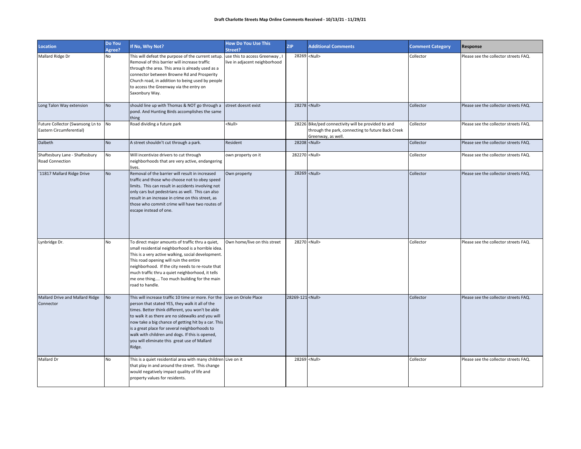| <b>Location</b>                                                 | Do You<br>Agree? | If No, Why Not?                                                                                                                                                                                                                                                                                                                                                                                                                                           | <b>How Do You Use This</b><br>Street?                           | <b>ZIP</b>              | <b>Additional Comments</b>                                                                                                     | <b>Comment Category</b> | Response                              |
|-----------------------------------------------------------------|------------------|-----------------------------------------------------------------------------------------------------------------------------------------------------------------------------------------------------------------------------------------------------------------------------------------------------------------------------------------------------------------------------------------------------------------------------------------------------------|-----------------------------------------------------------------|-------------------------|--------------------------------------------------------------------------------------------------------------------------------|-------------------------|---------------------------------------|
| Mallard Ridge Dr                                                | No               | This will defeat the purpose of the current setup.<br>Removal of this barrier will increase traffic<br>through the area. This area is already used as a<br>connector between Browne Rd and Prosperity<br>Church road, in addition to being used by people<br>to access the Greenway via the entry on<br>Saxonbury Way.                                                                                                                                    | use this to access Greenway, I<br>live in adjacent neighborhood |                         | 28269 <null></null>                                                                                                            | Collector               | Please see the collector streets FAQ. |
| Long Talon Way extension                                        | <b>No</b>        | should line up with Thomas & NOT go through a<br>pond. And Hunting Birds accomplishes the same<br>thing                                                                                                                                                                                                                                                                                                                                                   | street doesnt exist                                             |                         | 28278 <null></null>                                                                                                            | Collector               | Please see the collector streets FAQ. |
| Future Collector (Swansong Ln to No<br>Eastern Circumferential) |                  | Road dividing a future park                                                                                                                                                                                                                                                                                                                                                                                                                               | <null></null>                                                   |                         | 28226 Bike/ped connectivity will be provided to and<br>through the park, connecting to future Back Creek<br>Greenway, as well. | Collector               | Please see the collector streets FAQ. |
| Dalbeth                                                         | <b>No</b>        | A street shouldn't cut through a park.                                                                                                                                                                                                                                                                                                                                                                                                                    | Resident                                                        |                         | 28208 <null></null>                                                                                                            | Collector               | Please see the collector streets FAQ. |
| Shaftesbury Lane - Shaftesbury<br>Road Connection               | No               | Will incentivize drivers to cut through<br>neighborhoods that are very active, endangering<br>lives.                                                                                                                                                                                                                                                                                                                                                      | own property on it                                              | 282270 <null></null>    |                                                                                                                                | Collector               | Please see the collector streets FAQ. |
| 11817 Mallard Ridge Drive                                       | <b>No</b>        | Removal of the barrier will result in increased<br>traffic and those who choose not to obey speed<br>limits. This can result in accidents involving not<br>only cars but pedestrians as well. This can also<br>result in an increase in crime on this street, as<br>those who commit crime will have two routes of<br>escape instead of one.                                                                                                              | Own property                                                    |                         | 28269 <null></null>                                                                                                            | Collector               | Please see the collector streets FAQ. |
| Lynbridge Dr.                                                   | No               | To direct major amounts of traffic thru a quiet,<br>small residential neighborhood is a horrible idea.<br>This is a very active walking, social development.<br>This road opening will ruin the entire<br>neighborhood. If the city needs to re-route that<br>much traffic thru a quiet neighborhood, it tells<br>me one thing Too much building for the main<br>road to handle.                                                                          | Own home/live on this street                                    |                         | 28270 <null></null>                                                                                                            | Collector               | Please see the collector streets FAQ. |
| Mallard Drive and Mallard Ridge<br>Connector                    | <b>No</b>        | This will increase traffic 10 time or more. For the Live on Oriole Place<br>person that stated YES, they walk it all of the<br>times. Better think different, you won't be able<br>to walk it as there are no sidewalks and you will<br>now take a big chance of getting hit by a car. This<br>is a great place for several neighborhoods to<br>walk with children and dogs. If this is opened,<br>you will eliminate this great use of Mallard<br>Ridge. |                                                                 | 28269-121 <null></null> |                                                                                                                                | Collector               | Please see the collector streets FAQ. |
| Mallard Dr                                                      | <b>No</b>        | This is a quiet residential area with many children Live on it<br>that play in and around the street. This change<br>would negatively impact quality of life and<br>property values for residents.                                                                                                                                                                                                                                                        |                                                                 |                         | 28269 <null></null>                                                                                                            | Collector               | Please see the collector streets FAQ. |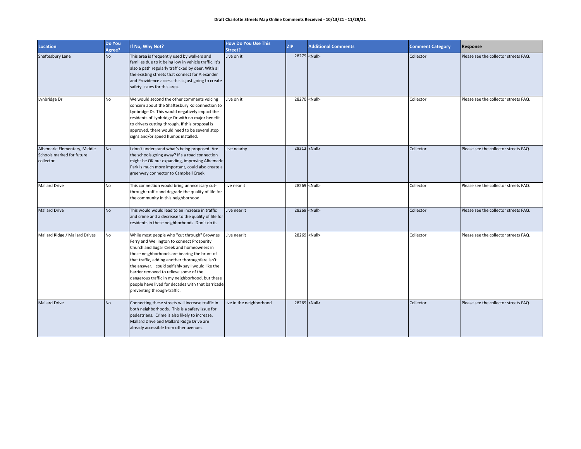| <b>Location</b>                                                        | Do You<br>Agree? | If No, Why Not?                                                                                                                                                                                                                                                                                                                                                                                                                                                                 | <b>How Do You Use This</b><br>Street? | <b>ZIP</b> | <b>Additional Comments</b> | <b>Comment Category</b> | Response                              |
|------------------------------------------------------------------------|------------------|---------------------------------------------------------------------------------------------------------------------------------------------------------------------------------------------------------------------------------------------------------------------------------------------------------------------------------------------------------------------------------------------------------------------------------------------------------------------------------|---------------------------------------|------------|----------------------------|-------------------------|---------------------------------------|
| Shaftesbury Lane                                                       | <b>No</b>        | This area is frequently used by walkers and<br>families due to it being low in vehicle traffic. It's<br>also a path regularly trafficked by deer. With all<br>the existing streets that connect for Alexander<br>and Providence access this is just going to create<br>safety issues for this area.                                                                                                                                                                             | Live on it                            |            | 28279 <null></null>        | Collector               | Please see the collector streets FAQ. |
| Lynbridge Dr                                                           | <b>No</b>        | We would second the other comments voicing<br>concern about the Shaftesbury Rd connection to<br>Lynbridge Dr. This would negatively impact the<br>residents of Lynbridge Dr with no major benefit<br>to drivers cutting through. If this proposal is<br>approved, there would need to be several stop<br>signs and/or speed humps installed.                                                                                                                                    | Live on it                            |            | 28270 <null></null>        | Collector               | Please see the collector streets FAQ. |
| Albemarle Elementary, Middle<br>Schools marked for future<br>collector | <b>No</b>        | I don't understand what's being proposed. Are<br>the schools going away? If s a road connection<br>might be OK but expanding, improving Albemarle<br>Park is much more important, could also create a<br>greenway connector to Campbell Creek.                                                                                                                                                                                                                                  | Live nearby                           |            | 28212 <null></null>        | Collector               | Please see the collector streets FAQ. |
| <b>Mallard Drive</b>                                                   | No               | This connection would bring unnecessary cut-<br>through traffic and degrade the quality of life for<br>the community in this neighborhood                                                                                                                                                                                                                                                                                                                                       | live near it                          |            | 28269 <null></null>        | Collector               | Please see the collector streets FAQ. |
| <b>Mallard Drive</b>                                                   | <b>No</b>        | This would would lead to an increase in traffic<br>and crime and a decrease to the quality of life for<br>residents in these neighborhoods. Don't do it.                                                                                                                                                                                                                                                                                                                        | Live near it                          |            | 28269 <null></null>        | Collector               | Please see the collector streets FAQ. |
| Mallard Ridge / Mallard Drives                                         | No               | While most people who "cut through" Brownes<br>Ferry and Wellington to connect Prosperity<br>Church and Sugar Creek and homeowners in<br>those neighborhoods are bearing the brunt of<br>that traffic, adding another thoroughfare isn't<br>the answer. I could selfishly say I would like the<br>barrier removed to relieve some of the<br>dangerous traffic in my neighborhood, but these<br>people have lived for decades with that barricade<br>preventing through-traffic. | Live near it                          |            | 28269 <null></null>        | Collector               | Please see the collector streets FAQ. |
| <b>Mallard Drive</b>                                                   | <b>No</b>        | Connecting these streets will increase traffic in<br>both neighborhoods. This is a safety issue for<br>pedestrians. Crime is also likely to increase.<br>Mallard Drive and Mallard Ridge Drive are<br>already accessible from other avenues.                                                                                                                                                                                                                                    | live in the neighborhood              |            | 28269 <null></null>        | Collector               | Please see the collector streets FAQ. |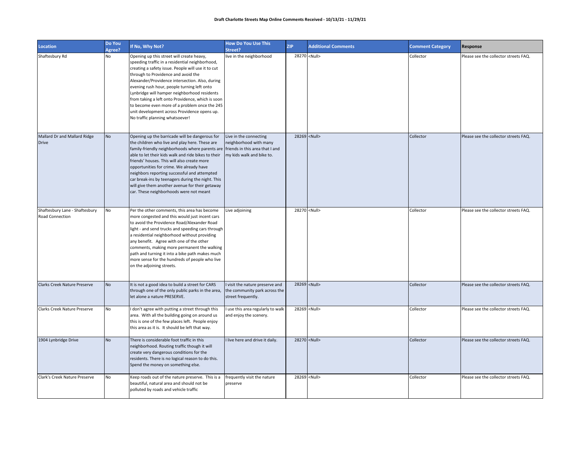| <b>Location</b>                                   | Do You<br>Agree? | If No, Why Not?                                                                                                                                                                                                                                                                                                                                                                                                                                                                                                                      | <b>How Do You Use This</b><br>Street?                                                                            | <b>ZIP</b> | <b>Additional Comments</b> | <b>Comment Category</b> | Response                              |
|---------------------------------------------------|------------------|--------------------------------------------------------------------------------------------------------------------------------------------------------------------------------------------------------------------------------------------------------------------------------------------------------------------------------------------------------------------------------------------------------------------------------------------------------------------------------------------------------------------------------------|------------------------------------------------------------------------------------------------------------------|------------|----------------------------|-------------------------|---------------------------------------|
| Shaftesbury Rd                                    | No               | Opening up this street will create heavy,<br>speeding traffic in a residential neighborhood,<br>creating a safety issue. People will use it to cut<br>through to Providence and avoid the<br>Alexander/Providence intersection. Also, during<br>evening rush hour, people turning left onto<br>Lynbridge will hamper neighborhood residents<br>from taking a left onto Providence, which is soon<br>to become even more of a problem once the 245<br>unit development across Providence opens up.<br>No traffic planning whatsoever! | live in the neighborhood                                                                                         |            | 28270 <null></null>        | Collector               | Please see the collector streets FAQ. |
| Mallard Dr and Mallard Ridge<br><b>Drive</b>      | <b>No</b>        | Opening up the barricade will be dangerous for<br>the children who live and play here. These are<br>family-friendly neighborhoods where parents are<br>able to let their kids walk and ride bikes to their<br>friends' houses. This will also create more<br>opportunities for crime. We already have<br>neighbors reporting successful and attempted<br>car break-ins by teenagers during the night. This<br>will give them another avenue for their getaway<br>car. These neighborhoods were not meant                             | Live in the connecting<br>neighborhood with many<br>friends in this area that I and<br>my kids walk and bike to. |            | 28269 <null></null>        | Collector               | Please see the collector streets FAQ. |
| Shaftesbury Lane - Shaftesbury<br>Road Connection | No               | Per the other comments, this area has become<br>more congested and this would just incent cars<br>to avoid the Providence Road/Alexander Road<br>light - and send trucks and speeding cars through<br>a residential neighborhood without providing<br>any benefit. Agree with one of the other<br>comments, making more permanent the walking<br>path and turning it into a bike path makes much<br>more sense for the hundreds of people who live<br>on the adjoining streets.                                                      | Live adjoining                                                                                                   |            | 28270 <null></null>        | Collector               | Please see the collector streets FAQ. |
| Clarks Creek Nature Preserve                      | <b>No</b>        | It is not a good idea to build a street for CARS<br>through one of the only public parks in the area,<br>let alone a nature PRESERVE.                                                                                                                                                                                                                                                                                                                                                                                                | I visit the nature preserve and<br>the community park across the<br>street frequently.                           |            | 28269 <null></null>        | Collector               | Please see the collector streets FAQ. |
| Clarks Creek Nature Preserve                      | No               | I don't agree with putting a street through this<br>area. With all the building going on around us<br>this is one of the few places left. People enjoy<br>this area as it is. It should be left that way.                                                                                                                                                                                                                                                                                                                            | I use this area regularly to walk<br>and enjoy the scenery.                                                      |            | 28269 <null></null>        | Collector               | Please see the collector streets FAQ. |
| 1904 Lynbridge Drive                              | <b>No</b>        | There is considerable foot traffic in this<br>neighborhood. Routing traffic though it will<br>create very dangerous conditions for the<br>residents. There is no logical reason to do this.<br>Spend the money on something else.                                                                                                                                                                                                                                                                                                    | I live here and drive it daily.                                                                                  |            | 28270 <null></null>        | Collector               | Please see the collector streets FAQ. |
| Clark's Creek Nature Preserve                     | No               | Keep roads out of the nature preserve. This is a<br>beautiful, natural area and should not be<br>polluted by roads and vehicle traffic                                                                                                                                                                                                                                                                                                                                                                                               | frequently visit the nature<br>preserve                                                                          |            | 28269 <null></null>        | Collector               | Please see the collector streets FAQ. |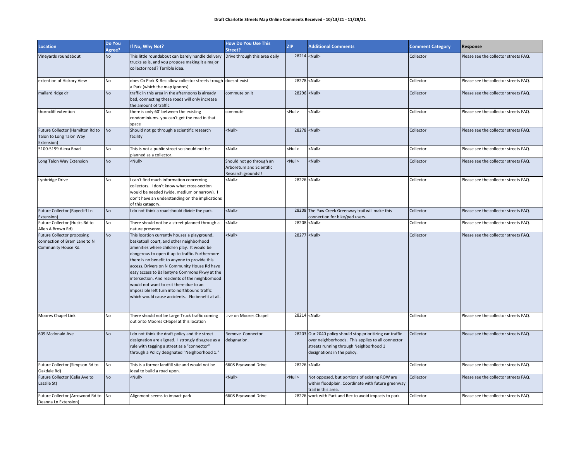| Location                                                                                 | Do You<br>Agree? | If No, Why Not?                                                                                                                                                                                                                                                                                                                                                                                                                                                                                                                             | <b>How Do You Use This</b><br>Street?                                      | <b>ZIP</b>          | <b>Additional Comments</b>                                                                                                                                                               | <b>Comment Category</b> | Response                              |
|------------------------------------------------------------------------------------------|------------------|---------------------------------------------------------------------------------------------------------------------------------------------------------------------------------------------------------------------------------------------------------------------------------------------------------------------------------------------------------------------------------------------------------------------------------------------------------------------------------------------------------------------------------------------|----------------------------------------------------------------------------|---------------------|------------------------------------------------------------------------------------------------------------------------------------------------------------------------------------------|-------------------------|---------------------------------------|
| Vineyards roundabout                                                                     | <b>No</b>        | This little roundabout can barely handle delivery<br>trucks as is, and you propose making it a major<br>collector road? Terrible idea.                                                                                                                                                                                                                                                                                                                                                                                                      | Drive through this area daily                                              | 28214 <null></null> |                                                                                                                                                                                          | Collector               | Please see the collector streets FAQ. |
| extention of Hickory View                                                                | No               | does Co Park & Rec allow collector streets trough doesnt exist<br>a Park (which the map ignores)                                                                                                                                                                                                                                                                                                                                                                                                                                            |                                                                            |                     | 28278 <null></null>                                                                                                                                                                      | Collector               | Please see the collector streets FAQ. |
| mallard ridge dr                                                                         | <b>No</b>        | traffic in this area in the afternoons is already<br>bad, connecting these roads will only increase<br>the amount of traffic                                                                                                                                                                                                                                                                                                                                                                                                                | commute on it                                                              |                     | 28296 <null></null>                                                                                                                                                                      | Collector               | Please see the collector streets FAQ. |
| thorncliff extention                                                                     | No               | there is only 60' between the existing<br>condominiums. you can't get the road in that<br>space                                                                                                                                                                                                                                                                                                                                                                                                                                             | commute                                                                    | <null></null>       | <null></null>                                                                                                                                                                            | Collector               | Please see the collector streets FAQ. |
| Future Collector (Hamilton Rd to<br>Talon to Long Talon Way<br>Extension)                | <b>No</b>        | Should not go through a scientific research<br>facility                                                                                                                                                                                                                                                                                                                                                                                                                                                                                     | <null></null>                                                              |                     | 28278 <null></null>                                                                                                                                                                      | Collector               | Please see the collector streets FAQ. |
| 5100-5199 Alexa Road                                                                     | No               | This is not a public street so should not be<br>planned as a collector.                                                                                                                                                                                                                                                                                                                                                                                                                                                                     | <null></null>                                                              | <null></null>       | <null></null>                                                                                                                                                                            | Collector               | Please see the collector streets FAQ. |
| Long Talon Way Extension                                                                 | <b>No</b>        | <null></null>                                                                                                                                                                                                                                                                                                                                                                                                                                                                                                                               | Should not go through an<br>Arboretum and Scientific<br>Research grounds!! | <null></null>       | <null></null>                                                                                                                                                                            | Collector               | Please see the collector streets FAQ. |
| Lynbridge Drive                                                                          | No               | can't find much information concerning<br>collectors. I don't know what cross-section<br>would be needed (wide, medium or narrow). I<br>don't have an understanding on the implications<br>of this catagory.                                                                                                                                                                                                                                                                                                                                | <null></null>                                                              |                     | 28226 <null></null>                                                                                                                                                                      | Collector               | Please see the collector streets FAQ. |
| Future Collector (Rayecliff Ln<br>Extension)                                             | <b>No</b>        | I do not think a road should divide the park.                                                                                                                                                                                                                                                                                                                                                                                                                                                                                               | <null></null>                                                              |                     | 28208 The Paw Creek Greenway trail will make this<br>connection for bike/ped users.                                                                                                      | Collector               | Please see the collector streets FAQ. |
| Future Collector (Hucks Rd to<br>Allen A Brown Rd)                                       | No               | There should not be a street planned through a<br>nature preserve.                                                                                                                                                                                                                                                                                                                                                                                                                                                                          | <null></null>                                                              |                     | 28208 <null></null>                                                                                                                                                                      | Collector               | Please see the collector streets FAQ. |
| <b>Future Collector proposing</b><br>connection of Brem Lane to N<br>Community House Rd. | <b>No</b>        | This location currently houses a playground,<br>basketball court, and other neighborhood<br>amenities where children play. It would be<br>dangerous to open it up to traffic. Furthermore<br>there is no benefit to anyone to provide this<br>access. Drivers on N Community House Rd have<br>easy access to Ballantyne Commons Pkwy at the<br>intersection. And residents of the neighborhood<br>would not want to exit there due to an<br>impossible left turn into northbound traffic<br>which would cause accidents. No benefit at all. | <null></null>                                                              |                     | 28277 <null></null>                                                                                                                                                                      | Collector               | Please see the collector streets FAQ. |
| Moores Chapel Link                                                                       | No               | There should not be Large Truck traffic coming<br>out onto Moores CHapel at this location                                                                                                                                                                                                                                                                                                                                                                                                                                                   | Live on Moores Chapel                                                      |                     | 28214 <null></null>                                                                                                                                                                      | Collector               | Please see the collector streets FAQ. |
| 609 Mcdonald Ave                                                                         | <b>No</b>        | I do not think the draft policy and the street<br>designation are aligned. I strongly disagree as a<br>rule with tagging a street as a "connector"<br>through a Policy designated "Neighborhood 1."                                                                                                                                                                                                                                                                                                                                         | Remove Connector<br>deisgnation.                                           |                     | 28203 Our 2040 policy should stop prioritizing car traffic<br>over neighborhoods. This applies to all connector<br>streets running through Neighborhood 1<br>designations in the policy. | Collector               | Please see the collector streets FAQ. |
| Future Collector (Simpson Rd to<br>Oakdale Rd)                                           | No               | This is a former landfill site and would not be<br>ideal to build a road upon.                                                                                                                                                                                                                                                                                                                                                                                                                                                              | 6608 Brynwood Drive                                                        |                     | 28226 <null></null>                                                                                                                                                                      | Collector               | Please see the collector streets FAQ. |
| Future Collector (Celia Ave to<br>Lasalle St)                                            | <b>No</b>        | <null></null>                                                                                                                                                                                                                                                                                                                                                                                                                                                                                                                               | <null></null>                                                              | $\leq$ Null $\geq$  | Not opposed, but portions of existing ROW are<br>within floodplain. Coordinate with future greenway<br>trail in this area.                                                               | Collector               | Please see the collector streets FAQ. |
| Future Collector (Arrowood Rd to No<br>Deanna Ln Extension)                              |                  | Alignment seems to impact park                                                                                                                                                                                                                                                                                                                                                                                                                                                                                                              | 6608 Brynwood Drive                                                        |                     | 28226 work with Park and Rec to avoid impacts to park                                                                                                                                    | Collector               | Please see the collector streets FAQ. |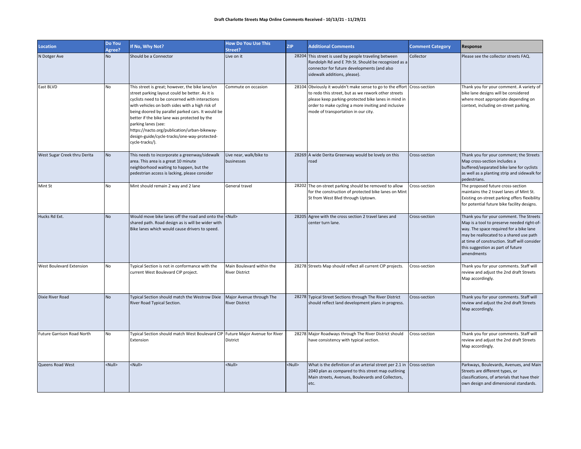| <b>Location</b>              | Do You<br>Agree? | If No, Why Not?                                                                                                                                                                                                                                                                                                                                                                                                                                         | <b>How Do You Use This</b><br>Street?              | <b>ZIP</b>    | <b>Additional Comments</b>                                                                                                                                                                                                                                                           | <b>Comment Category</b> | Response                                                                                                                                                                                                                                                                       |
|------------------------------|------------------|---------------------------------------------------------------------------------------------------------------------------------------------------------------------------------------------------------------------------------------------------------------------------------------------------------------------------------------------------------------------------------------------------------------------------------------------------------|----------------------------------------------------|---------------|--------------------------------------------------------------------------------------------------------------------------------------------------------------------------------------------------------------------------------------------------------------------------------------|-------------------------|--------------------------------------------------------------------------------------------------------------------------------------------------------------------------------------------------------------------------------------------------------------------------------|
| N Dotger Ave                 | <b>No</b>        | Should be a Connector                                                                                                                                                                                                                                                                                                                                                                                                                                   | Live on it                                         |               | 28204 This street is used by people traveling between<br>Randolph Rd and E 7th St. Should be recognized as a<br>connector for future developments (and also<br>sidewalk additions, please).                                                                                          | Collector               | Please see the collector streets FAQ.                                                                                                                                                                                                                                          |
| East BLVD                    | No               | This street is great; however, the bike lane/on<br>street parking layout could be better. As it is<br>cyclists need to be concerned with interactions<br>with vehicles on both sides with a high risk of<br>being doored by parallel parked cars. It would be<br>better if the bike lane was protected by the<br>parking lanes (see:<br>https://nacto.org/publication/urban-bikeway-<br>design-guide/cycle-tracks/one-way-protected-<br>cycle-tracks/). | Commute on occasion                                |               | 28104 Obviously it wouldn't make sense to go to the effort Cross-section<br>to redo this street, but as we rework other streets<br>please keep parking-protected bike lanes in mind in<br>order to make cycling a more inviting and inclusive<br>mode of transportation in our city. |                         | Thank you for your comment. A variety of<br>bike lane designs will be considered<br>where most appropriate depending on<br>context, including on-street parking.                                                                                                               |
| West Sugar Creek thru Derita | <b>No</b>        | This needs to incorporate a greenway/sidewalk<br>area. This area is a great 10 minute<br>neighborhood waiting to happen, but the<br>pedestrian access is lacking, please consider                                                                                                                                                                                                                                                                       | Live near, walk/bike to<br>businesses              |               | 28269 A wide Derita Greenway would be lovely on this<br>road                                                                                                                                                                                                                         | Cross-section           | Thank you for your comment; the Streets<br>Map cross-section includes a<br>buffered/separated bike lane for cyclists<br>as well as a planting strip and sidewalk for<br>pedestrians.                                                                                           |
| Mint St                      | No               | Mint should remain 2 way and 2 lane                                                                                                                                                                                                                                                                                                                                                                                                                     | General travel                                     |               | 28202 The on-street parking should be removed to allow<br>for the construction of protected bike lanes on Mint<br>St from West Blvd through Uptown.                                                                                                                                  | Cross-section           | The proposed future cross-section<br>maintains the 2 travel lanes of Mint St.<br>Existing on-street parking offers flexibility<br>for potential future bike facility designs.                                                                                                  |
| Hucks Rd Ext.                | <b>No</b>        | Would move bike lanes off the road and onto the <null><br/>shared path. Road design as is will be wider with<br/>Bike lanes which would cause drivers to speed.</null>                                                                                                                                                                                                                                                                                  |                                                    |               | 28205 Agree with the cross section 2 travel lanes and<br>center turn lane.                                                                                                                                                                                                           | Cross-section           | Thank you for your comment. The Streets<br>Map is a tool to preserve needed right-of-<br>way. The space required for a bike lane<br>may be reallocated to a shared use path<br>at time of construction. Staff will consider<br>this suggestion as part of future<br>amendments |
| West Boulevard Extension     | No               | Typical Section is not in conformance with the<br>current West Boulevard CIP project.                                                                                                                                                                                                                                                                                                                                                                   | Main Boulevard within the<br><b>River District</b> |               | 28278 Streets Map should reflect all current CIP projects.                                                                                                                                                                                                                           | Cross-section           | Thank you for your comments. Staff will<br>review and adjust the 2nd draft Streets<br>Map accordingly.                                                                                                                                                                         |
| Dixie River Road             | <b>No</b>        | Typical Section should match the Westrow Dixie<br>River Road Typical Section.                                                                                                                                                                                                                                                                                                                                                                           | Major Avenue through The<br><b>River District</b>  |               | 28278 Typical Street Sections through The River District<br>should reflect land development plans in progress.                                                                                                                                                                       | Cross-section           | Thank you for your comments. Staff will<br>review and adjust the 2nd draft Streets<br>Map accordingly.                                                                                                                                                                         |
| Future Garrison Road North   | No               | Typical Section should match West Boulevard CIP Future Major Avenue for River<br>Extension                                                                                                                                                                                                                                                                                                                                                              | District                                           |               | 28278 Major Roadways through The River District should<br>have consistency with typical section.                                                                                                                                                                                     | Cross-section           | Thank you for your comments. Staff will<br>review and adjust the 2nd draft Streets<br>Map accordingly.                                                                                                                                                                         |
| Queens Road West             | <null></null>    | <null></null>                                                                                                                                                                                                                                                                                                                                                                                                                                           | <null></null>                                      | <null></null> | What is the definition of an arterial street per 2.1 in Cross-section<br>2040 plan as compared to this street map outlining<br>Main streets, Avenues, Boulevards and Collectors,<br>etc.                                                                                             |                         | Parkways, Boulevards, Avenues, and Main<br>Streets are different types, or<br>classifications, of arterials that have their<br>own design and dimensional standards.                                                                                                           |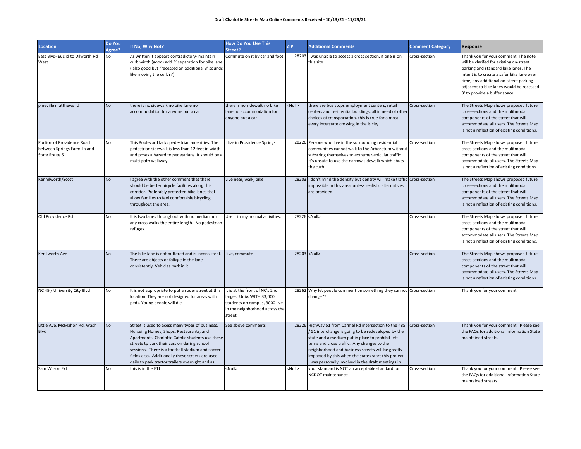| <b>Location</b>                                                             | Do You<br>Agree? | If No, Why Not?                                                                                                                                                                                                                                                                                                                                          | <b>How Do You Use This</b><br>Street?                                                                                                     | <b>ZIP</b>    | <b>Additional Comments</b>                                                                                                                                                                                                                                                                                                                                                         | <b>Comment Category</b> | Response                                                                                                                                                                                                                                                                                     |
|-----------------------------------------------------------------------------|------------------|----------------------------------------------------------------------------------------------------------------------------------------------------------------------------------------------------------------------------------------------------------------------------------------------------------------------------------------------------------|-------------------------------------------------------------------------------------------------------------------------------------------|---------------|------------------------------------------------------------------------------------------------------------------------------------------------------------------------------------------------------------------------------------------------------------------------------------------------------------------------------------------------------------------------------------|-------------------------|----------------------------------------------------------------------------------------------------------------------------------------------------------------------------------------------------------------------------------------------------------------------------------------------|
| East Blvd- Euclid to Dilworth Rd<br>West                                    | No               | As written it appears contradictory- maintain<br>curb width (good) add 3' separation for bike lane<br>(also good but "recessed an additional 3' sounds<br>like moving the curb??)                                                                                                                                                                        | Commute on it by car and foot                                                                                                             |               | 28203 I was unable to access a cross section, if one is on<br>this site                                                                                                                                                                                                                                                                                                            | Cross-section           | Thank you for your comment. The note<br>will be clarifed for existing on-street<br>parking and standard bike lanes. The<br>intent is to create a safer bike lane over<br>time; any additional on-street parking<br>adjacent to bike lanes would be recessed<br>3' to provide a buffer space. |
| pineville matthews rd                                                       | <b>No</b>        | there is no sidewalk no bike lane no<br>accommodation for anyone but a car                                                                                                                                                                                                                                                                               | there is no sidewalk no bike<br>lane no accommodation for<br>anvone but a car                                                             | <null></null> | there are bus stops employment centers, retail<br>centers and residential buildings. all in need of other<br>choices of transportation. this is true for almost<br>every interstate crossing in the is city.                                                                                                                                                                       | Cross-section           | The Streets Map shows proposed future<br>cross-sections and the mulitmodal<br>components of the street that will<br>accommodate all users. The Streets Map<br>is not a reflection of existing conditions.                                                                                    |
| Portion of Providence Road<br>between Springs Farm Ln and<br>State Route 51 | No               | This Boulevard lacks pedestrian amenities. The<br>pedestrian sidewalk is less than 12 feet in width<br>and poses a hazard to pedestrians. It should be a<br>multi-path walkway.                                                                                                                                                                          | I live in Providence Springs                                                                                                              |               | 28226 Persons who live in the surrounding residential<br>communities cannot walk to the Arboretum without<br>substring themselves to extreme vehicular traffic.<br>It's unsafe to use the narrow sidewalk which abuts<br>the curb.                                                                                                                                                 | Cross-section           | The Streets Map shows proposed future<br>cross-sections and the mulitmodal<br>components of the street that will<br>accommodate all users. The Streets Map<br>is not a reflection of existing conditions.                                                                                    |
| Kennilworth/Scott                                                           | <b>No</b>        | agree with the other comment that there<br>should be better bicycle facilities along this<br>corridor. Preferably protected bike lanes that<br>allow families to feel comfortable bicycling<br>throughout the area.                                                                                                                                      | Live near, walk, bike                                                                                                                     |               | 28203 I don't mind the density but density will make traffic Cross-section<br>impossible in this area, unless realistic alternatives<br>are provided.                                                                                                                                                                                                                              |                         | The Streets Map shows proposed future<br>cross-sections and the mulitmodal<br>components of the street that will<br>accommodate all users. The Streets Map<br>is not a reflection of existing conditions.                                                                                    |
| Old Providence Rd                                                           | No               | It is two lanes throughout with no median nor<br>any cross walks the entire length. No pedestrian<br>refuges.                                                                                                                                                                                                                                            | Use it in my normal activities.                                                                                                           |               | 28226 <null></null>                                                                                                                                                                                                                                                                                                                                                                | Cross-section           | The Streets Map shows proposed future<br>cross-sections and the mulitmodal<br>components of the street that will<br>accommodate all users. The Streets Map<br>is not a reflection of existing conditions.                                                                                    |
| Kenilworth Ave                                                              | No               | The bike lane is not buffered and is inconsistent.<br>There are objects or foliage in the lane<br>consistently. Vehicles park in it                                                                                                                                                                                                                      | Live, commute                                                                                                                             |               | 28203 <null></null>                                                                                                                                                                                                                                                                                                                                                                | Cross-section           | The Streets Map shows proposed future<br>cross-sections and the mulitmodal<br>components of the street that will<br>accommodate all users. The Streets Map<br>is not a reflection of existing conditions.                                                                                    |
| NC 49 / University City Blvd                                                | No               | It is not appropriate to put a spuer street at this<br>location. They are not designed for areas with<br>peds. Young people will die.                                                                                                                                                                                                                    | It is at the front of NC's 2nd<br>largest Univ, WITH 33,000<br>students on campus, 3000 live<br>in the neighborhood across the<br>street. |               | 28262 Why let people comment on something they cannot Cross-section<br>change??                                                                                                                                                                                                                                                                                                    |                         | Thank you for your comment.                                                                                                                                                                                                                                                                  |
| Little Ave, McMahon Rd, Wash<br><b>Blvd</b>                                 | No               | Street is used to acess many types of business,<br>Nurseing Homes, Shops, Restaurants, and<br>Apartments. Charlotte Cathlic students use these<br>streets tp park their cars on during school<br>sessions. There is a football stadium and soccer<br>fields also. Additionally these streets are used<br>daily to park tractor trailers overnight and as | See above comments                                                                                                                        |               | 28226 Highway 51 from Carmel Rd intersection to the 485<br>/51 interchange is going to be redeveloped by the<br>state and a medium put in place to prohibit left<br>turns and cross traffic. Any changes to the<br>neighborhood and business streets will be greatly<br>impacted by this when the states start this project.<br>I was personally involved in the draft meetings in | Cross-section           | Thank you for your comment. Please see<br>the FAQs for additional information State<br>maintained streets.                                                                                                                                                                                   |
| Sam Wilson Ext                                                              | No               | this is in the ETJ                                                                                                                                                                                                                                                                                                                                       | <null></null>                                                                                                                             | <null></null> | your standard is NOT an acceptable standard for<br><b>NCDOT</b> maintenance                                                                                                                                                                                                                                                                                                        | Cross-section           | Thank you for your comment. Please see<br>the FAQs for additional information State<br>maintained streets.                                                                                                                                                                                   |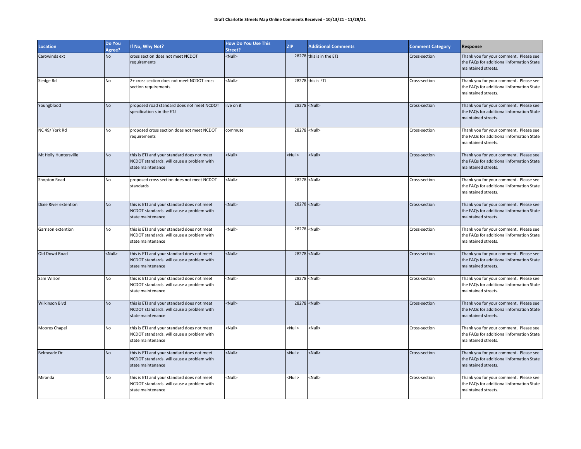| <b>Location</b>              | Do You<br>Agree? | If No, Why Not?                                                                                                | <b>How Do You Use This</b><br>Street? | <b>ZIP</b>    | <b>Additional Comments</b> | <b>Comment Category</b> | Response                                                                                                   |
|------------------------------|------------------|----------------------------------------------------------------------------------------------------------------|---------------------------------------|---------------|----------------------------|-------------------------|------------------------------------------------------------------------------------------------------------|
| Carowinds ext                | No               | cross section does not meet NCDOT<br>equirements                                                               | $\leq$ Null $\geq$                    |               | 28278 this is in the ETJ   | Cross-section           | Thank you for your comment. Please see<br>the FAQs for additional information State<br>maintained streets. |
| Sledge Rd                    | No               | 2+ cross section does not meet NCDOT cross<br>section requirements                                             | <null></null>                         |               | 28278 this is ETJ          | Cross-section           | Thank you for your comment. Please see<br>the FAQs for additional information State<br>maintained streets. |
| Youngblood                   | No               | proposed road standard does not meet NCDOT<br>specification s in the ETJ                                       | live on it                            |               | 28278 <null></null>        | Cross-section           | Thank you for your comment. Please see<br>the FAQs for additional information State<br>maintained streets. |
| NC 49/ York Rd               | No               | proposed cross section does not meet NCDOT<br>requirements                                                     | commute                               |               | 28278 <null></null>        | Cross-section           | Thank you for your comment. Please see<br>the FAQs for additional information State<br>maintained streets. |
| Mt Holly Huntersville        | No               | this is ETJ and your standard does not meet<br>NCDOT standards. will cause a problem with<br>state maintenance | <null></null>                         | <null></null> | <null></null>              | Cross-section           | Thank you for your comment. Please see<br>the FAQs for additional information State<br>maintained streets. |
| Shopton Road                 | No               | proposed cross section does not meet NCDOT<br>standards                                                        | <null></null>                         |               | 28278 <null></null>        | Cross-section           | Thank you for your comment. Please see<br>the FAQs for additional information State<br>maintained streets. |
| <b>Dixie River extention</b> | <b>No</b>        | this is ETJ and your standard does not meet<br>NCDOT standards. will cause a problem with<br>state maintenance | <null></null>                         |               | 28278 <null></null>        | Cross-section           | Thank you for your comment. Please see<br>the FAQs for additional information State<br>maintained streets. |
| Garrison extention           | No               | this is ETJ and your standard does not meet<br>NCDOT standards. will cause a problem with<br>state maintenance | <null></null>                         |               | 28278 <null></null>        | Cross-section           | Thank you for your comment. Please see<br>the FAQs for additional information State<br>maintained streets. |
| Old Dowd Road                | <null></null>    | this is ETJ and your standard does not meet<br>NCDOT standards. will cause a problem with<br>state maintenance | <null></null>                         |               | 28278 <null></null>        | Cross-section           | Thank you for your comment. Please see<br>the FAQs for additional information State<br>maintained streets. |
| Sam Wilson                   | No               | this is ETJ and your standard does not meet<br>NCDOT standards. will cause a problem with<br>state maintenance | <null></null>                         |               | 28278 <null></null>        | Cross-section           | Thank you for your comment. Please see<br>the FAQs for additional information State<br>maintained streets. |
| <b>Wilkinson Blvd</b>        | No               | this is ETJ and your standard does not meet<br>NCDOT standards. will cause a problem with<br>state maintenance | <null></null>                         |               | 28278 <null></null>        | Cross-section           | Thank you for your comment. Please see<br>the FAQs for additional information State<br>maintained streets. |
| Moores Chapel                | No               | this is ETJ and your standard does not meet<br>NCDOT standards. will cause a problem with<br>state maintenance | <null></null>                         | <null></null> | <null></null>              | Cross-section           | Thank you for your comment. Please see<br>the FAQs for additional information State<br>maintained streets. |
| <b>Belmeade Dr</b>           | No               | this is ETJ and your standard does not meet<br>NCDOT standards. will cause a problem with<br>state maintenance | <null></null>                         | <null></null> | <null></null>              | Cross-section           | Thank you for your comment. Please see<br>the FAQs for additional information State<br>maintained streets. |
| Miranda                      | No               | this is ETJ and your standard does not meet<br>NCDOT standards. will cause a problem with<br>state maintenance | <null></null>                         | <null></null> | <null></null>              | Cross-section           | Thank you for your comment. Please see<br>the FAQs for additional information State<br>maintained streets. |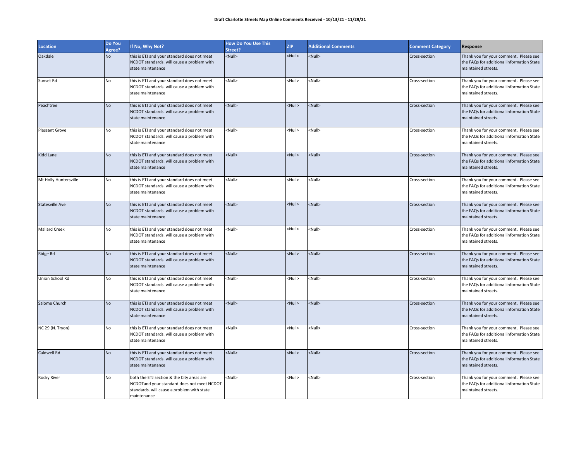| <b>Location</b>        | Do You<br>Agree? | If No, Why Not?                                                                                                                                      | <b>How Do You Use This</b><br>Street? | <b>ZIP</b>    | <b>Additional Comments</b> | <b>Comment Category</b> | Response                                                                                                   |
|------------------------|------------------|------------------------------------------------------------------------------------------------------------------------------------------------------|---------------------------------------|---------------|----------------------------|-------------------------|------------------------------------------------------------------------------------------------------------|
| Oakdale                | No               | this is ETJ and your standard does not meet<br>NCDOT standards. will cause a problem with<br>state maintenance                                       | <null></null>                         | <null></null> | <null></null>              | Cross-section           | Thank you for your comment. Please see<br>the FAQs for additional information State<br>maintained streets. |
| Sunset Rd              | <b>No</b>        | this is ETJ and your standard does not meet<br>NCDOT standards. will cause a problem with<br>state maintenance                                       | <null></null>                         | <null></null> | <null></null>              | Cross-section           | Thank you for your comment. Please see<br>the FAQs for additional information State<br>maintained streets. |
| Peachtree              | No               | this is ETJ and your standard does not meet<br>NCDOT standards. will cause a problem with<br>state maintenance                                       | <null></null>                         | <null></null> | <null></null>              | Cross-section           | Thank you for your comment. Please see<br>the FAQs for additional information State<br>maintained streets. |
| <b>Plessant Grove</b>  | No               | this is ETJ and your standard does not meet<br>NCDOT standards. will cause a problem with<br>state maintenance                                       | <null></null>                         | <null></null> | <null></null>              | Cross-section           | Thank you for your comment. Please see<br>the FAQs for additional information State<br>maintained streets. |
| Kidd Lane              | <b>No</b>        | this is ETJ and your standard does not meet<br>NCDOT standards. will cause a problem with<br>state maintenance                                       | <null></null>                         | <null></null> | <null></null>              | Cross-section           | Thank you for your comment. Please see<br>the FAQs for additional information State<br>maintained streets. |
| Mt Holly Huntersville  | No               | this is ETJ and your standard does not meet<br>NCDOT standards. will cause a problem with<br>state maintenance                                       | <null></null>                         | <null></null> | <null></null>              | Cross-section           | Thank you for your comment. Please see<br>the FAQs for additional information State<br>maintained streets. |
| <b>Statesville Ave</b> | No               | this is ETJ and your standard does not meet<br>NCDOT standards. will cause a problem with<br>state maintenance                                       | <null></null>                         | <null></null> | <null></null>              | Cross-section           | Thank you for your comment. Please see<br>the FAQs for additional information State<br>maintained streets. |
| <b>Mallard Creek</b>   | No               | this is ETJ and your standard does not meet<br>NCDOT standards. will cause a problem with<br>state maintenance                                       | <null></null>                         | <null></null> | <null></null>              | Cross-section           | Thank you for your comment. Please see<br>the FAQs for additional information State<br>maintained streets. |
| Ridge Rd               | <b>No</b>        | this is ETJ and your standard does not meet<br>NCDOT standards. will cause a problem with<br>state maintenance                                       | <null></null>                         | <null></null> | <null></null>              | Cross-section           | Thank you for your comment. Please see<br>the FAQs for additional information State<br>maintained streets. |
| Union School Rd        | No               | this is ETJ and your standard does not meet<br>NCDOT standards. will cause a problem with<br>state maintenance                                       | <null></null>                         | <null></null> | <null></null>              | Cross-section           | Thank you for your comment. Please see<br>the FAQs for additional information State<br>maintained streets. |
| Salome Church          | <b>No</b>        | this is ETJ and your standard does not meet<br>NCDOT standards. will cause a problem with<br>state maintenance                                       | <null></null>                         | <null></null> | <null></null>              | Cross-section           | Thank you for your comment. Please see<br>the FAQs for additional information State<br>maintained streets. |
| NC 29 (N. Tryon)       | No               | this is ETJ and your standard does not meet<br>NCDOT standards. will cause a problem with<br>state maintenance                                       | <null></null>                         | <null></null> | <null></null>              | Cross-section           | Thank you for your comment. Please see<br>the FAQs for additional information State<br>maintained streets. |
| Caldwell Rd            | No               | this is ETJ and your standard does not meet<br>NCDOT standards. will cause a problem with<br>state maintenance                                       | <null></null>                         | <null></null> | <null></null>              | Cross-section           | Thank you for your comment. Please see<br>the FAQs for additional information State<br>maintained streets. |
| <b>Rocky River</b>     | <b>No</b>        | both the ETJ section & the City areas are<br>NCDOTand your standard does not meet NCDOT<br>standards. will cause a problem with state<br>maintenance | <null></null>                         | <null></null> | <null></null>              | Cross-section           | Thank you for your comment. Please see<br>the FAQs for additional information State<br>maintained streets. |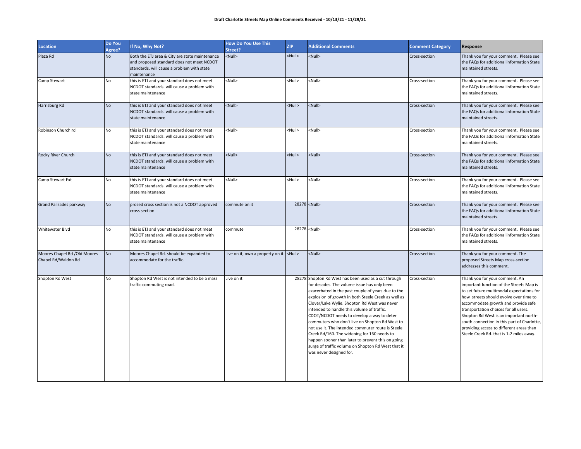| Location                                            | Do You<br>Agree? | If No, Why Not?                                                                                                                                          | <b>How Do You Use This</b><br>Street?           | <b>ZIP</b>    | <b>Additional Comments</b>                                                                                                                                                                                                                                                                                                                                                                                                                                                                                                                                                                                                                               | <b>Comment Category</b> | Response                                                                                                                                                                                                                                                                                                                                                                                                                           |
|-----------------------------------------------------|------------------|----------------------------------------------------------------------------------------------------------------------------------------------------------|-------------------------------------------------|---------------|----------------------------------------------------------------------------------------------------------------------------------------------------------------------------------------------------------------------------------------------------------------------------------------------------------------------------------------------------------------------------------------------------------------------------------------------------------------------------------------------------------------------------------------------------------------------------------------------------------------------------------------------------------|-------------------------|------------------------------------------------------------------------------------------------------------------------------------------------------------------------------------------------------------------------------------------------------------------------------------------------------------------------------------------------------------------------------------------------------------------------------------|
| Plaza Rd                                            | <b>No</b>        | Both the ETJ area & City are state maintenance<br>and proposed standard does not meet NCDOT<br>standards. will cause a problem with state<br>maintenance | <null></null>                                   | <null></null> | <null></null>                                                                                                                                                                                                                                                                                                                                                                                                                                                                                                                                                                                                                                            | Cross-section           | Thank you for your comment. Please see<br>the FAQs for additional information State<br>maintained streets.                                                                                                                                                                                                                                                                                                                         |
| Camp Stewart                                        | No               | this is ETJ and your standard does not meet<br>NCDOT standards. will cause a problem with<br>state maintenance                                           | <null></null>                                   | <null></null> | <null></null>                                                                                                                                                                                                                                                                                                                                                                                                                                                                                                                                                                                                                                            | Cross-section           | Thank you for your comment. Please see<br>the FAQs for additional information State<br>maintained streets.                                                                                                                                                                                                                                                                                                                         |
| Harrisburg Rd                                       | <b>No</b>        | this is ETJ and your standard does not meet<br>NCDOT standards. will cause a problem with<br>state maintenance                                           | <null></null>                                   | <null></null> | <null></null>                                                                                                                                                                                                                                                                                                                                                                                                                                                                                                                                                                                                                                            | Cross-section           | Thank you for your comment. Please see<br>the FAQs for additional information State<br>maintained streets.                                                                                                                                                                                                                                                                                                                         |
| Robinson Church rd                                  | <b>No</b>        | this is ETJ and your standard does not meet<br>NCDOT standards. will cause a problem with<br>state maintenance                                           | <null></null>                                   | <null></null> | <null></null>                                                                                                                                                                                                                                                                                                                                                                                                                                                                                                                                                                                                                                            | Cross-section           | Thank you for your comment. Please see<br>the FAQs for additional information State<br>maintained streets.                                                                                                                                                                                                                                                                                                                         |
| Rocky River Church                                  | <b>No</b>        | this is ETJ and your standard does not meet<br>NCDOT standards. will cause a problem with<br>state maintenance                                           | <null></null>                                   | <null></null> | $\leq$ Null $\geq$                                                                                                                                                                                                                                                                                                                                                                                                                                                                                                                                                                                                                                       | Cross-section           | Thank you for your comment. Please see<br>the FAQs for additional information State<br>maintained streets.                                                                                                                                                                                                                                                                                                                         |
| Camp Stewart Ext                                    | <b>No</b>        | this is ETJ and your standard does not meet<br>NCDOT standards. will cause a problem with<br>state maintenance                                           | <null></null>                                   | <null></null> | <null></null>                                                                                                                                                                                                                                                                                                                                                                                                                                                                                                                                                                                                                                            | Cross-section           | Thank you for your comment. Please see<br>the FAQs for additional information State<br>maintained streets.                                                                                                                                                                                                                                                                                                                         |
| <b>Grand Palisades parkway</b>                      | <b>No</b>        | prosed cross section is not a NCDOT approved<br>cross section                                                                                            | commute on it                                   |               | 28278 <null></null>                                                                                                                                                                                                                                                                                                                                                                                                                                                                                                                                                                                                                                      | Cross-section           | Thank you for your comment. Please see<br>the FAQs for additional information State<br>maintained streets.                                                                                                                                                                                                                                                                                                                         |
| <b>Whitewater Blvd</b>                              | No               | this is ETJ and your standard does not meet<br>NCDOT standards. will cause a problem with<br>state maintenance                                           | commute                                         |               | 28278 <null></null>                                                                                                                                                                                                                                                                                                                                                                                                                                                                                                                                                                                                                                      | Cross-section           | Thank you for your comment. Please see<br>the FAQs for additional information State<br>maintained streets.                                                                                                                                                                                                                                                                                                                         |
| Moores Chapel Rd /Old Moores<br>Chapel Rd/Waldon Rd | <b>No</b>        | Moores Chapel Rd. should be expanded to<br>accommodate for the traffic.                                                                                  | Live on it, own a property on it. <null></null> |               | <null></null>                                                                                                                                                                                                                                                                                                                                                                                                                                                                                                                                                                                                                                            | Cross-section           | Thank you for your comment. The<br>proposed Streets Map cross-section<br>addresses this comment.                                                                                                                                                                                                                                                                                                                                   |
| Shopton Rd West                                     | No               | Shopton Rd West is not intended to be a mass<br>traffic commuting road.                                                                                  | Live on it                                      |               | 28278 Shopton Rd West has been used as a cut through<br>for decades. The volume issue has only been<br>exacerbated in the past couple of years due to the<br>explosion of growth in both Steele Creek as well as<br>Clover/Lake Wylie. Shopton Rd West was never<br>intended to handle this volume of traffic.<br>CDOT/NCDOT needs to develop a way to deter<br>commuters who don't live on Shopton Rd West to<br>not use it. The intended commuter route is Steele<br>Creek Rd/160. The widening for 160 needs to<br>happen sooner than later to prevent this on going<br>surge of traffic volume on Shopton Rd West that it<br>was never designed for. | Cross-section           | Thank you for your comment. An<br>important function of the Streets Map is<br>to set future multimodal expectations for<br>how streets should evolve over time to<br>accommodate growth and provide safe<br>transportation choices for all users.<br>Shopton Rd West is an important north-<br>south connection in this part of Charlotte,<br>providing access to different areas than<br>Steele Creek Rd. that is 1-2 miles away. |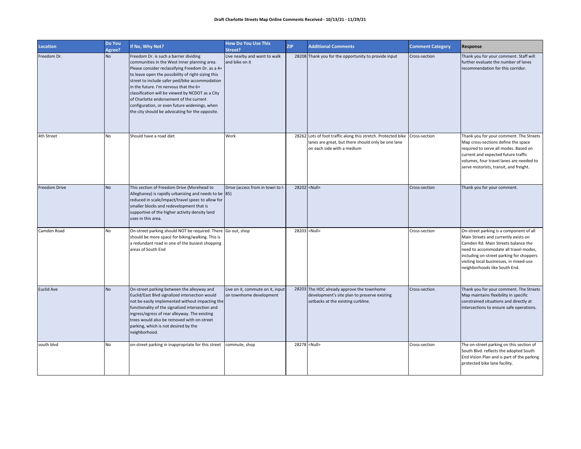| <b>Location</b>   | Do You<br>Agree? | If No, Why Not?                                                                                                                                                                                                                                                                                                                                                                                                                                                                                  | <b>How Do You Use This</b><br>Street?                       | <b>ZIP</b> | <b>Additional Comments</b>                                                                                                                        | <b>Comment Category</b> | Response                                                                                                                                                                                                                                                                                |
|-------------------|------------------|--------------------------------------------------------------------------------------------------------------------------------------------------------------------------------------------------------------------------------------------------------------------------------------------------------------------------------------------------------------------------------------------------------------------------------------------------------------------------------------------------|-------------------------------------------------------------|------------|---------------------------------------------------------------------------------------------------------------------------------------------------|-------------------------|-----------------------------------------------------------------------------------------------------------------------------------------------------------------------------------------------------------------------------------------------------------------------------------------|
| Freedom Dr.       | No               | Freedom Dr. is such a barrier dividing<br>communities in the West Inner planning area.<br>Please consider reclassifying Freedom Dr. as a 4+<br>to leave open the possibility of right-sizing this<br>street to include safer ped/bike accommodation<br>in the future. I'm nervous that the 6+<br>classification will be viewed by NCDOT as a City<br>of Charlotte endorsement of the current<br>configuration, or even future widenings, when<br>the city should be advocating for the opposite. | Live nearby and want to walk<br>and bike on it              |            | 28208 Thank you for the opportunity to provide input                                                                                              | Cross-section           | Thank you for your comment. Staff will<br>further evaluate the number of lanes<br>recommendation for this corridor.                                                                                                                                                                     |
| 4th Street        | <b>No</b>        | Should have a road diet                                                                                                                                                                                                                                                                                                                                                                                                                                                                          | Work                                                        |            | 28262 Lots of foot traffic along this stretch. Protected bike<br>lanes are great, but there should only be one lane<br>on each side with a medium | Cross-section           | Thank you for your comment. The Streets<br>Map cross-sections define the space<br>required to serve all modes. Based on<br>current and expected future traffic<br>volumes, four travel lanes are needed to<br>serve motorists, transit, and freight.                                    |
| Freedom Drive     | <b>No</b>        | This section of Freedom Drive (Morehead to<br>Alleghaney) is rapidly urbanizing and needs to be 85)<br>reduced in scale/impact/travel speec to allow for<br>smaller blocks and redevelopment that is<br>supportive of the higher activity density land<br>uses in this area.                                                                                                                                                                                                                     | Drive (access from in town to I-                            |            | 28202 <null></null>                                                                                                                               | Cross-section           | Thank you for your comment.                                                                                                                                                                                                                                                             |
| Camden Road       | <b>No</b>        | On-street parking should NOT be required. There Go out, shop<br>should be more space for biking/walking. This is<br>a redundant road in one of the busiest shopping<br>areas of South End                                                                                                                                                                                                                                                                                                        |                                                             |            | 28203 <null></null>                                                                                                                               | Cross-section           | On-street parking is a component of all<br>Main Streets and currently exists on<br>Camden Rd. Main Streets balance the<br>need to accommodate all travel modes,<br>including on-street parking for shoppers<br>visiting local businesses, in mixed-use<br>neighborhoods like South End. |
| <b>Euclid Ave</b> | No               | On-street parking between the alleyway and<br>Euclid/East Blvd signalized intersection would<br>not be easily implemented without impacting the<br>functionality of the signalized intersection and<br>ingress/egress of rear alleyway. The existing<br>trees would also be removed with on-street<br>parking, which is not desired by the<br>neighborhood.                                                                                                                                      | Live on it, commute on it, input<br>on townhome development |            | 28203 The HDC already approve the townhome<br>development's site plan to preserve existing<br>setbacks at the existing curbline.                  | Cross-section           | Thank you for your comment. The Streets<br>Map maintains flexibility in specific<br>constrained situations and directly at<br>intersections to ensure safe operations.                                                                                                                  |
| south blvd        | <b>No</b>        | on-street parking in inappropriate for this street                                                                                                                                                                                                                                                                                                                                                                                                                                               | commute, shop                                               |            | 28278 <null></null>                                                                                                                               | Cross-section           | The on-street parking on this section of<br>South Blvd. reflects the adopted South<br>End Vision Plan and is part of the parking<br>protected bike lane facility.                                                                                                                       |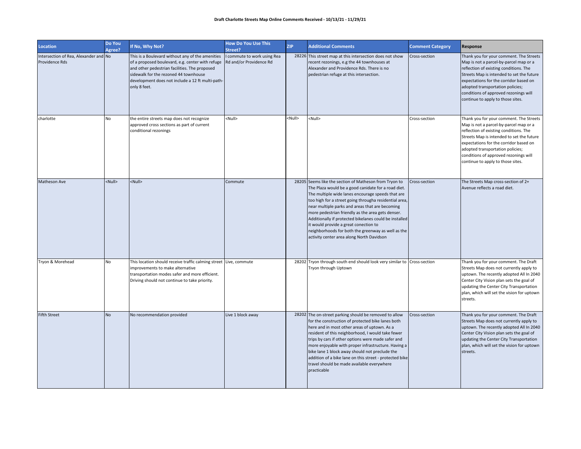| <b>Location</b>                                         | Do You<br>Agree? | If No, Why Not?                                                                                                                                                                                                                                                    | <b>How Do You Use This</b><br>Street?                  | <b>ZIP</b>    | <b>Additional Comments</b>                                                                                                                                                                                                                                                                                                                                                                                                                                                                                                                 | <b>Comment Category</b> | Response                                                                                                                                                                                                                                                                                                                             |
|---------------------------------------------------------|------------------|--------------------------------------------------------------------------------------------------------------------------------------------------------------------------------------------------------------------------------------------------------------------|--------------------------------------------------------|---------------|--------------------------------------------------------------------------------------------------------------------------------------------------------------------------------------------------------------------------------------------------------------------------------------------------------------------------------------------------------------------------------------------------------------------------------------------------------------------------------------------------------------------------------------------|-------------------------|--------------------------------------------------------------------------------------------------------------------------------------------------------------------------------------------------------------------------------------------------------------------------------------------------------------------------------------|
| Intersection of Rea, Alexander and No<br>Providence Rds |                  | This is a Boulevard without any of the amenities<br>of a proposed boulevard, e.g. center with refuge<br>and other pedestrian facilities. The proposed<br>sidewalk for the rezoned 44 townhouse<br>development does not include a 12 ft multi-path-<br>only 8 feet. | I commute to work using Rea<br>Rd and/or Providence Rd |               | 28226 This street map at this intersection does not show<br>recent rezonings, e.g the 44 townhouses at<br>Alexander and Providence Rds. There is no<br>pedestrian refuge at this intersection.                                                                                                                                                                                                                                                                                                                                             | Cross-section           | Thank you for your comment. The Streets<br>Map is not a parcel-by-parcel map or a<br>reflection of existing conditions. The<br>Streets Map is intended to set the future<br>expectations for the corridor based on<br>adopted transportation policies;<br>conditions of approved rezonings will<br>continue to apply to those sites. |
| charlotte                                               | No               | the entire streets map does not recognize<br>approved cross sections as part of current<br>conditional rezonings                                                                                                                                                   | <null></null>                                          | <null></null> | <null></null>                                                                                                                                                                                                                                                                                                                                                                                                                                                                                                                              | Cross-section           | Thank you for your comment. The Streets<br>Map is not a parcel-by-parcel map or a<br>reflection of existing conditions. The<br>Streets Map is intended to set the future<br>expectations for the corridor based on<br>adopted transportation policies;<br>conditions of approved rezonings will<br>continue to apply to those sites. |
| Matheson Ave                                            | <null></null>    | <null></null>                                                                                                                                                                                                                                                      | Commute                                                |               | 28205 Seems like the section of Matheson from Tryon to<br>The Plaza would be a good canidate for a road diet.<br>The multiple wide lanes encourage speeds that are<br>too high for a street going througha residential area,<br>near multiple parks and areas that are becoming<br>more pedestrian friendly as the area gets denser.<br>Additionally if protected bikelanes could be installed<br>it would provide a great conection to<br>neighborhoods for both the greenway as well as the<br>activity center area along North Davidson | Cross-section           | The Streets Map cross-section of 2+<br>Avenue reflects a road diet.                                                                                                                                                                                                                                                                  |
| Tryon & Morehead                                        | No               | This location should receive traffic calming street Live, commute<br>improvements to make alternative<br>transportation modes safer and more efficient.<br>Driving should not continue to take priority.                                                           |                                                        |               | 28202 Tryon through south end should look very similar to Cross-section<br>Tryon through Uptown                                                                                                                                                                                                                                                                                                                                                                                                                                            |                         | Thank you for your comment. The Draft<br>Streets Map does not currently apply to<br>uptown. The recently adopted All In 2040<br>Center City Vision plan sets the goal of<br>updating the Center City Transportation<br>plan, which will set the vision for uptown<br>streets.                                                        |
| <b>Fifth Street</b>                                     | <b>No</b>        | No recommendation provided                                                                                                                                                                                                                                         | Live 1 block away                                      |               | 28202 The on-street parking should be removed to allow<br>for the construction of protected bike lanes both<br>here and in most other areas of uptown. As a<br>resident of this neighborhood, I would take fewer<br>trips by cars if other options were made safer and<br>more enjoyable with proper infrastructure. Having a<br>bike lane 1 block away should not preclude the<br>addition of a bike lane on this street - protected bike<br>travel should be made available everywhere<br>practicable                                    | Cross-section           | Thank you for your comment. The Draft<br>Streets Map does not currently apply to<br>uptown. The recently adopted All In 2040<br>Center City Vision plan sets the goal of<br>updating the Center City Transportation<br>plan, which will set the vision for uptown<br>streets.                                                        |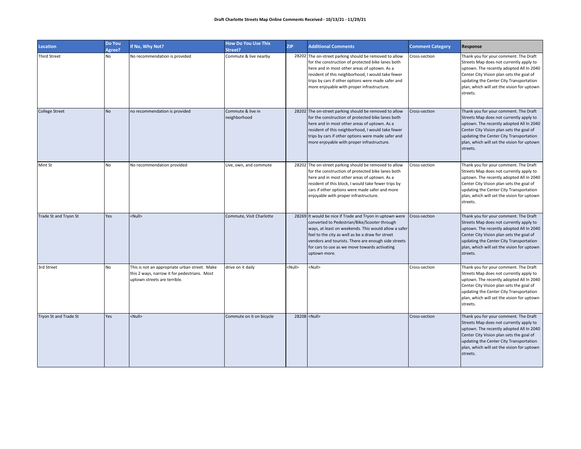| <b>Location</b>       | Do You<br>Agree? | If No, Why Not?                                                                                                               | <b>How Do You Use This</b><br>Street? | <b>ZIP</b>    | <b>Additional Comments</b>                                                                                                                                                                                                                                                                                                                   | <b>Comment Category</b> | Response                                                                                                                                                                                                                                                                      |
|-----------------------|------------------|-------------------------------------------------------------------------------------------------------------------------------|---------------------------------------|---------------|----------------------------------------------------------------------------------------------------------------------------------------------------------------------------------------------------------------------------------------------------------------------------------------------------------------------------------------------|-------------------------|-------------------------------------------------------------------------------------------------------------------------------------------------------------------------------------------------------------------------------------------------------------------------------|
| <b>Third Street</b>   | No               | No recommendation is provided                                                                                                 | Commute & live nearby                 |               | 28202 The on-street parking should be removed to allow<br>for the construction of protected bike lanes both<br>here and in most other areas of uptown. As a<br>resident of this neighborhood, I would take fewer<br>trips by cars if other options were made safer and<br>more enjoyable with proper infrastructure.                         | Cross-section           | Thank you for your comment. The Draft<br>Streets Map does not currently apply to<br>uptown. The recently adopted All In 2040<br>Center City Vision plan sets the goal of<br>updating the Center City Transportation<br>plan, which will set the vision for uptown<br>streets. |
| <b>College Street</b> | <b>No</b>        | no recommendation is provided                                                                                                 | Commute & live in<br>neighborhood     |               | 28202 The on-street parking should be removed to allow<br>for the construction of protected bike lanes both<br>here and in most other areas of uptown. As a<br>resident of this neighborhood, I would take fewer<br>trips by cars if other options were made safer and<br>more enjoyable with proper infrastructure.                         | Cross-section           | Thank you for your comment. The Draft<br>Streets Map does not currently apply to<br>uptown. The recently adopted All In 2040<br>Center City Vision plan sets the goal of<br>updating the Center City Transportation<br>plan, which will set the vision for uptown<br>streets. |
| Mint St               | No               | No recommendation provided                                                                                                    | Live, own, and commute                |               | 28202 The on-street parking should be removed to allow<br>for the construction of protected bike lanes both<br>here and in most other areas of uptown. As a<br>resident of this block, I would take fewer trips by<br>cars if other options were made safer and more<br>enjoyable with proper infrastructure.                                | Cross-section           | Thank you for your comment. The Draft<br>Streets Map does not currently apply to<br>uptown. The recently adopted All In 2040<br>Center City Vision plan sets the goal of<br>updating the Center City Transportation<br>plan, which will set the vision for uptown<br>streets. |
| Trade St and Tryon St | Yes              | <null></null>                                                                                                                 | Commute, Visit Charlotte              |               | 28269 It would be nice if Trade and Tryon in uptown were<br>converted to Pedestrian/Bike/Scooter through<br>ways, at least on weekends. This would allow a safer<br>feel to the city as well as be a draw for street<br>vendors and tourists. There are enough side streets<br>for cars to use as we move towards activating<br>uptown more. | Cross-section           | Thank you for your comment. The Draft<br>Streets Map does not currently apply to<br>uptown. The recently adopted All In 2040<br>Center City Vision plan sets the goal of<br>updating the Center City Transportation<br>plan, which will set the vision for uptown<br>streets. |
| 3rd Street            | No               | This is not an appropriate urban street. Make<br>this 2 ways, narrow it for pedestrians. Most<br>uptown streets are terrible. | drive on it daily                     | <null></null> | <null></null>                                                                                                                                                                                                                                                                                                                                | Cross-section           | Thank you for your comment. The Draft<br>Streets Map does not currently apply to<br>uptown. The recently adopted All In 2040<br>Center City Vision plan sets the goal of<br>updating the Center City Transportation<br>plan, which will set the vision for uptown<br>streets. |
| Tryon St and Trade St | Yes              | <null></null>                                                                                                                 | Commute on it on bicycle              |               | 28208 <null></null>                                                                                                                                                                                                                                                                                                                          | Cross-section           | Thank you for your comment. The Draft<br>Streets Map does not currently apply to<br>uptown. The recently adopted All In 2040<br>Center City Vision plan sets the goal of<br>updating the Center City Transportation<br>plan, which will set the vision for uptown<br>streets. |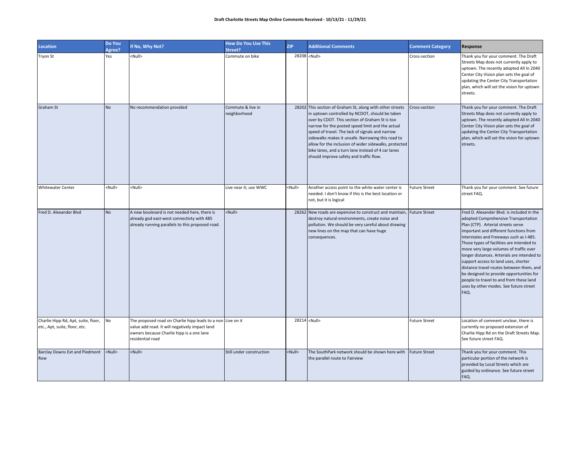| Location                                                             | Do You<br>Agree? | If No, Why Not?                                                                                                                                                                | <b>How Do You Use This</b><br>Street? | <b>ZIP</b>    | <b>Additional Comments</b>                                                                                                                                                                                                                                                                                                                                                                                                                                                          | <b>Comment Category</b> | Response                                                                                                                                                                                                                                                                                                                                                                                                                                                                                                                                                                          |
|----------------------------------------------------------------------|------------------|--------------------------------------------------------------------------------------------------------------------------------------------------------------------------------|---------------------------------------|---------------|-------------------------------------------------------------------------------------------------------------------------------------------------------------------------------------------------------------------------------------------------------------------------------------------------------------------------------------------------------------------------------------------------------------------------------------------------------------------------------------|-------------------------|-----------------------------------------------------------------------------------------------------------------------------------------------------------------------------------------------------------------------------------------------------------------------------------------------------------------------------------------------------------------------------------------------------------------------------------------------------------------------------------------------------------------------------------------------------------------------------------|
| Tryon St                                                             | Yes              | <null></null>                                                                                                                                                                  | Commute on bike                       |               | 28208 <null></null>                                                                                                                                                                                                                                                                                                                                                                                                                                                                 | Cross-section           | Thank you for your comment. The Draft<br>Streets Map does not currently apply to<br>uptown. The recently adopted All In 2040<br>Center City Vision plan sets the goal of<br>updating the Center City Transportation<br>plan, which will set the vision for uptown<br>streets.                                                                                                                                                                                                                                                                                                     |
| Graham St                                                            | <b>No</b>        | No recommendation provided                                                                                                                                                     | Commute & live in<br>neighborhood     |               | 28202 This section of Graham St, along with other streets<br>in uptown controlled by NCDOT, should be taken<br>over by CDOT. This section of Graham St is too<br>narrow for the posted speed limit and the actual<br>speed of travel. The lack of signals and narrow<br>sidewalks makes it unsafe. Narrowing this road to<br>allow for the inclusion of wider sidewalks, protected<br>bike lanes, and a turn lane instead of 4 car lanes<br>should improve safety and traffic flow. | Cross-section           | Thank you for your comment. The Draft<br>Streets Map does not currently apply to<br>uptown. The recently adopted All In 2040<br>Center City Vision plan sets the goal of<br>updating the Center City Transportation<br>plan, which will set the vision for uptown<br>streets.                                                                                                                                                                                                                                                                                                     |
| <b>Whitewater Center</b>                                             | <null></null>    | <null></null>                                                                                                                                                                  | Live near it; use WWC                 | <null></null> | Another access point to the white water center is<br>needed. I don't know if this is the best location or<br>not, but it is logical                                                                                                                                                                                                                                                                                                                                                 | <b>Future Street</b>    | Thank you for your comment. See future<br>street FAQ.                                                                                                                                                                                                                                                                                                                                                                                                                                                                                                                             |
| Fred D. Alexander Blvd                                               | <b>No</b>        | A new boulevard is not needed here, there is<br>already god east-west connectivty with 485<br>already running parallels to this proposed road.                                 | <null></null>                         |               | 28262 New roads are expensive to construct and maintain, Future Street<br>destroy natural environments, create noise and<br>pollution. We should be very careful about drawing<br>new lines on the map that can have huge<br>consequences.                                                                                                                                                                                                                                          |                         | Fred D. Alexander Blvd. is included in the<br>adopted Comprehensive Transportation<br>Plan (CTP). Arterial streets serve<br>important and different functions from<br>Interstates and Freeways such as I-485.<br>Those types of facilities are intended to<br>move very large volumes of traffic over<br>longer distances. Arterials are intended to<br>support access to land uses, shorter<br>distance travel routes between them, and<br>be designed to provide opportunities for<br>people to travel to and from these land<br>uses by other modes. See future street<br>FAQ. |
| Charlie Hipp Rd, Apt, suite, floor,<br>etc., Apt, suite, floor, etc. | No               | The proposed road on Charlie hipp leads to a non Live on it<br>value add road. It will negatively impact land<br>owners because Charlie hipp is a one lane<br>residential road |                                       |               | 28214 <null></null>                                                                                                                                                                                                                                                                                                                                                                                                                                                                 | <b>Future Street</b>    | Location of comment unclear, there is<br>currently no proposed extension of<br>Charlie Hipp Rd on the Draft Streets Map.<br>See future street FAQ.                                                                                                                                                                                                                                                                                                                                                                                                                                |
| Barclay Downs Ext and Piedmont<br>Row                                | <null></null>    | $\leq$ Null $\geq$                                                                                                                                                             | Still under construction              | <null></null> | The SouthPark network should be shown here with<br>the parallel route to Fairview                                                                                                                                                                                                                                                                                                                                                                                                   | <b>Future Street</b>    | Thank you for your comment. This<br>particular portion of the network is<br>provided by Local Streets which are<br>guided by ordinance. See future street<br>FAQ.                                                                                                                                                                                                                                                                                                                                                                                                                 |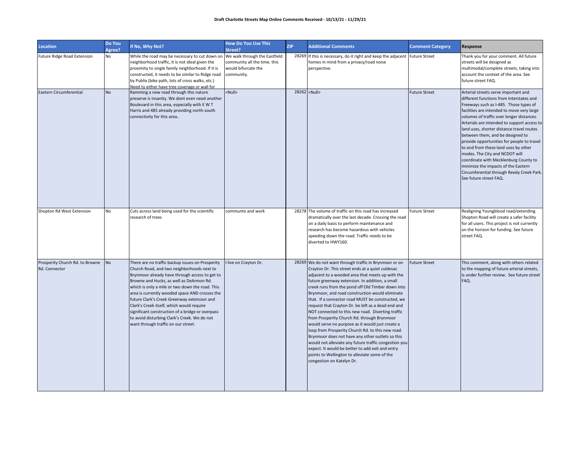| <b>Location</b>                                  | Do You<br>Agree? | If No, Why Not?                                                                                                                                                                                                                                                                                                                                                                                                                                                                                                                          | <b>How Do You Use This</b><br>Street?                             | <b>ZIP</b> | <b>Additional Comments</b>                                                                                                                                                                                                                                                                                                                                                                                                                                                                                                                                                                                                                                                                                                                                                                                                                                                                       | <b>Comment Category</b> | Response                                                                                                                                                                                                                                                                                                                                                                                                                                                                                                                                                                                                                             |
|--------------------------------------------------|------------------|------------------------------------------------------------------------------------------------------------------------------------------------------------------------------------------------------------------------------------------------------------------------------------------------------------------------------------------------------------------------------------------------------------------------------------------------------------------------------------------------------------------------------------------|-------------------------------------------------------------------|------------|--------------------------------------------------------------------------------------------------------------------------------------------------------------------------------------------------------------------------------------------------------------------------------------------------------------------------------------------------------------------------------------------------------------------------------------------------------------------------------------------------------------------------------------------------------------------------------------------------------------------------------------------------------------------------------------------------------------------------------------------------------------------------------------------------------------------------------------------------------------------------------------------------|-------------------------|--------------------------------------------------------------------------------------------------------------------------------------------------------------------------------------------------------------------------------------------------------------------------------------------------------------------------------------------------------------------------------------------------------------------------------------------------------------------------------------------------------------------------------------------------------------------------------------------------------------------------------------|
| Future Ridge Road Extension                      | No               | While the road may be necessary to cut down on We walk through the Eastfield<br>neighborhood traffic, it is not ideal given the<br>proximity to single family neighborhood. If it is<br>constructed, it needs to be similar to Ridge road<br>by Publix (bike path, lots of cross walks, etc.)<br>Need to either have tree coverage or wall for                                                                                                                                                                                           | community all the time. this<br>would bifurcate the<br>community. |            | 28269 If this is necessary, do it right and keep the adjacent Future Street<br>homes in mind from a privacy/road noise<br>perspective.                                                                                                                                                                                                                                                                                                                                                                                                                                                                                                                                                                                                                                                                                                                                                           |                         | Thank you for your comment. All future<br>streets will be designed as<br>multimodal/complete streets, taking into<br>account the context of the area. See<br>future street FAQ.                                                                                                                                                                                                                                                                                                                                                                                                                                                      |
| Eastern Circumferential                          | <b>No</b>        | Ramming a new road through this nature<br>preserve is insanity. We dont even need another<br>Boulevard in this area, especially with E W T<br>Harris and 485 already providing north-south<br>connectivity for this area                                                                                                                                                                                                                                                                                                                 | <null></null>                                                     |            | 28262 <null></null>                                                                                                                                                                                                                                                                                                                                                                                                                                                                                                                                                                                                                                                                                                                                                                                                                                                                              | <b>Future Street</b>    | Arterial streets serve important and<br>different functions from Interstates and<br>Freeways such as I-485. Those types of<br>facilities are intended to move very large<br>volumes of traffic over longer distances.<br>Arterials are intended to support access to<br>land uses, shorter distance travel routes<br>between them, and be designed to<br>provide opportunities for people to travel<br>to and from these land uses by other<br>modes. The City and NCDOT will<br>coordinate with Mecklenburg County to<br>minimize the impacts of the Eastern<br>Circumferential through Reedy Creek Park.<br>See future street FAQ. |
| Shopton Rd West Extension                        | <b>No</b>        | Cuts across land being used for the scientific<br>esearch of trees                                                                                                                                                                                                                                                                                                                                                                                                                                                                       | communte and work                                                 |            | 28278 The volume of traffic on this road has increased<br>dramatically over the last decade. Crossing the road<br>on a daily basis to perform maintenance and<br>research has become hazardous with vehicles<br>speeding down the road. Traffic needs to be<br>diverted to HWY160.                                                                                                                                                                                                                                                                                                                                                                                                                                                                                                                                                                                                               | <b>Future Street</b>    | Realigning Youngblood road/extending<br>Shopton Road will create a safer facility<br>for all users. This project is not currently<br>on the horizon for funding. See future<br>street FAQ.                                                                                                                                                                                                                                                                                                                                                                                                                                           |
| Prosperity Church Rd. to Browne<br>Rd. Connector | No               | There are no traffic backup issues on Prosperity<br>Church Road, and two neighborhoods next to<br>Brynmoor already have through access to get to<br>Browne and Hucks, as well as DeArmon Rd.<br>which is only a mile or two down the road. This<br>area is currently wooded space AND crosses the<br>future Clark's Creek Greenway extension and<br>Clark's Creek itself, which would require<br>significant construction of a bridge or overpass<br>to avoid disturbing Clark's Creek. We do not<br>want through traffic on our street. | I live on Crayton Dr.                                             |            | 28269 We do not want through traffic in Brynmoor or on<br>Crayton Dr. This street ends at a quiet culdesac<br>adjacent to a wooded area that meets up with the<br>future greenway extension. In addition, a small<br>creek runs from the pond off Old Timber down into<br>Brynmoor, and road construction would eliminate<br>that. If a connector road MUST be constructed, we<br>request that Crayton Dr. be left as a dead end and<br>NOT connected to this new road. Diverting traffic<br>from Prosperity Church Rd. through Brynmoor<br>would serve no purpose as it would just create a<br>loop from Prosperity Church Rd. to this new road.<br>Brynmoor does not have any other outlets so this<br>would not alleviate any future traffic congestion you<br>expect. It would be better to add exit and entry<br>points to Wellington to alleviate some of the<br>congestion on Katelyn Dr. | <b>Future Street</b>    | This comment, along with others related<br>to the mapping of future arterial streets,<br>is under further review. See future street<br>FAQ.                                                                                                                                                                                                                                                                                                                                                                                                                                                                                          |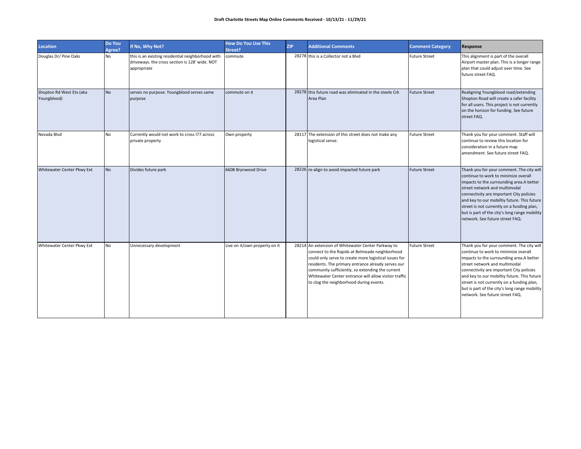| <b>Location</b>                         | Do You<br>Agree? | If No, Why Not?                                                                                                    | <b>How Do You Use This</b><br>Street? | <b>ZIP</b> | <b>Additional Comments</b>                                                                                                                                                                                                                                                                                                                                                  | <b>Comment Category</b> | <b>Response</b>                                                                                                                                                                                                                                                                                                                                                                             |
|-----------------------------------------|------------------|--------------------------------------------------------------------------------------------------------------------|---------------------------------------|------------|-----------------------------------------------------------------------------------------------------------------------------------------------------------------------------------------------------------------------------------------------------------------------------------------------------------------------------------------------------------------------------|-------------------------|---------------------------------------------------------------------------------------------------------------------------------------------------------------------------------------------------------------------------------------------------------------------------------------------------------------------------------------------------------------------------------------------|
| Douglas Dr/Pine Oaks                    | No               | this is an existing residential neighborhood with<br>driveways. the cross section is 128' wide. NOT<br>appropriate | commute                               |            | 28278 this is a Collector not a Blvd                                                                                                                                                                                                                                                                                                                                        | <b>Future Street</b>    | This alignment is part of the overall<br>Airport master plan. This is a longer range<br>plan that could adjust over time. See<br>future street FAQ.                                                                                                                                                                                                                                         |
| Shopton Rd West Etx (aka<br>Youngblood) | <b>No</b>        | serves no purpose. Youngblood serves same<br>purpose                                                               | commute on it                         |            | 28278 this future road was eliminated in the steele Crk<br>Area Plan                                                                                                                                                                                                                                                                                                        | <b>Future Street</b>    | Realigning Youngblood road/extending<br>Shopton Road will create a safer facility<br>for all users. This project is not currently<br>on the horizon for funding. See future<br>street FAQ.                                                                                                                                                                                                  |
| Nevada Blvd                             | <b>No</b>        | Currently would not work to cross I77 across<br>private property                                                   | Own property                          |            | 28117 The extension of this street does not make any<br>logistical sense.                                                                                                                                                                                                                                                                                                   | <b>Future Street</b>    | Thank you for your comment. Staff will<br>continue to review this location for<br>consideration in a future map<br>amendment. See future street FAQ.                                                                                                                                                                                                                                        |
| Whitewater Center Pkwy Ext              | <b>No</b>        | Divides future park                                                                                                | 6608 Brynwood Drive                   |            | 28226 re-align to avoid impacted future park                                                                                                                                                                                                                                                                                                                                | <b>Future Street</b>    | Thank you for your comment. The city will<br>continue to work to minimize overall<br>impacts to the surrounding area.A better<br>street network and multimodal<br>connectivity are important City policies<br>and key to our mobiltiy future. This future<br>street is not currently on a funding plan,<br>but is part of the city's long range mobility<br>network. See future street FAQ. |
| Whitewater Center Pkwy Ext              | No               | Unnecessary development                                                                                            | Live on it/own property on it         |            | 28214 An extension of Whitewater Center Parkway to<br>connect to the Rapids at Belmeade neighborhood<br>could only serve to create more logistical issues for<br>residents. The primary entrance already serves our<br>community sufficiently, so extending the current<br>Whitewater Center entrance will allow visitor traffic<br>to clog the neighborhood during events. | <b>Future Street</b>    | Thank you for your comment. The city will<br>continue to work to minimize overall<br>impacts to the surrounding area.A better<br>street network and multimodal<br>connectivity are important City policies<br>and key to our mobiltiy future. This future<br>street is not currently on a funding plan,<br>but is part of the city's long range mobility<br>network. See future street FAQ. |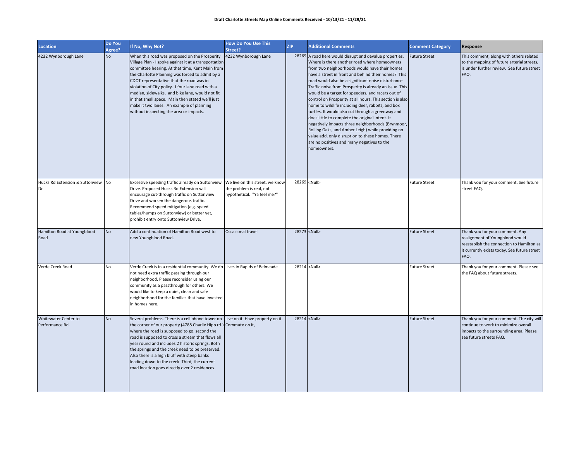| <b>Location</b>                                | Do You<br>Agree? | If No, Why Not?                                                                                                                                                                                                                                                                                                                                                                                                                                                                                                      | <b>How Do You Use This</b><br>Street?                                                      | <b>ZIP</b> | <b>Additional Comments</b>                                                                                                                                                                                                                                                                                                                                                                                                                                                                                                                                                                                                                                                                                                                                                                                                                 | <b>Comment Category</b> | Response                                                                                                                                                                |
|------------------------------------------------|------------------|----------------------------------------------------------------------------------------------------------------------------------------------------------------------------------------------------------------------------------------------------------------------------------------------------------------------------------------------------------------------------------------------------------------------------------------------------------------------------------------------------------------------|--------------------------------------------------------------------------------------------|------------|--------------------------------------------------------------------------------------------------------------------------------------------------------------------------------------------------------------------------------------------------------------------------------------------------------------------------------------------------------------------------------------------------------------------------------------------------------------------------------------------------------------------------------------------------------------------------------------------------------------------------------------------------------------------------------------------------------------------------------------------------------------------------------------------------------------------------------------------|-------------------------|-------------------------------------------------------------------------------------------------------------------------------------------------------------------------|
| 4232 Wynborough Lane                           | <b>No</b>        | When this road was proposed on the Prosperity<br>Village Plan - I spoke against it at a transportation<br>committee hearing. At that time, Kent Main from<br>the Charlotte Planning was forced to admit by a<br>CDOT representative that the road was in<br>violation of City policy. I four lane road with a<br>median, sidewalks, and bike lane, would not fit<br>in that small space. Main then stated we'll just<br>make it two lanes. An example of planning<br>without inspecting the area or impacts.         | 4232 Wynborough Lane                                                                       |            | 28269 A road here would disrupt and devalue properties.<br>Where is there another road where homeowners<br>from two neighborhoods would have their homes<br>have a street in front and behind their homes? This<br>road would also be a significant noise disturbance.<br>Traffic noise from Prosperity is already an issue. This<br>would be a target for speeders, and racers out of<br>control on Prosperity at all hours. This section is also<br>home to wildlife including deer, rabbits, and box<br>turtles. It would also cut through a greenway and<br>does little to complete the original intent. It<br>negatively impacts three neighborhoods (Brynmoor,<br>Rolling Oaks, and Amber Leigh) while providing no<br>value add, only disruption to these homes. There<br>are no positives and many negatives to the<br>homeowners. | <b>Future Street</b>    | This comment, along with others related<br>to the mapping of future arterial streets,<br>is under further review. See future street<br>FAQ.                             |
| Hucks Rd Extension & Suttonview No<br>Dr       |                  | Excessive speeding traffic already on Suttonview<br>Drive. Proposed Hucks Rd Extension will<br>encourage cut-through traffic on Suttonview<br>Drive and worsen the dangerous traffic.<br>Recommend speed mitigation (e.g. speed<br>tables/humps on Suttonview) or better yet,<br>prohibit entry onto Suttonview Drive.                                                                                                                                                                                               | We live on this street, we know<br>the problem is real, not<br>hypothetical. "Ya feel me?" |            | 28269 <null></null>                                                                                                                                                                                                                                                                                                                                                                                                                                                                                                                                                                                                                                                                                                                                                                                                                        | <b>Future Street</b>    | Thank you for your comment. See future<br>street FAQ.                                                                                                                   |
| Hamilton Road at Youngblood<br>Road            | <b>No</b>        | Add a continuation of Hamilton Road west to<br>new Youngblood Road.                                                                                                                                                                                                                                                                                                                                                                                                                                                  | Occasional travel                                                                          |            | 28273 <null></null>                                                                                                                                                                                                                                                                                                                                                                                                                                                                                                                                                                                                                                                                                                                                                                                                                        | <b>Future Street</b>    | Thank you for your comment. Any<br>realignment of Youngblood would<br>reestablish the connection to Hamilton as<br>it currently exists today. See future street<br>FAQ. |
| Verde Creek Road                               | No               | Verde Creek is in a residential community. We do Lives in Rapids of Belmeade<br>not need extra traffic passing through our<br>neighborhood. Please reconsider using our<br>community as a passthrough for others. We<br>would like to keep a quiet, clean and safe<br>neighborhood for the families that have invested<br>in homes here.                                                                                                                                                                             |                                                                                            |            | 28214 <null></null>                                                                                                                                                                                                                                                                                                                                                                                                                                                                                                                                                                                                                                                                                                                                                                                                                        | <b>Future Street</b>    | Thank you for your comment. Please see<br>the FAQ about future streets.                                                                                                 |
| <b>Whitewater Center to</b><br>Performance Rd. | <b>No</b>        | Several problems. There is a cell phone tower on Live on it. Have property on it.<br>the corner of our property (4788 Charlie Hipp rd.) Commute on it,<br>where the road is supposed to go. second the<br>road is supposed to cross a stream that flows all<br>year round and includes 2 historic springs. Both<br>the springs and the creek need to be preserved.<br>Also there is a high bluff with steep banks<br>leading down to the creek. Third, the current<br>road location goes directly over 2 residences. |                                                                                            |            | 28214 <null></null>                                                                                                                                                                                                                                                                                                                                                                                                                                                                                                                                                                                                                                                                                                                                                                                                                        | <b>Future Street</b>    | Thank you for your comment. The city will<br>continue to work to minimize overall<br>impacts to the surrounding area. Please<br>see future streets FAQ.                 |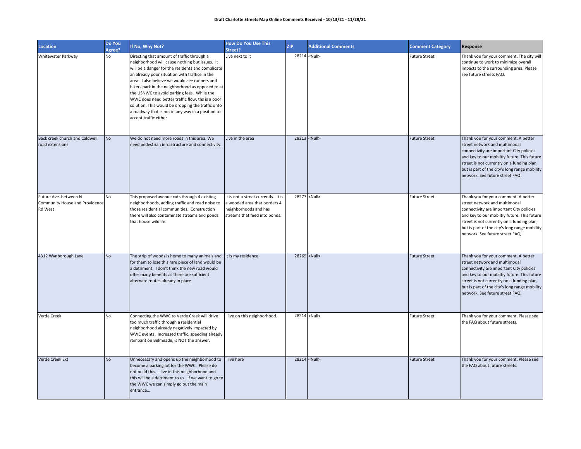| <b>Location</b>                                                    | Do You<br>Agree? | If No, Why Not?                                                                                                                                                                                                                                                                                                                                                                                                                                                                                                                               | <b>How Do You Use This</b><br>Street?                                                                                         | <b>ZIP</b> | <b>Additional Comments</b> | <b>Comment Category</b> | Response                                                                                                                                                                                                                                                                                           |
|--------------------------------------------------------------------|------------------|-----------------------------------------------------------------------------------------------------------------------------------------------------------------------------------------------------------------------------------------------------------------------------------------------------------------------------------------------------------------------------------------------------------------------------------------------------------------------------------------------------------------------------------------------|-------------------------------------------------------------------------------------------------------------------------------|------------|----------------------------|-------------------------|----------------------------------------------------------------------------------------------------------------------------------------------------------------------------------------------------------------------------------------------------------------------------------------------------|
| Whitewater Parkway                                                 | No               | Directing that amount of traffic through a<br>neighborhood will cause nothing but issues. It<br>will be a danger for the residents and complicate<br>an already poor situation with traffice in the<br>area. I also believe we would see runners and<br>bikers park in the neighborhood as opposed to at<br>the USNWC to avoid parking fees. While the<br>WWC does need better traffic flow, ths is a poor<br>solution. This would be dropping the traffic onto<br>a roadway that is not in any way in a position to<br>accept traffic either | Live next to it                                                                                                               |            | 28214 <null></null>        | <b>Future Street</b>    | Thank you for your comment. The city will<br>continue to work to minimize overall<br>impacts to the surrounding area. Please<br>see future streets FAQ.                                                                                                                                            |
| Back creek church and Caldwell<br>road extensions                  | <b>No</b>        | We do not need more roads in this area. We<br>need pedestrian infrastructure and connectivity.                                                                                                                                                                                                                                                                                                                                                                                                                                                | Live in the area                                                                                                              |            | 28213 <null></null>        | <b>Future Street</b>    | Thank you for your comment. A better<br>street network and multimodal<br>connectivity are important City policies<br>and key to our mobiltiy future. This future<br>street is not currently on a funding plan,<br>but is part of the city's long range mobility<br>network. See future street FAQ. |
| Future Ave. between N<br>Community House and Providence<br>Rd West | No               | This proposed avenue cuts through 4 existing<br>neighborhoods, adding traffic and road noise to<br>those residential communities. Construction<br>there will also contaminate streams and ponds<br>that house wildlife.                                                                                                                                                                                                                                                                                                                       | It is not a street currently. It is<br>a wooded area that borders 4<br>neighborhoods and has<br>streams that feed into ponds. |            | 28277 <null></null>        | <b>Future Street</b>    | Thank you for your comment. A better<br>street network and multimodal<br>connectivity are important City policies<br>and key to our mobiltiy future. This future<br>street is not currently on a funding plan,<br>but is part of the city's long range mobility<br>network. See future street FAQ. |
| 4312 Wynborough Lane                                               | <b>No</b>        | The strip of woods is home to many animals and<br>for them to lose this rare piece of land would be<br>a detriment. I don't think the new road would<br>offer many benefits as there are sufficient<br>alternate routes already in place                                                                                                                                                                                                                                                                                                      | It is my residence.                                                                                                           |            | 28269 <null></null>        | <b>Future Street</b>    | Thank you for your comment. A better<br>street network and multimodal<br>connectivity are important City policies<br>and key to our mobiltiy future. This future<br>street is not currently on a funding plan,<br>but is part of the city's long range mobility<br>network. See future street FAQ. |
| Verde Creek                                                        | No               | Connecting the WWC to Verde Creek will drive<br>too much traffic through a residential<br>neighborhood already negatively impacted by<br>WWC events. Increased traffic, speeding already<br>rampant on Belmeade, is NOT the answer.                                                                                                                                                                                                                                                                                                           | I live on this neighborhood.                                                                                                  |            | 28214 <null></null>        | <b>Future Street</b>    | Thank you for your comment. Please see<br>the FAQ about future streets.                                                                                                                                                                                                                            |
| Verde Creek Ext                                                    | <b>No</b>        | Unnecessary and opens up the neighborhood to<br>become a parking lot for the WWC. Please do<br>not build this. I live in this neighborhood and<br>this will be a detriment to us. If we want to go to<br>the WWC we can simply go out the main<br>entrance                                                                                                                                                                                                                                                                                    | I live here                                                                                                                   |            | 28214 <null></null>        | <b>Future Street</b>    | Thank you for your comment. Please see<br>the FAQ about future streets.                                                                                                                                                                                                                            |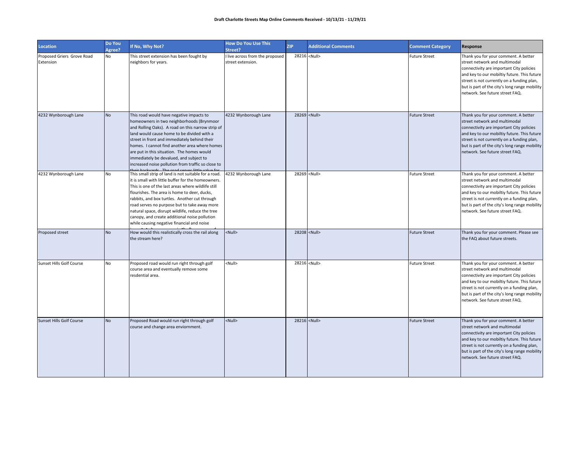| <b>Location</b>                         | Do You<br>Agree? | If No, Why Not?                                                                                                                                                                                                                                                                                                                                                                                                                                                      | <b>How Do You Use This</b><br>Street?                | <b>ZIP</b> | <b>Additional Comments</b> | <b>Comment Category</b> | Response                                                                                                                                                                                                                                                                                           |
|-----------------------------------------|------------------|----------------------------------------------------------------------------------------------------------------------------------------------------------------------------------------------------------------------------------------------------------------------------------------------------------------------------------------------------------------------------------------------------------------------------------------------------------------------|------------------------------------------------------|------------|----------------------------|-------------------------|----------------------------------------------------------------------------------------------------------------------------------------------------------------------------------------------------------------------------------------------------------------------------------------------------|
| Proposed Griers Grove Road<br>Extension | No               | This street extension has been fought by<br>neighbors for years.                                                                                                                                                                                                                                                                                                                                                                                                     | I live across from the proposed<br>street extension. |            | 28216 <null></null>        | <b>Future Street</b>    | Thank you for your comment. A better<br>street network and multimodal<br>connectivity are important City policies<br>and key to our mobiltiy future. This future<br>street is not currently on a funding plan,<br>but is part of the city's long range mobility<br>network. See future street FAQ. |
| 4232 Wynborough Lane                    | <b>No</b>        | This road would have negative impacts to<br>homeowners in two neighborhoods (Brynmoor<br>and Rolling Oaks). A road on this narrow strip of<br>land would cause home to be divided with a<br>street in front and immediately behind their<br>homes. I cannot find another area where homes<br>are put in this situation. The homes would<br>immediately be devalued, and subject to<br>increased noise pollution from traffic so close to                             | 4232 Wynborough Lane                                 |            | 28269 <null></null>        | <b>Future Street</b>    | Thank you for your comment. A better<br>street network and multimodal<br>connectivity are important City policies<br>and key to our mobiltiy future. This future<br>street is not currently on a funding plan,<br>but is part of the city's long range mobility<br>network. See future street FAQ. |
| 4232 Wynborough Lane                    | No               | This small strip of land is not suitable for a road.<br>it is small with little buffer for the homeowners.<br>This is one of the last areas where wildlife still<br>flourishes. The area is home to deer, ducks,<br>rabbits, and box turtles. Another cut through<br>road serves no purpose but to take away more<br>natural space, disrupt wildlife, reduce the tree<br>canopy, and create additional noise pollution<br>while causing negative financial and noise | 4232 Wynborough Lane                                 |            | 28269 <null></null>        | <b>Future Street</b>    | Thank you for your comment. A better<br>street network and multimodal<br>connectivity are important City policies<br>and key to our mobiltiy future. This future<br>street is not currently on a funding plan,<br>but is part of the city's long range mobility<br>network. See future street FAQ. |
| Proposed street                         | <b>No</b>        | How would this realistically cross the rail along<br>the stream here?                                                                                                                                                                                                                                                                                                                                                                                                | <null></null>                                        |            | 28208 <null></null>        | <b>Future Street</b>    | Thank you for your comment. Please see<br>the FAQ about future streets.                                                                                                                                                                                                                            |
| Sunset Hills Golf Course                | No               | Proposed road would run right through golf<br>course area and eventually remove some<br>resdential area.                                                                                                                                                                                                                                                                                                                                                             | <null></null>                                        |            | 28216 <null></null>        | <b>Future Street</b>    | Thank you for your comment. A better<br>street network and multimodal<br>connectivity are important City policies<br>and key to our mobiltiy future. This future<br>street is not currently on a funding plan,<br>but is part of the city's long range mobility<br>network. See future street FAQ. |
| <b>Sunset Hills Golf Course</b>         | <b>No</b>        | Proposed Road would run right through golf<br>course and change area enviornment.                                                                                                                                                                                                                                                                                                                                                                                    | <null></null>                                        |            | 28216 <null></null>        | <b>Future Street</b>    | Thank you for your comment. A better<br>street network and multimodal<br>connectivity are important City policies<br>and key to our mobiltiy future. This future<br>street is not currently on a funding plan,<br>but is part of the city's long range mobility<br>network. See future street FAQ. |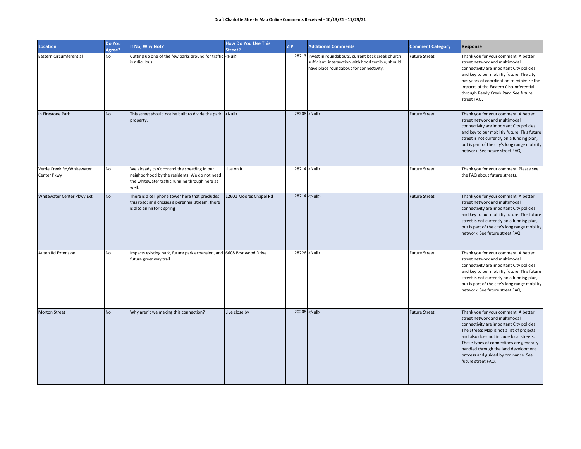| <b>Location</b>                          | Do You<br>Agree? | If No, Why Not?                                                                                                                                          | <b>How Do You Use This</b><br>Street? | <b>ZIP</b> | <b>Additional Comments</b>                                                                                                                               | <b>Comment Category</b> | Response                                                                                                                                                                                                                                                                                                                                                      |
|------------------------------------------|------------------|----------------------------------------------------------------------------------------------------------------------------------------------------------|---------------------------------------|------------|----------------------------------------------------------------------------------------------------------------------------------------------------------|-------------------------|---------------------------------------------------------------------------------------------------------------------------------------------------------------------------------------------------------------------------------------------------------------------------------------------------------------------------------------------------------------|
| Eastern Circumferential                  | <b>No</b>        | Cutting up one of the few parks around for traffic <null><br/>is ridiculous.</null>                                                                      |                                       |            | 28213 Invest in roundabouts. current back creek church<br>sufficient. intersection with hood terrible; should<br>have place roundabout for connectivity. | <b>Future Street</b>    | Thank you for your comment. A better<br>street network and multimodal<br>connectivity are important City policies<br>and key to our mobiltiy future. The city<br>has years of coordination to minimize the<br>impacts of the Eastern Circumferential<br>through Reedy Creek Park. See future<br>street FAQ.                                                   |
| In Firestone Park                        | <b>No</b>        | This street should not be built to divide the park <null><br/>property.</null>                                                                           |                                       |            | 28208 <null></null>                                                                                                                                      | <b>Future Street</b>    | Thank you for your comment. A better<br>street network and multimodal<br>connectivity are important City policies<br>and key to our mobiltiy future. This future<br>street is not currently on a funding plan,<br>but is part of the city's long range mobility<br>network. See future street FAQ.                                                            |
| Verde Creek Rd/Whitewater<br>Center Pkwy | No               | We already can't control the speeding in our<br>neighborhood by the residents. We do not need<br>the whitewater traffic running through here as<br>well. | Live on it                            |            | 28214 <null></null>                                                                                                                                      | <b>Future Street</b>    | Thank you for your comment. Please see<br>the FAQ about future streets.                                                                                                                                                                                                                                                                                       |
| Whitewater Center Pkwy Ext               | <b>No</b>        | There is a cell phone tower here that precludes<br>this road; and crosses a perennial stream; there<br>is also an historic spring                        | 12601 Moores Chapel Rd                |            | 28214 <null></null>                                                                                                                                      | <b>Future Street</b>    | Thank you for your comment. A better<br>street network and multimodal<br>connectivity are important City policies<br>and key to our mobiltiy future. This future<br>street is not currently on a funding plan,<br>but is part of the city's long range mobility<br>network. See future street FAQ.                                                            |
| Auten Rd Extension                       | No               | Impacts existing park, future park expansion, and 6608 Brynwood Drive<br>future greenway trail                                                           |                                       |            | 28226 <null></null>                                                                                                                                      | <b>Future Street</b>    | Thank you for your comment. A better<br>street network and multimodal<br>connectivity are important City policies<br>and key to our mobiltiy future. This future<br>street is not currently on a funding plan,<br>but is part of the city's long range mobility<br>network. See future street FAQ.                                                            |
| <b>Morton Street</b>                     | <b>No</b>        | Why aren't we making this connection?                                                                                                                    | Live close by                         |            | 20208 <null></null>                                                                                                                                      | <b>Future Street</b>    | Thank you for your comment. A better<br>street network and multimodal<br>connectivity are important City policies.<br>The Streets Map is not a list of projects<br>and also does not include local streets.<br>These types of connections are generally<br>handled through the land development<br>process and guided by ordinance. See<br>future street FAQ. |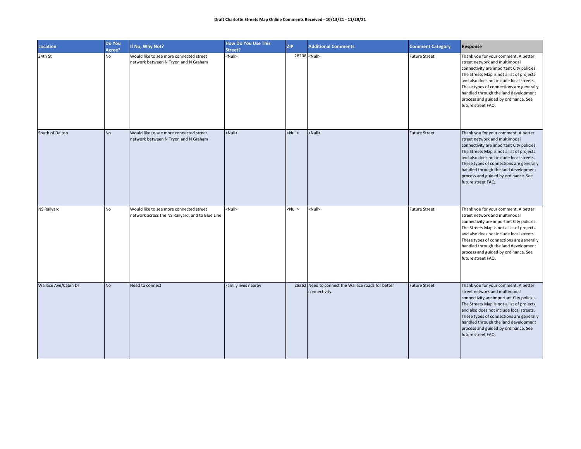| Location             | Do You<br>Agree? | If No, Why Not?                                                                             | <b>How Do You Use This</b><br>Street? | <b>ZIP</b>    | <b>Additional Comments</b>                                          | <b>Comment Category</b> | Response                                                                                                                                                                                                                                                                                                                                                      |
|----------------------|------------------|---------------------------------------------------------------------------------------------|---------------------------------------|---------------|---------------------------------------------------------------------|-------------------------|---------------------------------------------------------------------------------------------------------------------------------------------------------------------------------------------------------------------------------------------------------------------------------------------------------------------------------------------------------------|
| 24th St              | No               | Would like to see more connected street<br>network between N Tryon and N Graham             | <null></null>                         |               | 28206 <null></null>                                                 | <b>Future Street</b>    | Thank you for your comment. A better<br>street network and multimodal<br>connectivity are important City policies.<br>The Streets Map is not a list of projects<br>and also does not include local streets.<br>These types of connections are generally<br>handled through the land development<br>process and guided by ordinance. See<br>future street FAQ. |
| South of Dalton      | <b>No</b>        | Would like to see more connected street<br>network between N Tryon and N Graham             | <null></null>                         | <null></null> | <null></null>                                                       | <b>Future Street</b>    | Thank you for your comment. A better<br>street network and multimodal<br>connectivity are important City policies.<br>The Streets Map is not a list of projects<br>and also does not include local streets.<br>These types of connections are generally<br>handled through the land development<br>process and guided by ordinance. See<br>future street FAQ. |
| NS Railyard          | <b>No</b>        | Would like to see more connected street<br>network across the NS Railyard, and to Blue Line | <null></null>                         | <null></null> | <null></null>                                                       | <b>Future Street</b>    | Thank you for your comment. A better<br>street network and multimodal<br>connectivity are important City policies.<br>The Streets Map is not a list of projects<br>and also does not include local streets.<br>These types of connections are generally<br>handled through the land development<br>process and guided by ordinance. See<br>future street FAQ. |
| Wallace Ave/Cabin Dr | <b>No</b>        | Need to connect                                                                             | Family lives nearby                   |               | 28262 Need to connect the Wallace roads for better<br>connectivity. | <b>Future Street</b>    | Thank you for your comment. A better<br>street network and multimodal<br>connectivity are important City policies.<br>The Streets Map is not a list of projects<br>and also does not include local streets.<br>These types of connections are generally<br>handled through the land development<br>process and guided by ordinance. See<br>future street FAQ. |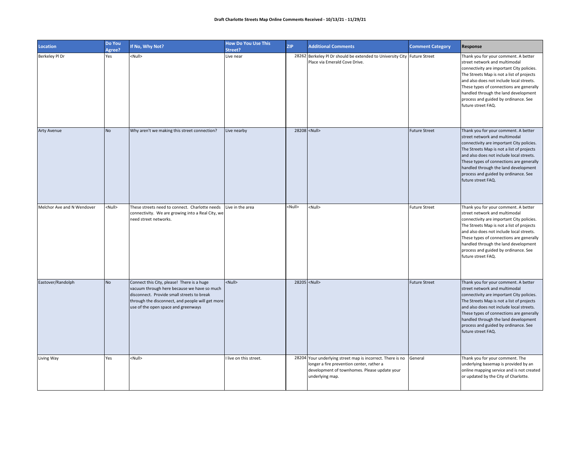| Location                   | Do You<br>Agree? | If No, Why Not?                                                                                                                                                                                                                    | <b>How Do You Use This</b><br>Street? | <b>ZIP</b>    | <b>Additional Comments</b>                                                                                                                                                 | <b>Comment Category</b> | Response                                                                                                                                                                                                                                                                                                                                                      |
|----------------------------|------------------|------------------------------------------------------------------------------------------------------------------------------------------------------------------------------------------------------------------------------------|---------------------------------------|---------------|----------------------------------------------------------------------------------------------------------------------------------------------------------------------------|-------------------------|---------------------------------------------------------------------------------------------------------------------------------------------------------------------------------------------------------------------------------------------------------------------------------------------------------------------------------------------------------------|
| Berkeley Pl Dr             | Yes              | <null></null>                                                                                                                                                                                                                      | Live near                             |               | 28262 Berkeley PI Dr should be extended to University City Future Street<br>Place via Emerald Cove Drive.                                                                  |                         | Thank you for your comment. A better<br>street network and multimodal<br>connectivity are important City policies.<br>The Streets Map is not a list of projects<br>and also does not include local streets.<br>These types of connections are generally<br>handled through the land development<br>process and guided by ordinance. See<br>future street FAQ. |
| Arty Avenue                | <b>No</b>        | Why aren't we making this street connection?                                                                                                                                                                                       | Live nearby                           |               | 28208 <null></null>                                                                                                                                                        | <b>Future Street</b>    | Thank you for your comment. A better<br>street network and multimodal<br>connectivity are important City policies.<br>The Streets Map is not a list of projects<br>and also does not include local streets.<br>These types of connections are generally<br>handled through the land development<br>process and guided by ordinance. See<br>future street FAQ. |
| Melchor Ave and N Wendover | <null></null>    | These streets need to connect. Charlotte needs<br>connectivity. We are growing into a Real City, we<br>need street networks.                                                                                                       | Live in the area                      | <null></null> | <null></null>                                                                                                                                                              | <b>Future Street</b>    | Thank you for your comment. A better<br>street network and multimodal<br>connectivity are important City policies.<br>The Streets Map is not a list of projects<br>and also does not include local streets.<br>These types of connections are generally<br>handled through the land development<br>process and guided by ordinance. See<br>future street FAQ. |
| Eastover/Randolph          | <b>No</b>        | Connect this City, please! There is a huge<br>vacuum through here because we have so much<br>disconnect. Provide small streets to break<br>through the disconnect, and people will get more<br>use of the open space and greenways | <null></null>                         |               | 28205 <null></null>                                                                                                                                                        | <b>Future Street</b>    | Thank you for your comment. A better<br>street network and multimodal<br>connectivity are important City policies.<br>The Streets Map is not a list of projects<br>and also does not include local streets.<br>These types of connections are generally<br>handled through the land development<br>process and guided by ordinance. See<br>future street FAQ. |
| Living Way                 | Yes              | <null></null>                                                                                                                                                                                                                      | I live on this street.                |               | 28204 Your underlying street map is incorrect. There is no<br>longer a fire prevention center, rather a<br>development of townhomes. Please update your<br>underlying map. | General                 | Thank you for your comment. The<br>underlying basemap is provided by an<br>online mapping service and is not created<br>or updated by the City of Charlotte.                                                                                                                                                                                                  |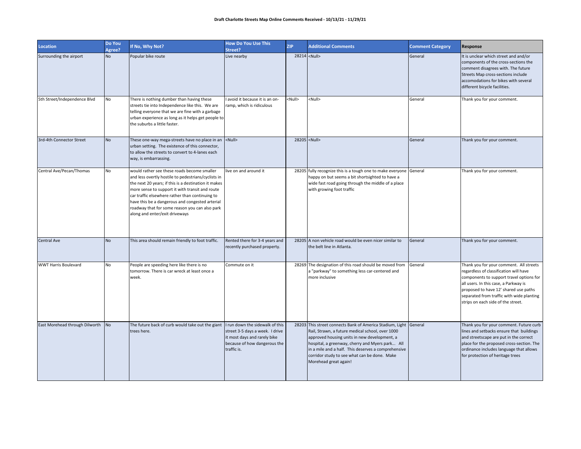| Location                          | Do You<br>Agree? | If No, Why Not?                                                                                                                                                                                                                                                                                                                                                                                         | <b>How Do You Use This</b><br>Street?                                                                                                             | <b>ZIP</b>          | <b>Additional Comments</b>                                                                                                                                                                                                                                                                                                                               | <b>Comment Category</b> | Response                                                                                                                                                                                                                                                                                           |
|-----------------------------------|------------------|---------------------------------------------------------------------------------------------------------------------------------------------------------------------------------------------------------------------------------------------------------------------------------------------------------------------------------------------------------------------------------------------------------|---------------------------------------------------------------------------------------------------------------------------------------------------|---------------------|----------------------------------------------------------------------------------------------------------------------------------------------------------------------------------------------------------------------------------------------------------------------------------------------------------------------------------------------------------|-------------------------|----------------------------------------------------------------------------------------------------------------------------------------------------------------------------------------------------------------------------------------------------------------------------------------------------|
| Surrounding the airport           | <b>No</b>        | Popular bike route                                                                                                                                                                                                                                                                                                                                                                                      | Live nearby                                                                                                                                       | 28214 <null></null> |                                                                                                                                                                                                                                                                                                                                                          | General                 | It is unclear which street and and/or<br>components of the cross-sections the<br>comment disagrees with. The future<br>Streets Map cross-sections include<br>accomodations for bikes with several<br>different bicycle facilities.                                                                 |
| 5th Street/Independence Blvd      | No               | There is nothing dumber than having these<br>streets tie into Independence like this. We are<br>telling everyone that we are fine with a garbage<br>urban experience as long as it helps get people to<br>the suburbs a little faster.                                                                                                                                                                  | avoid it because it is an on-<br>ramp, which is ridiculous                                                                                        | <null></null>       | <null></null>                                                                                                                                                                                                                                                                                                                                            | General                 | Thank you for your comment.                                                                                                                                                                                                                                                                        |
| 3rd-4th Connector Street          | <b>No</b>        | These one-way mega-streets have no place in an<br>urban setting. The existence of this connector,<br>to allow the streets to convert to 4-lanes each<br>way, is embarrassing.                                                                                                                                                                                                                           | <null></null>                                                                                                                                     |                     | 28205 <null></null>                                                                                                                                                                                                                                                                                                                                      | General                 | Thank you for your comment.                                                                                                                                                                                                                                                                        |
| Central Ave/Pecan/Thomas          | No               | would rather see these roads become smaller<br>and less overtly hostile to pedestrians/cyclists in<br>the next 20 years; if this is a destination it makes<br>more sense to support it with transit and route<br>car traffic elsewhere rather than continuing to<br>have this be a dangerous and congested arterial<br>roadway that for some reason you can also park<br>along and enter/exit driveways | live on and around it                                                                                                                             |                     | 28205 fully recognize this is a tough one to make everyone General<br>happy on but seems a bit shortsighted to have a<br>wide fast road going through the middle of a place<br>with growing foot traffic                                                                                                                                                 |                         | Thank you for your comment.                                                                                                                                                                                                                                                                        |
| <b>Central Ave</b>                | <b>No</b>        | This area should remain friendly to foot traffic.                                                                                                                                                                                                                                                                                                                                                       | Rented there for 3-4 years and<br>recently purchased property.                                                                                    |                     | 28205 A non vehicle road would be even nicer similar to<br>the belt line in Atlanta.                                                                                                                                                                                                                                                                     | General                 | Thank you for your comment.                                                                                                                                                                                                                                                                        |
| <b>WWT Harris Boulevard</b>       | <b>No</b>        | People are speeding here like there is no<br>tomorrow. There is car wreck at least once a<br>week.                                                                                                                                                                                                                                                                                                      | Commute on it                                                                                                                                     |                     | 28269 The designation of this road should be moved from<br>a "parkway" to something less car-centered and<br>more inclusive                                                                                                                                                                                                                              | General                 | Thank you for your comment. All streets<br>regardless of classification will have<br>components to support travel options for<br>all users. In this case, a Parkway is<br>proposed to have 12' shared use paths<br>separated from traffic with wide planting<br>strips on each side of the street. |
| East Morehead through Dilworth No |                  | The future back of curb would take out the giant<br>trees here.                                                                                                                                                                                                                                                                                                                                         | I run down the sidewalk of this<br>street 3-5 days a week. I drive<br>it most days and rarely bike<br>because of how dangerous the<br>traffic is. |                     | 28203 This street connects Bank of America Stadium, Light General<br>Rail, Strawn, a future medical school, over 1000<br>approved housing units in new development, a<br>hospital, a greenway, cherry and Myers park All<br>in a mile and a half. This deserves a comprehensive<br>corridor study to see what can be done. Make<br>Morehead great again! |                         | Thank you for your comment. Future curb<br>lines and setbacks ensure that buildings<br>and streetscape are put in the correct<br>place for the proposed cross-section. The<br>ordinance includes language that allows<br>for protection of heritage trees                                          |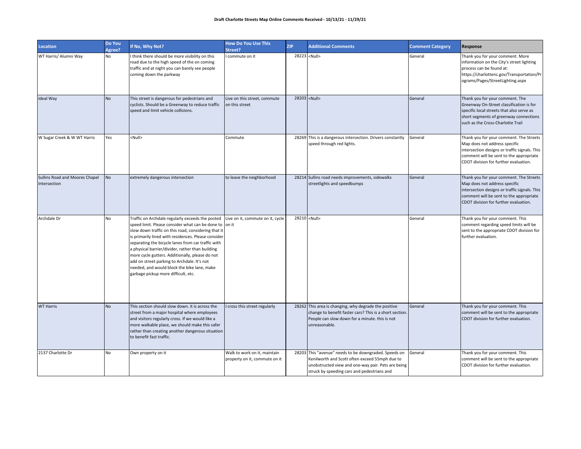| <b>Location</b>                                | Do You<br>Agree? | If No, Why Not?                                                                                                                                                                                                                                                                                                                                                                                                                                                                                                            | <b>How Do You Use This</b><br>Street?                         | <b>ZIP</b> | <b>Additional Comments</b>                                                                                                                                                                                   | <b>Comment Category</b> | Response                                                                                                                                                                                                      |
|------------------------------------------------|------------------|----------------------------------------------------------------------------------------------------------------------------------------------------------------------------------------------------------------------------------------------------------------------------------------------------------------------------------------------------------------------------------------------------------------------------------------------------------------------------------------------------------------------------|---------------------------------------------------------------|------------|--------------------------------------------------------------------------------------------------------------------------------------------------------------------------------------------------------------|-------------------------|---------------------------------------------------------------------------------------------------------------------------------------------------------------------------------------------------------------|
| WT Harris/ Alumni Way                          | No               | I think there should be more visibility on this<br>road due to the high speed of the on coming<br>traffic and at night you can barely see people<br>coming down the parkway                                                                                                                                                                                                                                                                                                                                                | commute on it                                                 |            | 28223 <null></null>                                                                                                                                                                                          | General                 | Thank you for your comment. More<br>information on the City's street lighting<br>process can be found at:<br>https://charlottenc.gov/Transportation/Pr<br>ograms/Pages/StreetLighting.aspx                    |
| Ideal Way                                      | <b>No</b>        | This street is dangerous for pedestrians and<br>cyclists. Should be a Greenway to reduce traffic<br>speed and limit vehicle collisions.                                                                                                                                                                                                                                                                                                                                                                                    | Live on this street, commute<br>on this street                |            | 28203 <null></null>                                                                                                                                                                                          | General                 | Thank you for your comment. The<br>Greenway On-Street classification is for<br>specific local streets that also serve as<br>short segments of greenway connections<br>such as the Cross-Charlotte Trail       |
| W Sugar Creek & W WT Harris                    | Yes              | <null></null>                                                                                                                                                                                                                                                                                                                                                                                                                                                                                                              | Commute                                                       |            | 28269 This is a dangerous intersection. Drivers constantly<br>speed through red lights.                                                                                                                      | General                 | Thank you for your comment. The Streets<br>Map does not address specific<br>intersection designs or traffic signals. This<br>comment will be sent to the appropriate<br>CDOT division for further evaluation. |
| Sullins Road and Moores Chapel<br>Intersection | <b>No</b>        | extremely dangerous intersection                                                                                                                                                                                                                                                                                                                                                                                                                                                                                           | to leave the neighborhood                                     |            | 28214 Sullins road needs improvements, sidewalks<br>streetlights and speedbumps                                                                                                                              | General                 | Thank you for your comment. The Streets<br>Map does not address specific<br>intersection designs or traffic signals. This<br>comment will be sent to the appropriate<br>CDOT division for further evaluation. |
| Archdale Dr                                    | No               | Traffic on Archdale regularly exceeds the posted<br>speed limit. Please consider what can be done to on it<br>slow down traffic on this road, considering that it<br>is primarily lined with residences. Please consider<br>separating the bicycle lanes from car traffic with<br>a physical barrier/divider, rather than building<br>more cycle gutters. Additionally, please do not<br>add on street parking to Archdale. It's not<br>needed, and would block the bike lane, make<br>garbage pickup more difficult, etc. | Live on it, commute on it, cycle                              |            | 28210 <null></null>                                                                                                                                                                                          | General                 | Thank you for your comment. This<br>comment regarding speed limits will be<br>sent to the appropriate CDOT division for<br>further evaluation.                                                                |
| <b>WT Harris</b>                               | <b>No</b>        | This section should slow down. it is across the<br>street from a major hospital where employees<br>and visitors regularly cross. If we would like a<br>more walkable place, we should make this safer<br>rather than creating another dangerous situation<br>to benefit fast traffic.                                                                                                                                                                                                                                      | cross this street regularly                                   |            | 28262 This area is changing, why degrade the positive<br>change to benefit faster cars? This is a short section.<br>People can slow down for a minute. this is not<br>unreasonable.                          | General                 | Thank you for your comment. This<br>comment will be sent to the appropriate<br>CDOT division for further evaluation.                                                                                          |
| 2137 Charlotte Dr                              | No               | Own property on it                                                                                                                                                                                                                                                                                                                                                                                                                                                                                                         | Walk to work on it, maintain<br>property on it, commute on it |            | 28203 This "avenue" needs to be downgraded. Speeds on<br>Kenilworth and Scott often exceed 55mph due to<br>unobstructed view and one-way pair. Pets are being<br>struck by speeding cars and pedestrians and | General                 | Thank you for your comment. This<br>comment will be sent to the appropriate<br>CDOT division for further evaluation.                                                                                          |

٦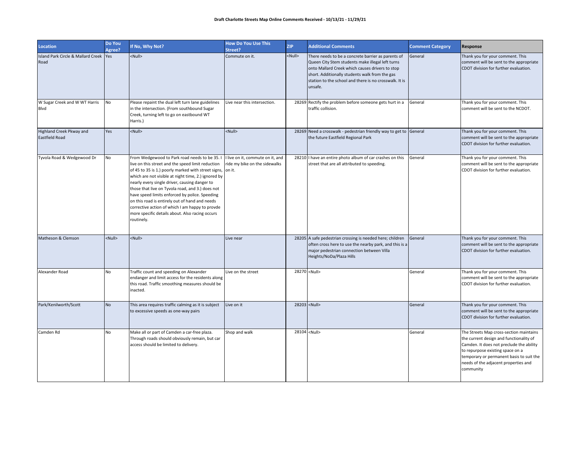| <b>Location</b>                                | Do You<br>Agree? | If No, Why Not?                                                                                                                                                                                                                                                                                                                                                                                                                                                                                                                             | <b>How Do You Use This</b><br>Street?                                       | <b>ZIP</b>    | <b>Additional Comments</b>                                                                                                                                                                                                                                                       | <b>Comment Category</b> | Response                                                                                                                                                                                                                                                            |
|------------------------------------------------|------------------|---------------------------------------------------------------------------------------------------------------------------------------------------------------------------------------------------------------------------------------------------------------------------------------------------------------------------------------------------------------------------------------------------------------------------------------------------------------------------------------------------------------------------------------------|-----------------------------------------------------------------------------|---------------|----------------------------------------------------------------------------------------------------------------------------------------------------------------------------------------------------------------------------------------------------------------------------------|-------------------------|---------------------------------------------------------------------------------------------------------------------------------------------------------------------------------------------------------------------------------------------------------------------|
| Island Park Circle & Mallard Creek Yes<br>Road |                  | <null></null>                                                                                                                                                                                                                                                                                                                                                                                                                                                                                                                               | Commute on it.                                                              | <null></null> | There needs to be a concrete barrier as parents of<br>Queen City Stem students make illegal left turns<br>onto Mallard Creek which causes drivers to stop<br>short. Additionally students walk from the gas<br>station to the school and there is no crosswalk. It is<br>unsafe. | General                 | Thank you for your comment. This<br>comment will be sent to the appropriate<br>CDOT division for further evaluation.                                                                                                                                                |
| W Sugar Creek and W WT Harris<br>Blvd          | No               | Please repaint the dual left turn lane guidelines<br>in the intersection. (From southbound Sugar<br>Creek, turning left to go on eastbound WT<br>Harris.)                                                                                                                                                                                                                                                                                                                                                                                   | Live near this intersection.                                                |               | 28269 Rectify the problem before someone gets hurt in a<br>traffic collision.                                                                                                                                                                                                    | General                 | Thank you for your comment. This<br>comment will be sent to the NCDOT.                                                                                                                                                                                              |
| Highland Creek Pkway and<br>Eastfield Road     | Yes              | <null></null>                                                                                                                                                                                                                                                                                                                                                                                                                                                                                                                               | <null></null>                                                               |               | 28269 Need a crosswalk - pedestrian friendly way to get to General<br>the future Eastfield Regional Park                                                                                                                                                                         |                         | Thank you for your comment. This<br>comment will be sent to the appropriate<br>CDOT division for further evaluation.                                                                                                                                                |
| Tyvola Road & Wedgewood Dr                     | No               | From Wedgewood to Park road needs to be 35.<br>live on this street and the speed limit reduction<br>of 45 to 35 is 1.) poorly marked with street signs,<br>which are not visible at night time, 2.) ignored by<br>nearly every single driver, causing danger to<br>those that live on Tyvola road, and 3.) does not<br>have speed limits enforced by police. Speeding<br>on this road is entirely out of hand and needs<br>corrective action of which I am happy to provde<br>more specific details about. Also racing occurs<br>routinely. | I live on it, commute on it, and<br>ride my bike on the sidewalks<br>on it. |               | 28210 I have an entire photo album of car crashes on this<br>street that are all attributed to speeding.                                                                                                                                                                         | General                 | Thank you for your comment. This<br>comment will be sent to the appropriate<br>CDOT division for further evaluation.                                                                                                                                                |
| Matheson & Clemson                             | <null></null>    | <null></null>                                                                                                                                                                                                                                                                                                                                                                                                                                                                                                                               | Live near                                                                   |               | 28205 A safe pedestrian crossing is needed here; children<br>often cross here to use the nearby park, and this is a<br>major pedestrian connection between Villa<br>Heights/NoDa/Plaza Hills                                                                                     | General                 | Thank you for your comment. This<br>comment will be sent to the appropriate<br>CDOT division for further evaluation.                                                                                                                                                |
| Alexander Road                                 | No               | Traffic count and speeding on Alexander<br>endanger and limit access for the residents along<br>this road. Traffic smoothing measures should be<br>inacted.                                                                                                                                                                                                                                                                                                                                                                                 | Live on the street                                                          |               | 28270 <null></null>                                                                                                                                                                                                                                                              | General                 | Thank you for your comment. This<br>comment will be sent to the appropriate<br>CDOT division for further evaluation.                                                                                                                                                |
| Park/Kenilworth/Scott                          | <b>No</b>        | This area requires traffic calming as it is subject<br>to excessive speeds as one-way pairs                                                                                                                                                                                                                                                                                                                                                                                                                                                 | Live on it                                                                  |               | 28203 <null></null>                                                                                                                                                                                                                                                              | General                 | Thank you for your comment. This<br>comment will be sent to the appropriate<br>CDOT division for further evaluation.                                                                                                                                                |
| Camden Rd                                      | No               | Make all or part of Camden a car-free plaza.<br>Through roads should obviously remain, but car<br>access should be limited to delivery.                                                                                                                                                                                                                                                                                                                                                                                                     | Shop and walk                                                               |               | 28104 <null></null>                                                                                                                                                                                                                                                              | General                 | The Streets Map cross-section maintains<br>the current design and functionality of<br>Camden. It does not preclude the ability<br>to repurpose existing space on a<br>temporary or permanent basis to suit the<br>needs of the adjacent properties and<br>community |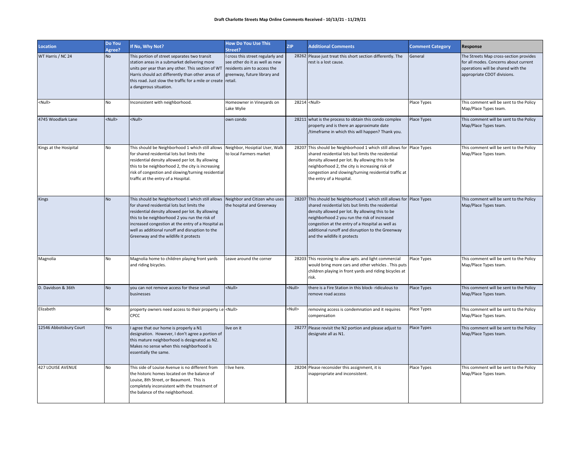| Location                 | Do You<br>Agree? | If No, Why Not?                                                                                                                                                                                                                                                                                                                                                                     | <b>How Do You Use This</b><br>Street?                                                                                            | <b>ZIP</b>    | <b>Additional Comments</b>                                                                                                                                                                                                                                                                                                                                              | <b>Comment Category</b> | Response                                                                                                                                             |
|--------------------------|------------------|-------------------------------------------------------------------------------------------------------------------------------------------------------------------------------------------------------------------------------------------------------------------------------------------------------------------------------------------------------------------------------------|----------------------------------------------------------------------------------------------------------------------------------|---------------|-------------------------------------------------------------------------------------------------------------------------------------------------------------------------------------------------------------------------------------------------------------------------------------------------------------------------------------------------------------------------|-------------------------|------------------------------------------------------------------------------------------------------------------------------------------------------|
| WT Harris / NC 24        | <b>No</b>        | This portion of street separates two transit<br>station areas in a submarket delivering more<br>units per year than any other. This section of WT<br>Harris should act differently than other areas of<br>this road. Just slow the traffic for a mile or create retail.<br>a dangerous situation.                                                                                   | cross this street regularly and<br>see other do it as well as new<br>residents aim to access the<br>greenway, future library and |               | 28262 Please just treat this short section differently. The<br>rest is a lost cause.                                                                                                                                                                                                                                                                                    | General                 | The Streets Map cross-section provides<br>for all modes. Concerns about current<br>operations will be shared with the<br>appropriate CDOT divisions. |
| <null></null>            | No               | Inconsistent with neighborhood.                                                                                                                                                                                                                                                                                                                                                     | Homeowner in Vineyards on<br>Lake Wylie                                                                                          |               | 28214 <null></null>                                                                                                                                                                                                                                                                                                                                                     | Place Types             | This comment will be sent to the Policy<br>Map/Place Types team.                                                                                     |
| 4745 Woodlark Lane       | <null></null>    | <null></null>                                                                                                                                                                                                                                                                                                                                                                       | own condo                                                                                                                        |               | 28211 what is the process to obtain this condo complex<br>property and is there an approximate date<br>/timeframe in which this will happen? Thank you.                                                                                                                                                                                                                 | Place Types             | This comment will be sent to the Policy<br>Map/Place Types team.                                                                                     |
| Kings at the Hosipital   | <b>No</b>        | This should be Neighborhood 1 which still allows<br>for shared residential lots but limits the<br>residential density allowed per lot. By allowing<br>this to be neighborhood 2, the city is increasing<br>risk of congestion and slowing/turning residential<br>traffic at the entry of a Hospital.                                                                                | Neighbor, Hosiptial User, Walk<br>to local Farmers market                                                                        |               | 28207 This should be Neighborhood 1 which still allows for Place Types<br>shared residential lots but limits the residential<br>density allowed per lot. By allowing this to be<br>neighborhood 2, the city is increasing risk of<br>congestion and slowing/turning residential traffic at<br>the entry of a Hospital.                                                  |                         | This comment will be sent to the Policy<br>Map/Place Types team.                                                                                     |
| <b>Kings</b>             | <b>No</b>        | This should be Neighborhood 1 which still allows Neighbor and Citizen who uses<br>for shared residential lots but limits the<br>residential density allowed per lot. By allowing<br>this to be neighborhood 2 you run the risk of<br>increased congestion at the entry of a Hospital as<br>well as additional runoff and disruption to the<br>Greenway and the wildlife it protects | the hospital and Greenway                                                                                                        |               | 28207 This should be Neighborhood 1 which still allows for Place Types<br>shared residential lots but limits the residential<br>density allowed per lot. By allowing this to be<br>neighborhood 2 you run the risk of increased<br>congestion at the entry of a Hospital as well as<br>additional runoff and disruption to the Greenway<br>and the wildlife it protects |                         | This comment will be sent to the Policy<br>Map/Place Types team.                                                                                     |
| Magnolia                 | No               | Magnolia home to children playing front yards<br>and riding bicycles.                                                                                                                                                                                                                                                                                                               | Leave around the corner                                                                                                          |               | 28203 This rezoning to allow apts. and light commercial<br>would bring more cars and other vehicles . This puts<br>children playing in front yards and riding bicycles at<br>risk.                                                                                                                                                                                      | Place Types             | This comment will be sent to the Policy<br>Map/Place Types team.                                                                                     |
| D. Davidson & 36th       | <b>No</b>        | you can not remove access for these small<br>businesses                                                                                                                                                                                                                                                                                                                             | <null></null>                                                                                                                    | <null></null> | there is a Fire Station in this block- ridiculous to<br>remove road access                                                                                                                                                                                                                                                                                              | Place Types             | This comment will be sent to the Policy<br>Map/Place Types team.                                                                                     |
| Elizabeth                | No               | property owners need access to their property i.e <null><br/><b>CPCC</b></null>                                                                                                                                                                                                                                                                                                     |                                                                                                                                  | <null></null> | removing access is condemnation and it requires<br>compensation                                                                                                                                                                                                                                                                                                         | Place Types             | This comment will be sent to the Policy<br>Map/Place Types team.                                                                                     |
| 12546 Abbotsbury Court   | Yes              | agree that our home is properly a N1<br>designation. However, I don't agree a portion of<br>this mature neighborhood is designated as N2.<br>Makes no sense when this neighborhood is<br>essentially the same.                                                                                                                                                                      | live on it                                                                                                                       |               | 28277 Please revisit the N2 portion and please adjust to<br>designate all as N1.                                                                                                                                                                                                                                                                                        | Place Types             | This comment will be sent to the Policy<br>Map/Place Types team.                                                                                     |
| <b>427 LOUISE AVENUE</b> | No               | This side of Louise Avenue is no different from<br>the historic homes located on the balance of<br>Louise, 8th Street, or Beaumont. This is<br>completely inconsistent with the treatment of<br>the balance of the neighborhood.                                                                                                                                                    | live here.                                                                                                                       |               | 28204 Please reconsider this assignment, it is<br>inappropriate and inconsistent.                                                                                                                                                                                                                                                                                       | Place Types             | This comment will be sent to the Policy<br>Map/Place Types team.                                                                                     |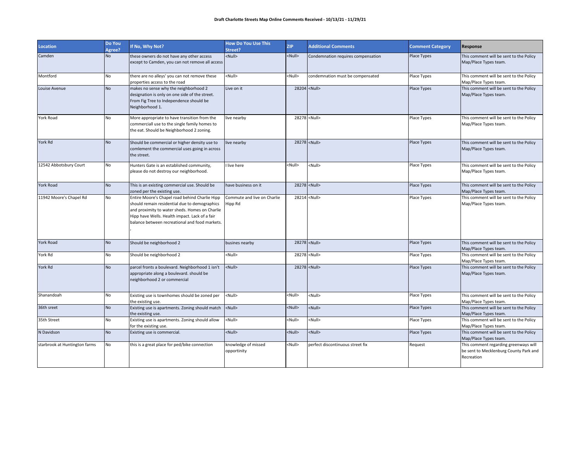| <b>Location</b>               | Do You<br>Agree? | If No, Why Not?                                                                                                                                                                                                                                       | <b>How Do You Use This</b><br>Street?  | <b>ZIP</b>    | <b>Additional Comments</b>         | <b>Comment Category</b> | Response                                                                                      |
|-------------------------------|------------------|-------------------------------------------------------------------------------------------------------------------------------------------------------------------------------------------------------------------------------------------------------|----------------------------------------|---------------|------------------------------------|-------------------------|-----------------------------------------------------------------------------------------------|
| Camden                        | <b>No</b>        | these owners do not have any other access<br>except to Camden, you can not remove all access                                                                                                                                                          | <null></null>                          | <null></null> | Condemnation requires compensation | Place Types             | This comment will be sent to the Policy<br>Map/Place Types team.                              |
| Montford                      | No               | there are no alleys' you can not remove these<br>properties access to the road                                                                                                                                                                        | <null></null>                          | <null></null> | condemnation must be compensated   | Place Types             | This comment will be sent to the Policy<br>Map/Place Types team.                              |
| Louise Avenue                 | <b>No</b>        | makes no sense why the neighborhood 2<br>designation is only on one side of the street.<br>From Fig Tree to Independence should be<br>Neighborhood 1.                                                                                                 | Live on it                             |               | 28204 <null></null>                | Place Types             | This comment will be sent to the Policy<br>Map/Place Types team.                              |
| York Road                     | No               | More appropriate to have transition from the<br>commerciall use to the single family homes to<br>the eat. Should be Neighborhood 2 zoning.                                                                                                            | live nearby                            |               | 28278 <null></null>                | Place Types             | This comment will be sent to the Policy<br>Map/Place Types team.                              |
| York Rd                       | <b>No</b>        | Should be commercial or higher density use to<br>comlement the commercial uses going in across<br>the street.                                                                                                                                         | live nearby                            |               | 28278 <null></null>                | <b>Place Types</b>      | This comment will be sent to the Policy<br>Map/Place Types team.                              |
| 12542 Abbotsbury Court        | No               | Hunters Gate is an established community,<br>please do not destroy our neighborhood.                                                                                                                                                                  | I live here                            | <null></null> | <null></null>                      | Place Types             | This comment will be sent to the Policy<br>Map/Place Types team.                              |
| York Road                     | <b>No</b>        | This is an existing commercial use. Should be<br>zoned per the existing use.                                                                                                                                                                          | have business on it                    |               | 28278 <null></null>                | Place Types             | This comment will be sent to the Policy<br>Map/Place Types team.                              |
| 11942 Moore's Chapel Rd       | No               | Entire Moore's Chapel road behind Charlie Hipp<br>should remain residential due to demographics<br>and proximity to water sheds. Homes on Charlie<br>Hipp have Wells. Health impact. Lack of a fair<br>balance between recreational and food markets. | Commute and live on Charlie<br>Hipp Rd |               | 28214 <null></null>                | Place Types             | This comment will be sent to the Policy<br>Map/Place Types team.                              |
| York Road                     | <b>No</b>        | Should be neighborhood 2                                                                                                                                                                                                                              | busines nearby                         |               | 28278 <null></null>                | Place Types             | This comment will be sent to the Policy<br>Map/Place Types team.                              |
| York Rd                       | No               | Should be neighborhood 2                                                                                                                                                                                                                              | <null></null>                          |               | 28278 <null></null>                | Place Types             | This comment will be sent to the Policy<br>Map/Place Types team.                              |
| York Rd                       | <b>No</b>        | parcel fronts a boulevard. Neighborhood 1 isn't<br>appropriate along a boulevard. should be<br>neighborhood 2 or commercial                                                                                                                           | <null></null>                          |               | 28278 <null></null>                | Place Types             | This comment will be sent to the Policy<br>Map/Place Types team.                              |
| Shanandoah                    | No               | Existing use is townhomes should be zoned per<br>the existing use.                                                                                                                                                                                    | <null></null>                          | <null></null> | <null></null>                      | Place Types             | This comment will be sent to the Policy<br>Map/Place Types team.                              |
| 36th sreet                    | <b>No</b>        | Existing use is apartments. Zoning should match<br>the existing use.                                                                                                                                                                                  | <null></null>                          | <null></null> | <null></null>                      | Place Types             | This comment will be sent to the Policy<br>Map/Place Types team.                              |
| 35th Street                   | No               | Existing use is apartments. Zoning should allow<br>for the existing use.                                                                                                                                                                              | <null></null>                          | <null></null> | <null></null>                      | Place Types             | This comment will be sent to the Policy<br>Map/Place Types team.                              |
| N Davidson                    | <b>No</b>        | Existing use is commercial.                                                                                                                                                                                                                           | <null></null>                          | <null></null> | <null></null>                      | Place Types             | This comment will be sent to the Policy<br>Map/Place Types team.                              |
| starbrook at Huntington farms | No               | this is a great place for ped/bike connection                                                                                                                                                                                                         | knowledge of missed<br>opportinity     | <null></null> | perfect discontinuous street fix   | Request                 | This comment regarding greenways will<br>be sent to Mecklenburg County Park and<br>Recreation |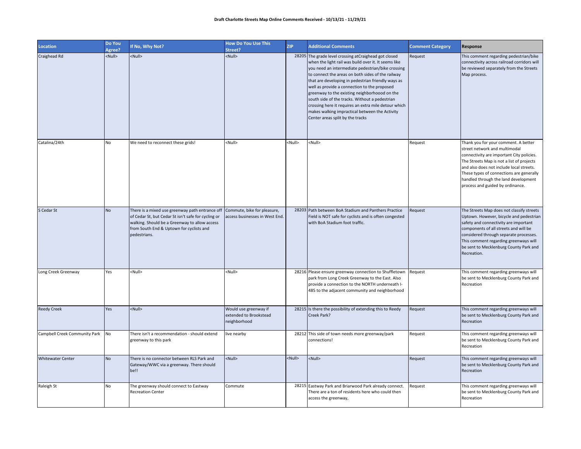| <b>Location</b>               | Do You<br>Agree? | If No, Why Not?                                                                                                                                                                                                     | <b>How Do You Use This</b><br>Street?                           | ZIP           | <b>Additional Comments</b>                                                                                                                                                                                                                                                                                                                                                                                                                                                                                                                                                      | <b>Comment Category</b> | Response                                                                                                                                                                                                                                                                                                                            |
|-------------------------------|------------------|---------------------------------------------------------------------------------------------------------------------------------------------------------------------------------------------------------------------|-----------------------------------------------------------------|---------------|---------------------------------------------------------------------------------------------------------------------------------------------------------------------------------------------------------------------------------------------------------------------------------------------------------------------------------------------------------------------------------------------------------------------------------------------------------------------------------------------------------------------------------------------------------------------------------|-------------------------|-------------------------------------------------------------------------------------------------------------------------------------------------------------------------------------------------------------------------------------------------------------------------------------------------------------------------------------|
| Craighead Rd                  | <null></null>    | <null></null>                                                                                                                                                                                                       | <null></null>                                                   |               | 28205 The grade level crossing at Craighead got closed<br>when the light rail was build over it. It seems like<br>you need an intermediate pedestrian/bike crossing<br>to connect the areas on both sides of the railway<br>that are developing in pedestrian friendly ways as<br>well as provide a connection to the proposed<br>greenway to the existing neighborhoood on the<br>south side of the tracks. Without a pedestrian<br>crossing here it requires an extra mile detour which<br>makes walking impractical between the Activity<br>Center areas split by the tracks | Request                 | This comment regarding pedestrian/bike<br>connectivity across railroad corridors will<br>be reviewed separately from the Streets<br>Map process.                                                                                                                                                                                    |
| Catalina/24th                 | No               | We need to reconnect these grids!                                                                                                                                                                                   | <null></null>                                                   | <null></null> | <null></null>                                                                                                                                                                                                                                                                                                                                                                                                                                                                                                                                                                   | Request                 | Thank you for your comment. A better<br>street network and multimodal<br>connectivity are important City policies.<br>The Streets Map is not a list of projects<br>and also does not include local streets.<br>These types of connections are generally<br>handled through the land development<br>process and guided by ordinance. |
| S Cedar St                    | <b>No</b>        | There is a mixed use greenway path entrance off<br>of Cedar St, but Cedar St isn't safe for cycling or<br>walking. Should be a Greenway to allow access<br>from South End & Uptown for cyclists and<br>pedestrians. | Commute, bike for pleasure,<br>access businesses in West End.   |               | 28203 Path between BoA Stadium and Panthers Practice<br>Field is NOT safe for cyclists and is often congested<br>with BoA Stadium foot traffic.                                                                                                                                                                                                                                                                                                                                                                                                                                 | Request                 | The Streets Map does not classify streets<br>Uptown. However, bicycle and pedestrian<br>safety and connectivity are important<br>components of all streets and will be<br>considered through separate processes.<br>This comment regarding greenways will<br>be sent to Mecklenburg County Park and<br>Recreation.                  |
| Long Creek Greenway           | Yes              | <null></null>                                                                                                                                                                                                       | <null></null>                                                   |               | 28216 Please ensure greenway connection to Shuffletown<br>park from Long Creek Greenway to the East. Also<br>provide a connection to the NORTH underneath I-<br>485 to the adjacent community and neighborhood                                                                                                                                                                                                                                                                                                                                                                  | Request                 | This comment regarding greenways will<br>be sent to Mecklenburg County Park and<br>Recreation                                                                                                                                                                                                                                       |
| <b>Reedy Creek</b>            | Yes              | <null></null>                                                                                                                                                                                                       | Would use greenway if<br>extended to Brookstead<br>neighborhood |               | 28215 Is there the possibility of extending this to Reedy<br>Creek Park?                                                                                                                                                                                                                                                                                                                                                                                                                                                                                                        | Request                 | This comment regarding greenways will<br>be sent to Mecklenburg County Park and<br>Recreation                                                                                                                                                                                                                                       |
| Campbell Creek Community Park | No               | There isn't a recommendation - should extend<br>greenway to this park                                                                                                                                               | live nearby                                                     |               | 28212 This side of town needs more greenway/park<br>connections!                                                                                                                                                                                                                                                                                                                                                                                                                                                                                                                | Request                 | This comment regarding greenways will<br>be sent to Mecklenburg County Park and<br>Recreation                                                                                                                                                                                                                                       |
| <b>Whitewater Center</b>      | <b>No</b>        | There is no connector between RLS Park and<br>Gateway/WWC via a greenway. There should<br>be!!                                                                                                                      | <null></null>                                                   | <null></null> | <null></null>                                                                                                                                                                                                                                                                                                                                                                                                                                                                                                                                                                   | Request                 | This comment regarding greenways will<br>be sent to Mecklenburg County Park and<br>Recreation                                                                                                                                                                                                                                       |
| Raleigh St                    | No               | The greenway should connect to Eastway<br><b>Recreation Center</b>                                                                                                                                                  | Commute                                                         |               | 28215 Eastway Park and Briarwood Park already connect.<br>There are a ton of residents here who could then<br>access the greenway,                                                                                                                                                                                                                                                                                                                                                                                                                                              | Request                 | This comment regarding greenways will<br>be sent to Mecklenburg County Park and<br>Recreation                                                                                                                                                                                                                                       |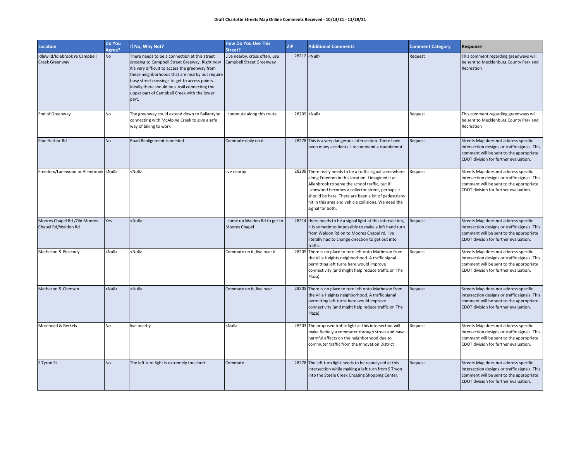| <b>Location</b>                                     | Do You<br>Agree? | If No, Why Not?                                                                                                                                                                                                                                                                                                                                                   | <b>How Do You Use This</b><br>Street?                     | <b>ZIP</b> | <b>Additional Comments</b>                                                                                                                                                                                                                                                                                                                            | <b>Comment Category</b> | Response                                                                                                                                                                   |
|-----------------------------------------------------|------------------|-------------------------------------------------------------------------------------------------------------------------------------------------------------------------------------------------------------------------------------------------------------------------------------------------------------------------------------------------------------------|-----------------------------------------------------------|------------|-------------------------------------------------------------------------------------------------------------------------------------------------------------------------------------------------------------------------------------------------------------------------------------------------------------------------------------------------------|-------------------------|----------------------------------------------------------------------------------------------------------------------------------------------------------------------------|
| Idlewild/Idlebrook re Campbell<br>Creek Greenway    | No               | There needs to be a connection at this street<br>crossing to Campbell Street Greeway. Right now<br>it's very difficult to access the greenway from<br>these neighborhoods that are nearby but require<br>busy street crossings to get to access points.<br>Ideally there should be a trail connecting the<br>upper part of Campbell Creek with the lower<br>part. | Live nearby, cross often, use<br>Campbell Street Greenway |            | 28212 <null></null>                                                                                                                                                                                                                                                                                                                                   | Request                 | This comment regarding greenways will<br>be sent to Mecklenburg County Park and<br>Recreation                                                                              |
| End of Greenway                                     | No               | The greenway could extend down to Ballantyne<br>connecting with McAlpine Creek to give a safe<br>way of biking to work                                                                                                                                                                                                                                            | commute along this route                                  |            | 28209 <null></null>                                                                                                                                                                                                                                                                                                                                   | Request                 | This comment regarding greenways will<br>be sent to Mecklenburg County Park and<br>Recreation                                                                              |
| Pine Harbor Rd                                      | <b>No</b>        | Road Realignment is needed                                                                                                                                                                                                                                                                                                                                        | Commute daily on it                                       |            | 28278 This is a very dangerous intersection. There have<br>been many accidents. I recommend a roundabout.                                                                                                                                                                                                                                             | Request                 | Streets Map does not address specific<br>intersection designs or traffic signals. This<br>comment will be sent to the appropriate<br>CDOT division for further evaluation. |
| Freedom/Lanewood or Allenbrook <null></null>        |                  | <null></null>                                                                                                                                                                                                                                                                                                                                                     | live nearby                                               |            | 28208 There really needs to be a traffic signal somewhere<br>along Freedom in this location. I imagined it at<br>Allenbrook to serve the school traffic, but if<br>Lanewood becomes a collector street, perhaps it<br>should be here. There are been a lot of pedestrians<br>hit in this area and vehicle collisions. We need the<br>signal for both. | Request                 | Streets Map does not address specific<br>intersection designs or traffic signals. This<br>comment will be sent to the appropriate<br>CDOT division for further evaluation. |
| Moores Chapel Rd /Old Moores<br>Chapel Rd/Waldon Rd | Yes              | <null></null>                                                                                                                                                                                                                                                                                                                                                     | I come up Waldon Rd to get to<br>Moores Chapel            |            | 28214 there needs to be a signal light at this intersection,<br>it is sometimes impossible to make a left hand turn<br>from Waldon Rd on to Moores Chapel rd, I've<br>literally had to change direction to get out into<br>traffic                                                                                                                    | Request                 | Streets Map does not address specific<br>intersection designs or traffic signals. This<br>comment will be sent to the appropriate<br>CDOT division for further evaluation. |
| Matheson & Pinckney                                 | <null></null>    | <null></null>                                                                                                                                                                                                                                                                                                                                                     | Commute on it, live near it                               |            | 28205 There is no place to turn left onto Matheson from<br>the Villa Heights neighborhood. A traffic signal<br>permitting left turns here would improve<br>connectivity (and might help reduce traffic on The<br>Plaza).                                                                                                                              | Request                 | Streets Map does not address specific<br>intersection designs or traffic signals. This<br>comment will be sent to the appropriate<br>CDOT division for further evaluation. |
| Matheson & Clemson                                  | <null></null>    | <null></null>                                                                                                                                                                                                                                                                                                                                                     | Commute on it, live near                                  |            | 28205 There is no place to turn left onto Matheson from<br>the Villa Heights neighborhood. A traffic signal<br>permitting left turns here would improve<br>connectivity (and might help reduce traffic on The<br>Plaza).                                                                                                                              | Request                 | Streets Map does not address specific<br>intersection designs or traffic signals. This<br>comment will be sent to the appropriate<br>CDOT division for further evaluation. |
| Morehead & Berkely                                  | No               | live nearby                                                                                                                                                                                                                                                                                                                                                       | <null></null>                                             |            | 28203 The proposed traffic light at this intersection will<br>make Berkely a commuter through street and have<br>harmful effects on the neighborhood due to<br>commuter traffic from the Innovation District                                                                                                                                          | Request                 | Streets Map does not address specific<br>intersection designs or traffic signals. This<br>comment will be sent to the appropriate<br>CDOT division for further evaluation. |
| S Tyron St                                          | <b>No</b>        | The left turn light is extremely too short.                                                                                                                                                                                                                                                                                                                       | Commute                                                   |            | 28278 The left turn light needs to be reanalyzed at this<br>intersection while making a left turn from S Tryon<br>into the Steele Creek Crossing Shopping Center.                                                                                                                                                                                     | Request                 | Streets Map does not address specific<br>intersection designs or traffic signals. This<br>comment will be sent to the appropriate<br>CDOT division for further evaluation. |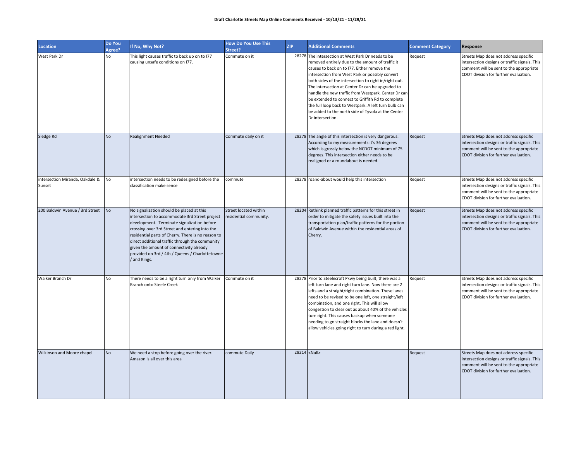| Location                                  | Do You<br>Agree? | If No, Why Not?                                                                                                                                                                                                                                                                                                                                                                                                    | <b>How Do You Use This</b><br>Street?           | <b>ZIP</b> | <b>Additional Comments</b>                                                                                                                                                                                                                                                                                                                                                                                                                                                                                                                                          | <b>Comment Category</b> | Response                                                                                                                                                                   |
|-------------------------------------------|------------------|--------------------------------------------------------------------------------------------------------------------------------------------------------------------------------------------------------------------------------------------------------------------------------------------------------------------------------------------------------------------------------------------------------------------|-------------------------------------------------|------------|---------------------------------------------------------------------------------------------------------------------------------------------------------------------------------------------------------------------------------------------------------------------------------------------------------------------------------------------------------------------------------------------------------------------------------------------------------------------------------------------------------------------------------------------------------------------|-------------------------|----------------------------------------------------------------------------------------------------------------------------------------------------------------------------|
| West Park Dr                              | No               | This light causes traffic to back up on to I77<br>causing unsafe conditions on I77.                                                                                                                                                                                                                                                                                                                                | Commute on it                                   |            | 28278 The intersection at West Park Dr needs to be<br>removed entirely due to the amount of traffic it<br>causes to back on to I77. Either remove the<br>intersection from West Park or possibly convert<br>both sides of the intersection to right in/right out.<br>The intersection at Center Dr can be upgraded to<br>handle the new traffic from Westpark. Center Dr can<br>be extended to connect to Griffith Rd to complete<br>the full loop back to Westpark. A left turn bulb can<br>be added to the north side of Tyvola at the Center<br>Dr intersection. | Request                 | Streets Map does not address specific<br>intersection designs or traffic signals. This<br>comment will be sent to the appropriate<br>CDOT division for further evaluation. |
| Sledge Rd                                 | <b>No</b>        | <b>Realignment Needed</b>                                                                                                                                                                                                                                                                                                                                                                                          | Commute daily on it                             |            | 28278 The angle of this intersection is very dangerous.<br>According to my measurements it's 36 degrees<br>which is grossly below the NCDOT minimum of 75<br>degrees. This intersection either needs to be<br>realigned or a roundabout is needed.                                                                                                                                                                                                                                                                                                                  | Request                 | Streets Map does not address specific<br>intersection designs or traffic signals. This<br>comment will be sent to the appropriate<br>CDOT division for further evaluation. |
| intersection Miranda, Oakdale &<br>Sunset | No               | intersection needs to be redesigned before the<br>classification make sence                                                                                                                                                                                                                                                                                                                                        | commute                                         |            | 28278 roand-about would help this intersection                                                                                                                                                                                                                                                                                                                                                                                                                                                                                                                      | Request                 | Streets Map does not address specific<br>intersection designs or traffic signals. This<br>comment will be sent to the appropriate<br>CDOT division for further evaluation. |
| 200 Baldwin Avenue / 3rd Street           | No               | No signalization should be placed at this<br>intersection to accommodate 3rd Street project<br>development. Terminate signalization before<br>crossing over 3rd Street and entering into the<br>residential parts of Cherry. There is no reason to<br>direct additional traffic through the community<br>given the amount of connectivity already<br>provided on 3rd / 4th / Queens / Charlottetowne<br>and Kings. | Street located within<br>residential community. |            | 28204 Rethink planned traffic patterns for this street in<br>order to mitigate the safety issues built into the<br>transportation plan/traffic patterns for the portion<br>of Baldwin Avenue within the residential areas of<br>Cherry.                                                                                                                                                                                                                                                                                                                             | Request                 | Streets Map does not address specific<br>intersection designs or traffic signals. This<br>comment will be sent to the appropriate<br>CDOT division for further evaluation. |
| Walker Branch Dr                          | No               | There needs to be a right turn only from Walker<br>Branch onto Steele Creek                                                                                                                                                                                                                                                                                                                                        | Commute on it                                   |            | 28278 Prior to Steelecroft Pkwy being built, there was a<br>left turn lane and right turn lane. Now there are 2<br>lefts and a straight/right combination. These lanes<br>need to be revised to be one left, one straight/left<br>combination, and one right. This will allow<br>congestion to clear out as about 40% of the vehicles<br>turn right. This causes backup when someone<br>needing to go straight blocks the lane and doesn't<br>allow vehicles going right to turn during a red light.                                                                | Request                 | Streets Map does not address specific<br>intersection designs or traffic signals. This<br>comment will be sent to the appropriate<br>CDOT division for further evaluation. |
| Wilkinson and Moore chapel                | <b>No</b>        | We need a stop before going over the river.<br>Amazon is all over this area                                                                                                                                                                                                                                                                                                                                        | commute Daily                                   |            | 28214 <null></null>                                                                                                                                                                                                                                                                                                                                                                                                                                                                                                                                                 | Request                 | Streets Map does not address specific<br>intersection designs or traffic signals. This<br>comment will be sent to the appropriate<br>CDOT division for further evaluation. |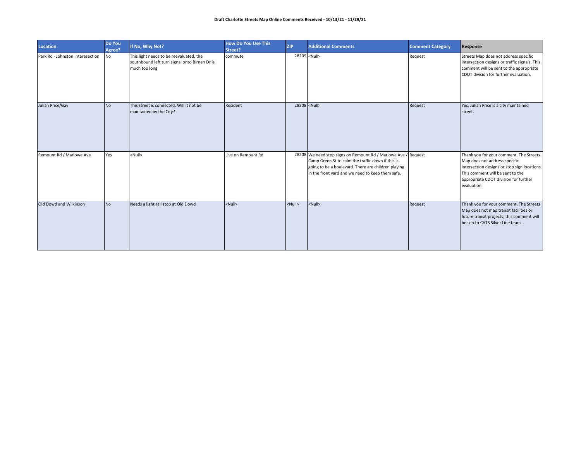| <b>Location</b>                  | Do You<br>Agree? | If No, Why Not?                                                                                           | <b>How Do You Use This</b><br>Street? | <b>ZIP</b>   | <b>Additional Comments</b>                                                                                                                                                                                                     | <b>Comment Category</b> | Response                                                                                                                                                                                                             |
|----------------------------------|------------------|-----------------------------------------------------------------------------------------------------------|---------------------------------------|--------------|--------------------------------------------------------------------------------------------------------------------------------------------------------------------------------------------------------------------------------|-------------------------|----------------------------------------------------------------------------------------------------------------------------------------------------------------------------------------------------------------------|
| Park Rd - Johnston Interesection | No               | This light needs to be reevaluated, the<br>southbound left turn signal onto Birnen Dr is<br>much too long | commute                               |              | 28209 <null></null>                                                                                                                                                                                                            | Request                 | Streets Map does not address specific<br>intersection designs or traffic signals. This<br>comment will be sent to the appropriate<br>CDOT division for further evaluation.                                           |
| Julian Price/Gay                 | <b>No</b>        | This street is connected. Will it not be<br>maintained by the City?                                       | Resident                              |              | 28208 <null></null>                                                                                                                                                                                                            | Request                 | Yes, Julian Price is a city maintained<br>street.                                                                                                                                                                    |
| Remount Rd / Marlowe Ave         | Yes              | <null></null>                                                                                             | Live on Remount Rd                    |              | 28208 We need stop signs on Remount Rd / Marlowe Ave / Request<br>Camp Green St to calm the traffic down if this is<br>going to be a boulevard. There are children playing<br>in the front yard and we need to keep them safe. |                         | Thank you for your comment. The Streets<br>Map does not address specific<br>intersection designs or stop sign locations.<br>This comment will be sent to the<br>appropriate CDOT division for further<br>evaluation. |
| Old Dowd and Wilkinson           | <b>No</b>        | Needs a light rail stop at Old Dowd                                                                       | <null></null>                         | $<$ Null $>$ | <null></null>                                                                                                                                                                                                                  | Request                 | Thank you for your comment. The Streets<br>Map does not map transit facilities or<br>future transit projects; this comment will<br>be sen to CATS Silver Line team.                                                  |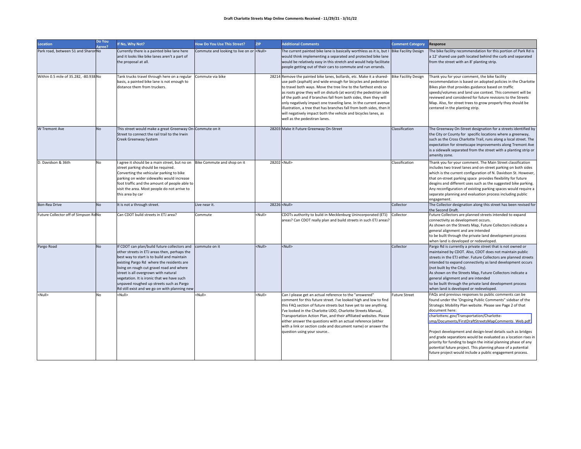#### **Draft Charlotte Streets Map Online Comments Received ‐ 11/29/21 ‐ 3/31/22**

| <b>Location</b>                       | Do You<br>Agree? | If No, Why Not?                                                                                                                                                                                                                                                                                                                                                                                                         | How Do You Use This Street?                     | <b>ZIP</b>    | <b>Additional Comments</b>                                                                                                                                                                                                                                                                                                                                                                                                                                                                                                                                                                         | <b>Comment Category</b>     | Response                                                                                                                                                                                                                                                                                                                                                                                                                                                                                                                                                                                                                                |
|---------------------------------------|------------------|-------------------------------------------------------------------------------------------------------------------------------------------------------------------------------------------------------------------------------------------------------------------------------------------------------------------------------------------------------------------------------------------------------------------------|-------------------------------------------------|---------------|----------------------------------------------------------------------------------------------------------------------------------------------------------------------------------------------------------------------------------------------------------------------------------------------------------------------------------------------------------------------------------------------------------------------------------------------------------------------------------------------------------------------------------------------------------------------------------------------------|-----------------------------|-----------------------------------------------------------------------------------------------------------------------------------------------------------------------------------------------------------------------------------------------------------------------------------------------------------------------------------------------------------------------------------------------------------------------------------------------------------------------------------------------------------------------------------------------------------------------------------------------------------------------------------------|
| Park road, between 51 and Sharon No   |                  | Currently there is a painted bike lane here<br>and it looks like bike lanes aren't a part of<br>the proposal at all.                                                                                                                                                                                                                                                                                                    | Commute and looking to live on or <null></null> |               | The current painted bike lane is basically worthless as it is, but I Bike Facility Design<br>would think implementing a separated and protected bike lane<br>would be relatively easy in this stretch and would help facilitate<br>people getting out of their cars to commute and run errands.                                                                                                                                                                                                                                                                                                    |                             | The bike facility recommendation for this portion of Park Rd is<br>a 12' shared use path located behind the curb and separated<br>from the street with an 8' planting strip.                                                                                                                                                                                                                                                                                                                                                                                                                                                            |
| Within 0.5 mile of 35.282, -80.938 No |                  | Tank trucks travel through here on a regular<br>basis, a painted bike lane is not enough to<br>distance them from truckers.                                                                                                                                                                                                                                                                                             | Commute via bike                                |               | 28214 Remove the painted bike lanes, bollards, etc. Make it a shared-<br>use path (asphalt) and wide enough for bicycles and pedestrian<br>to travel both ways. Move the tree line to the farthest ends so<br>as roots grow they will on disturb (at worst) the pedestrian side<br>of the path and if branches fall from both sides, then they will<br>only negatively impact one traveling lane. In the current avenue<br>illustration, a tree that has branches fall from both sides, then it<br>will negatively impact both the vehicle and bicycles lanes, as<br>well as the pedestiran lanes. | <b>Bike Facility Design</b> | Thank you for your comment, the bike facility<br>recommendation is based on adopted policies in the Charlotte<br>Bikes plan that provides guidance based on traffic<br>speeds/volumes and land use context. This comment will be<br>reviewed and considered for future revisions to the Streets<br>Map. Also, for street trees to grow properly they should be<br>centered in the planting strip.                                                                                                                                                                                                                                       |
| W Tremont Ave                         | <b>No</b>        | This street would make a great Greenway On-Commute on it<br>Street to connect the rail trail to the Irwin<br>Creek Greenway System                                                                                                                                                                                                                                                                                      |                                                 |               | 28203 Make it Future Greenway On-Street                                                                                                                                                                                                                                                                                                                                                                                                                                                                                                                                                            | Classification              | The Greenway On-Street designation for a streets identified by<br>the City or County for specific locations where a greenway,<br>such as the Cross Charlotte Trail, runs along a local street. The<br>expectation for streetscape improvements along Tremont Ave<br>is a sidewalk separated from the street with a planting strip or<br>amenity zone.                                                                                                                                                                                                                                                                                   |
| D. Davidson & 36th                    | No               | l agree it should be a main street, but no on Bike Commute and shop on it<br>street parking should be required.<br>Converting the vehicular parking to bike<br>parking on wider sidewalks would increase<br>foot traffic and the amount of people able to<br>visit the area. Most people do not arrive to<br>this area by car                                                                                           |                                                 |               | 28202 <null></null>                                                                                                                                                                                                                                                                                                                                                                                                                                                                                                                                                                                | Classification              | Thank you for your comment. The Main Street classification<br>includes two travel lanes and on-street parking on both sides<br>which is the current configuration of N. Davidson St. However,<br>that on-street parking space provides flexibility for future<br>desgins and different uses such as the suggested bike parking.<br>Any reconfiguration of existing parking spaces would require a<br>separate planning and evaluation process including public<br>engagement.                                                                                                                                                           |
| Bon-Rea Drive                         | <b>No</b>        | It is not a through street.                                                                                                                                                                                                                                                                                                                                                                                             | Live near it.                                   |               | 28226 <null></null>                                                                                                                                                                                                                                                                                                                                                                                                                                                                                                                                                                                | Collector                   | The Collector designation along this street has been revised for<br>the Second Draft.                                                                                                                                                                                                                                                                                                                                                                                                                                                                                                                                                   |
| Future Collector off of Simpson Rd No |                  | Can CDOT build streets in ETJ area?                                                                                                                                                                                                                                                                                                                                                                                     | Commute                                         | <null></null> | CDOTs authority to build in Mecklenburg Unincorporated (ETJ)<br>areas? Can CDOT really plan and build streets in such ETJ areas?                                                                                                                                                                                                                                                                                                                                                                                                                                                                   | Collector                   | Future Collectors are planned streets intended to expand<br>connectivity as development occurs.<br>As shown on the Streets Map, Future Collectors indicate a<br>general alignment and are intended<br>to be built through the private land development process<br>when land is developed or redeveloped.                                                                                                                                                                                                                                                                                                                                |
| Pargo Road                            | <b>No</b>        | If CDOT can plan/build future collectors and<br>other streets in ETJ areas then, perhaps the<br>best way to start is to build and maintain<br>existing Pargo Rd where the residents are<br>living on rough cut gravel road and where<br>street is all overgrown with natural<br>vegetation. It is ironic that we have such<br>unpaved roughed up streets such as Pargo<br>Rd still exist and we go on with planning new | commute on it                                   | <null></null> | <null></null>                                                                                                                                                                                                                                                                                                                                                                                                                                                                                                                                                                                      | Collector                   | Pargo Rd is currently a private street that is not owned or<br>maintained by CDOT. Also, CDOT does not maintain public<br>streets in the ETJ either. Future Collectors are planned streets<br>intended to expand connectivity as land development occurs<br>(not built by the City).<br>As shown on the Streets Map, Future Collectors indicate a<br>general alignment and are intended<br>to be built through the private land development process<br>when land is developed or redeveloped.                                                                                                                                           |
| <null></null>                         | <b>No</b>        | <null></null>                                                                                                                                                                                                                                                                                                                                                                                                           | <null></null>                                   | <null></null> | Can I please get an actual reference to the "answered"<br>comment for this future street. I've looked high and low to find<br>this FAQ section of future streets but have yet to see anything.<br>I've looked in the Charlotte UDO, Charlotte Streets Manual,<br>Transportation Action Plan, and their affiliated websites. Please<br>either answer the questions with an actual reference (either<br>with a link or section code and document name) or answer the<br>question using your source                                                                                                   | <b>Future Street</b>        | FAQs and previous responses to public comments can be<br>found under the 'Ongoing Public Comments" sidebar of the<br>Strategic Mobility Plan website. Please see Page 2 of that<br>document here:<br>charlottenc.gov/Transportation/Charlotte-<br>smp/Documents/FirstDraftStreetsMapComments_Web.pdf<br>Project development and design-level details such as bridges<br>and grade separations would be evaluated as a location rises in<br>priority for funding to begin the initial planning phase of any<br>potential future project. This planning phase of a potential<br>future project would include a public engagement process. |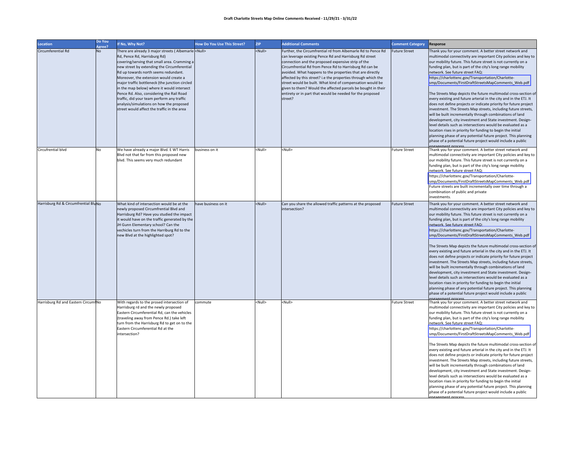#### **Draft Charlotte Streets Map Online Comments Received ‐ 11/29/21 ‐ 3/31/22**

| Location                             | Do You<br>Agree? | If No, Why Not?                                                                                                                                                                                                                                                                                                                                                                                                                                                                                                                                                              | <b>How Do You Use This Street?</b> | <b>ZIP</b>    | <b>Additional Comments</b>                                                                                                                                                                                                                                                                                                                                                                                                                                                                                                                                                  | <b>Comment Category</b> | Response                                                                                                                                                                                                                                                                                                                                                                                                                                                                                                                                                                                                                                                                                                                                                                                                                                                                                                                                                                                                                                                                                         |
|--------------------------------------|------------------|------------------------------------------------------------------------------------------------------------------------------------------------------------------------------------------------------------------------------------------------------------------------------------------------------------------------------------------------------------------------------------------------------------------------------------------------------------------------------------------------------------------------------------------------------------------------------|------------------------------------|---------------|-----------------------------------------------------------------------------------------------------------------------------------------------------------------------------------------------------------------------------------------------------------------------------------------------------------------------------------------------------------------------------------------------------------------------------------------------------------------------------------------------------------------------------------------------------------------------------|-------------------------|--------------------------------------------------------------------------------------------------------------------------------------------------------------------------------------------------------------------------------------------------------------------------------------------------------------------------------------------------------------------------------------------------------------------------------------------------------------------------------------------------------------------------------------------------------------------------------------------------------------------------------------------------------------------------------------------------------------------------------------------------------------------------------------------------------------------------------------------------------------------------------------------------------------------------------------------------------------------------------------------------------------------------------------------------------------------------------------------------|
| Circumferential Rd                   | No               | There are already 3 major streets (Albemarle <null><br/>Rd, Pence Rd, Harrisburg Rd)<br/>covering/serving that small area. Cramming a<br/>new street by extending the Circumferential<br/>Rd up towards north seems redundant.<br/>Moreover, the extension would create a<br/>major traffic bottleneck (the junction circled<br/>in the map below) where it would intersect<br/>Pence Rd. Also, considering the Rail Road<br/>traffic, did your team perform any traffic<br/>analysis/simulations on how the proposed<br/>street would affect the traffic in the area</null> |                                    | <null></null> | Further, the Circumfrential rd from Albemarle Rd to Pence Rd<br>can leverage existing Pence Rd and Harrisburg Rd street<br>connection and the proposed expensive strip of the<br>Circumfrential Rd from Pence Rd to Harrisburg Rd can be<br>avoided. What happens to the properties that are directly<br>affected by this street? i.e the properties through which the<br>street would be built. What kind of compensation would be<br>given to them? Would the affected parcels be bought in their<br>entirety or in part that would be needed for the proposed<br>street? | <b>Future Street</b>    | Thank you for your comment. A better street network and<br>multimodal connectivity are important City policies and key to<br>our mobility future. This future street is not currently on a<br>funding plan, but is part of the city's long range mobility<br>network. See future street FAQ:<br>https://charlottenc.gov/Transportation/Charlotte-<br>smp/Documents/FirstDraftStreetsMapComments_Web.pdf<br>The Streets Map depicts the future multimodal cross-section of<br>every existing and future arterial in the city and in the ETJ. It<br>does not define projects or indicate priority for future project<br>investment. The Streets Map streets, including future streets,<br>will be built incrementally through combinations of land<br>development, city investment and State investment. Design-<br>level details such as intersections would be evaluated as a<br>location rises in priority for funding to begin the initial<br>planning phase of any potential future project. This planning<br>phase of a potential future project would include a public                      |
| Circufrential blvd                   | No               | We have already a major Blvd. E WT Harris<br>Blvd not that far from this proposed new<br>blvd. This seems very much redundant                                                                                                                                                                                                                                                                                                                                                                                                                                                | business on it                     | <null></null> | <null></null>                                                                                                                                                                                                                                                                                                                                                                                                                                                                                                                                                               | <b>Future Street</b>    | Thank you for your comment. A better street network and<br>multimodal connectivity are important City policies and key to<br>our mobility future. This future street is not currently on a<br>funding plan, but is part of the city's long range mobility<br>network. See future street FAQ:<br>https://charlottenc.gov/Transportation/Charlotte-<br>smp/Documents/FirstDraftStreetsMapComments_Web.pdf<br>Future streets are built incrementally over time through a<br>combination of public and private<br>nvestments.                                                                                                                                                                                                                                                                                                                                                                                                                                                                                                                                                                        |
| Harrisburg Rd & Circumfrential BlyNo |                  | What kind of intersection would be at the<br>newly proposed Circumfrential Blvd and<br>Harrisburg Rd? Have you studied the impact<br>it would have on the traffic generated by the<br>JH Gunn Elementary school? Can the<br>vechicles turn from the Harriburg Rd to the<br>new Blvd at the highlighted spot?                                                                                                                                                                                                                                                                 | have business on it                | <null></null> | Can you share the allowed traffic patterns at the proposed<br>intersection?                                                                                                                                                                                                                                                                                                                                                                                                                                                                                                 | <b>Future Street</b>    | Thank you for your comment. A better street network and<br>multimodal connectivity are important City policies and key to<br>our mobility future. This future street is not currently on a<br>funding plan, but is part of the city's long range mobility<br>network. See future street FAQ:<br>https://charlottenc.gov/Transportation/Charlotte-<br>smp/Documents/FirstDraftStreetsMapComments_Web.pdf<br>The Streets Map depicts the future multimodal cross-section of<br>every existing and future arterial in the city and in the ETJ. It<br>does not define projects or indicate priority for future project<br>investment. The Streets Map streets, including future streets,<br>will be built incrementally through combinations of land<br>development, city investment and State investment. Design-<br>level details such as intersections would be evaluated as a<br>location rises in priority for funding to begin the initial<br>planning phase of any potential future project. This planning<br>phase of a potential future project would include a public<br>ngagement process |
| Harrisburg Rd and Eastern CircumiNo  |                  | With regards to the prosed intersection of<br>Harrisburg rd and the newly proposed<br>Eastern Circumferential Rd, can the vehicles<br>(traveling away from Pence Rd.) take left<br>turn from the Harrisburg Rd to get on to the<br>Eastern Circumferential Rd at the<br>intersection?                                                                                                                                                                                                                                                                                        | commute                            | <null></null> | <null></null>                                                                                                                                                                                                                                                                                                                                                                                                                                                                                                                                                               | <b>Future Street</b>    | Thank you for your comment. A better street network and<br>multimodal connectivity are important City policies and key to<br>our mobility future. This future street is not currently on a<br>funding plan, but is part of the city's long range mobility<br>network. See future street FAQ:<br>https://charlottenc.gov/Transportation/Charlotte-<br>smp/Documents/FirstDraftStreetsMapComments_Web.pdf<br>The Streets Map depicts the future multimodal cross-section of<br>every existing and future arterial in the city and in the ETJ. It<br>does not define projects or indicate priority for future project<br>investment. The Streets Map streets, including future streets,<br>will be built incrementally through combinations of land<br>development, city investment and State investment. Design-<br>level details such as intersections would be evaluated as a<br>location rises in priority for funding to begin the initial<br>planning phase of any potential future project. This planning<br>phase of a potential future project would include a public<br>1030ement process |